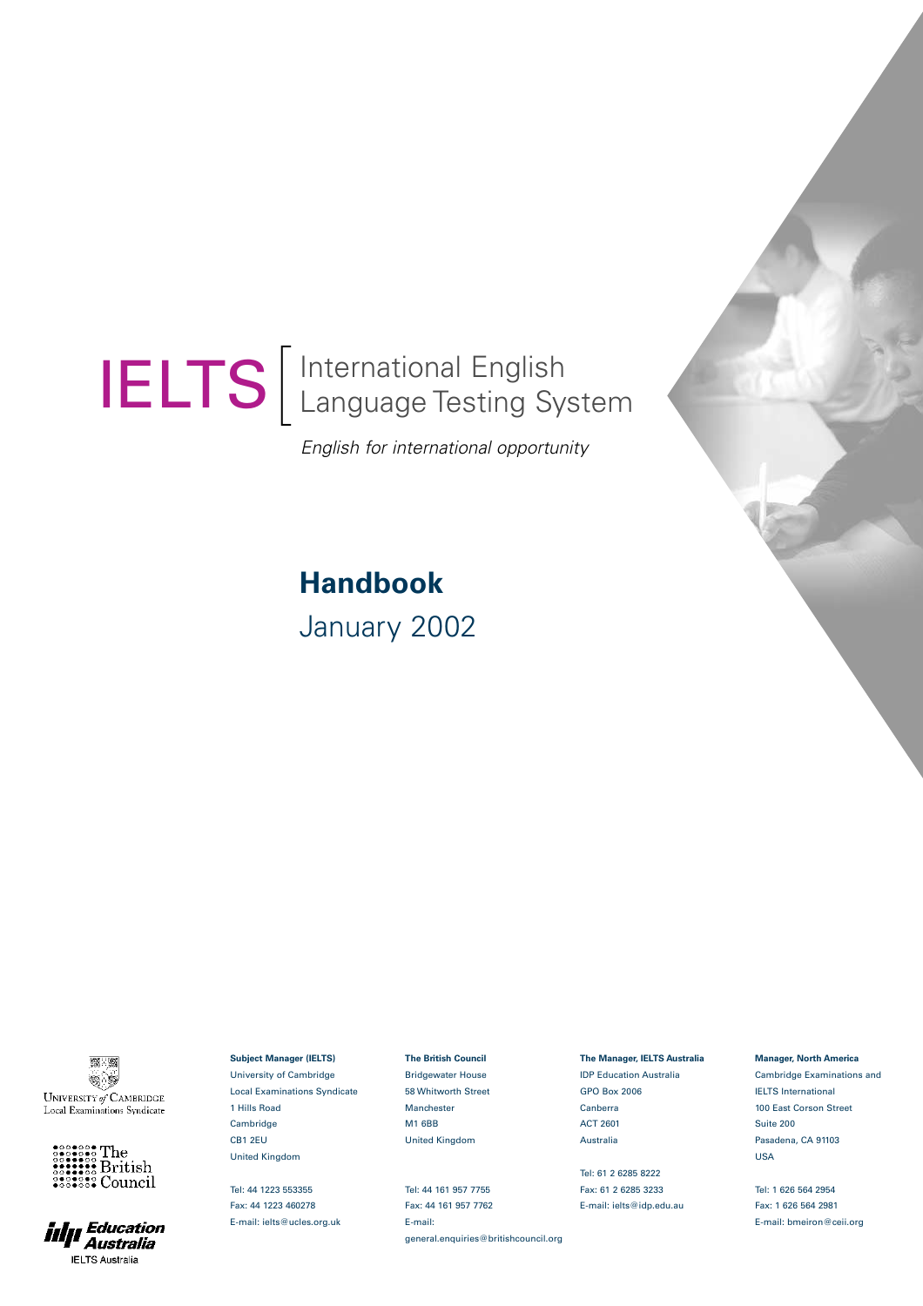# $\begin{bmatrix} \phantom{-} \\ \phantom{-} \end{bmatrix}$ International English IELTS | International English<br>IELTS | Language Testing System

*English for international opportunity*

# **Handbook** January 2002

**第 篇**  $\circledast$ UNIVERSITY of CAMBRIDGE Local Examinations Syndicate





**Subject Manager (IELTS)** University of Cambridge Local Examinations Syndicate 1 Hills Road **Cambridge** CB1 2EU United Kingdom

Tel: 44 1223 553355 Fax: 44 1223 460278 E-mail: ielts@ucles.org.uk **The British Council** Bridgewater House 58 Whitworth Street Manchester M1 6BB United Kingdom

Tel: 44 161 957 7755 Fax: 44 161 957 7762 E-mail: general.enquiries@britishcouncil.org **The Manager, IELTS Australia** IDP Education Australia GPO Box 2006 Canberra ACT 2601 Australia

Tel: 61 2 6285 8222 Fax: 61 2 6285 3233 E-mail: ielts@idp.edu.au

### **Manager, North America**

Cambridge Examinations and IELTS International 100 East Corson Street Suite 200 Pasadena, CA 91103 USA

Tel: 1 626 564 2954 Fax: 1 626 564 2981 E-mail: bmeiron@ceii.org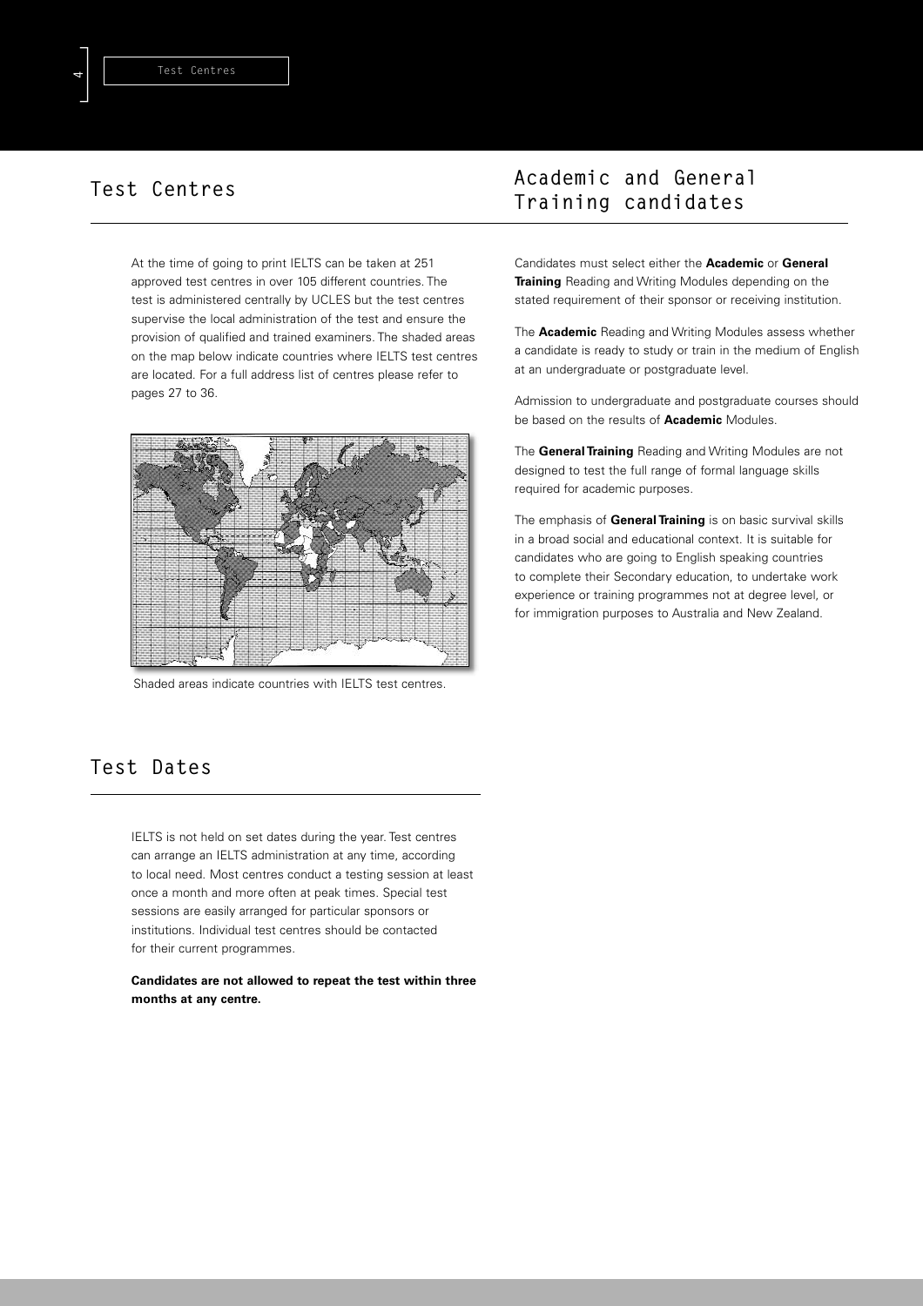At the time of going to print IELTS can be taken at 251 approved test centres in over 105 different countries. The test is administered centrally by UCLES but the test centres supervise the local administration of the test and ensure the provision of qualified and trained examiners. The shaded areas on the map below indicate countries where IELTS test centres are located. For a full address list of centres please refer to pages 27 to 36.



Shaded areas indicate countries with IELTS test centres.

# **Academic and General Training candidates**

Candidates must select either the **Academic** or **General Training** Reading and Writing Modules depending on the stated requirement of their sponsor or receiving institution.

The **Academic** Reading and Writing Modules assess whether a candidate is ready to study or train in the medium of English at an undergraduate or postgraduate level.

Admission to undergraduate and postgraduate courses should be based on the results of **Academic** Modules.

The **General Training** Reading and Writing Modules are not designed to test the full range of formal language skills required for academic purposes.

The emphasis of **General Training** is on basic survival skills in a broad social and educational context. It is suitable for candidates who are going to English speaking countries to complete their Secondary education, to undertake work experience or training programmes not at degree level, or for immigration purposes to Australia and New Zealand.

# **Test Dates**

IELTS is not held on set dates during the year. Test centres can arrange an IELTS administration at any time, according to local need. Most centres conduct a testing session at least once a month and more often at peak times. Special test sessions are easily arranged for particular sponsors or institutions. Individual test centres should be contacted for their current programmes.

**Candidates are not allowed to repeat the test within three months at any centre.**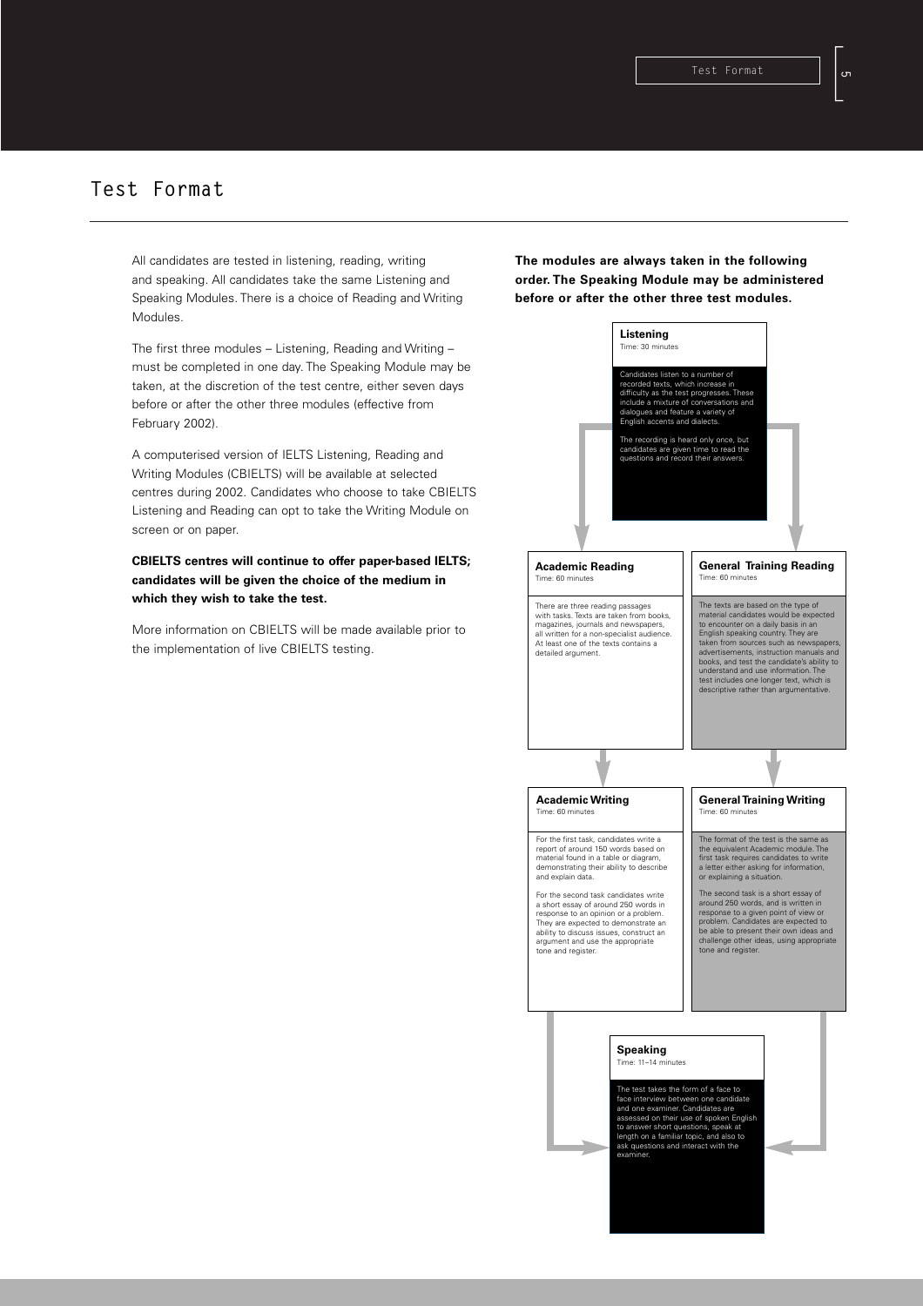# **Test Format**

All candidates are tested in listening, reading, writing and speaking. All candidates take the same Listening and Speaking Modules. There is a choice of Reading and Writing **Modules** 

The first three modules – Listening, Reading and Writing – must be completed in one day. The Speaking Module may be taken, at the discretion of the test centre, either seven days before or after the other three modules (effective from February 2002).

A computerised version of IELTS Listening, Reading and Writing Modules (CBIELTS) will be available at selected centres during 2002. Candidates who choose to take CBIELTS Listening and Reading can opt to take the Writing Module on screen or on paper.

**CBIELTS centres will continue to offer paper-based IELTS; candidates will be given the choice of the medium in which they wish to take the test.**

More information on CBIELTS will be made available prior to the implementation of live CBIELTS testing.

**The modules are always taken in the following order. The Speaking Module may be administered before or after the other three test modules.**

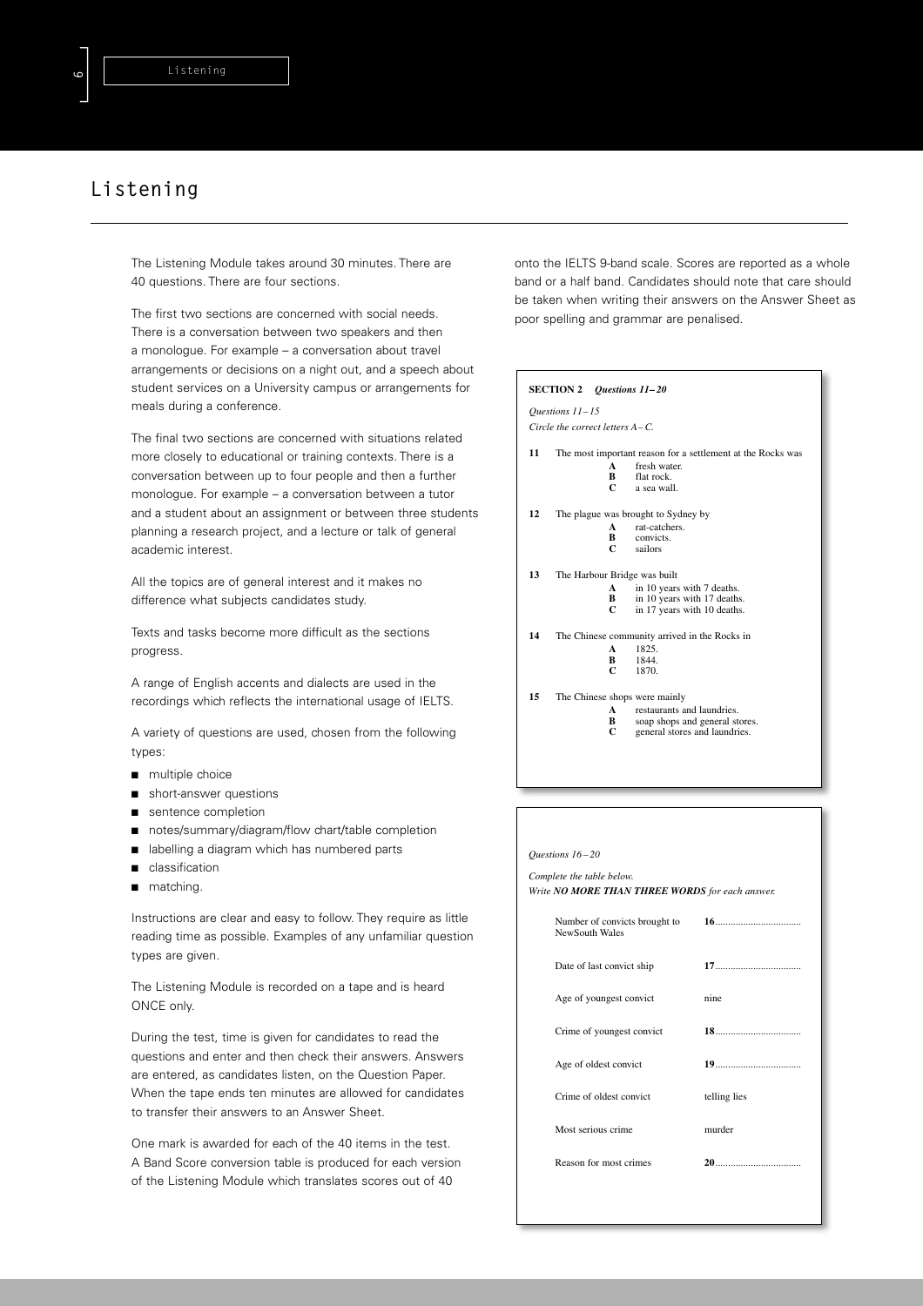# **Listening**

The Listening Module takes around 30 minutes. There are 40 questions. There are four sections.

The first two sections are concerned with social needs. There is a conversation between two speakers and then a monologue. For example – a conversation about travel arrangements or decisions on a night out, and a speech about student services on a University campus or arrangements for meals during a conference.

The final two sections are concerned with situations related more closely to educational or training contexts. There is a conversation between up to four people and then a further monologue. For example – a conversation between a tutor and a student about an assignment or between three students planning a research project, and a lecture or talk of general academic interest.

All the topics are of general interest and it makes no difference what subjects candidates study.

Texts and tasks become more difficult as the sections progress.

A range of English accents and dialects are used in the recordings which reflects the international usage of IELTS.

A variety of questions are used, chosen from the following types:

- multiple choice
- short-answer questions
- sentence completion
- notes/summary/diagram/flow chart/table completion
- labelling a diagram which has numbered parts
- classification
- matching.

Instructions are clear and easy to follow. They require as little reading time as possible. Examples of any unfamiliar question types are given.

The Listening Module is recorded on a tape and is heard ONCE only.

During the test, time is given for candidates to read the questions and enter and then check their answers. Answers are entered, as candidates listen, on the Question Paper. When the tape ends ten minutes are allowed for candidates to transfer their answers to an Answer Sheet.

One mark is awarded for each of the 40 items in the test. A Band Score conversion table is produced for each version of the Listening Module which translates scores out of 40

onto the IELTS 9-band scale. Scores are reported as a whole band or a half band. Candidates should note that care should be taken when writing their answers on the Answer Sheet as poor spelling and grammar are penalised.

# **SECTION 2** *Questions 11– 20 Questions 11– 15 Circle the correct letters A– C.* **11** The most important reason for a settlement at the Rocks was **A** fresh water. **B** flat rock. **C** a sea wall. **12** The plague was brought to Sydney by **A** rat-catchers.<br>**B** convicts. **B** convicts<br>**C** sailors **C** sailors **13** The Harbour Bridge was built **A** in 10 years with 7 deaths.<br>**B** in 10 years with 17 death **B** in 10 years with 17 deaths. **C** in 17 years with 10 deaths. **14** The Chinese community arrived in the Rocks in **A** 1825.<br>**B** 1844.<br>**C** 1870. **B** 1844. **C** 1870. **15** The Chinese shops were mainly **A** restaurants and laundries.<br>**B** soan shops and general st **B** soap shops and general stores.<br> **C** general stores and laundries.

| Ouestions 16-20                                                              |              |
|------------------------------------------------------------------------------|--------------|
| Complete the table below.<br>Write NO MORE THAN THREE WORDS for each answer. |              |
| Number of convicts brought to<br>NewSouth Wales                              |              |
| Date of last convict ship                                                    |              |
| Age of youngest convict                                                      | nine         |
| Crime of youngest convict                                                    |              |
| Age of oldest convict                                                        |              |
| Crime of oldest convict                                                      | telling lies |
| Most serious crime                                                           | murder       |
| Reason for most crimes                                                       |              |
|                                                                              |              |
|                                                                              |              |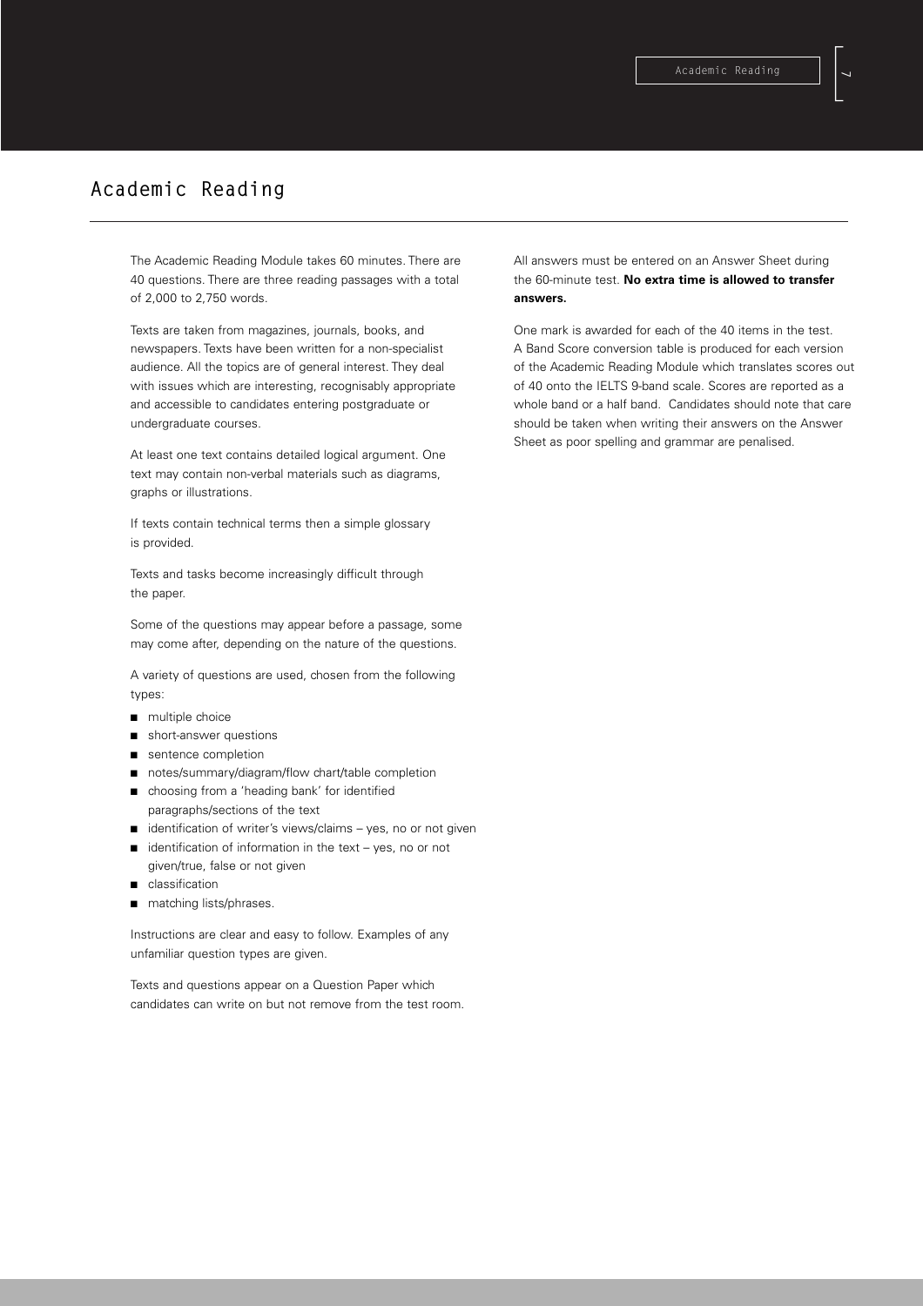# **Academic Reading**

The Academic Reading Module takes 60 minutes. There are 40 questions. There are three reading passages with a total of 2,000 to 2,750 words.

Texts are taken from magazines, journals, books, and newspapers. Texts have been written for a non-specialist audience. All the topics are of general interest. They deal with issues which are interesting, recognisably appropriate and accessible to candidates entering postgraduate or undergraduate courses.

At least one text contains detailed logical argument. One text may contain non-verbal materials such as diagrams, graphs or illustrations.

If texts contain technical terms then a simple glossary is provided.

Texts and tasks become increasingly difficult through the paper.

Some of the questions may appear before a passage, some may come after, depending on the nature of the questions.

A variety of questions are used, chosen from the following types:

- multiple choice
- short-answer questions
- sentence completion
- notes/summary/diagram/flow chart/table completion
- choosing from a 'heading bank' for identified paragraphs/sections of the text
- identification of writer's views/claims yes, no or not given
- $i$ dentification of information in the text yes, no or not given/true, false or not given
- classification
- matching lists/phrases.

Instructions are clear and easy to follow. Examples of any unfamiliar question types are given.

Texts and questions appear on a Question Paper which candidates can write on but not remove from the test room. All answers must be entered on an Answer Sheet during the 60-minute test. **No extra time is allowed to transfer answers.**

One mark is awarded for each of the 40 items in the test. A Band Score conversion table is produced for each version of the Academic Reading Module which translates scores out of 40 onto the IELTS 9-band scale. Scores are reported as a whole band or a half band. Candidates should note that care should be taken when writing their answers on the Answer Sheet as poor spelling and grammar are penalised.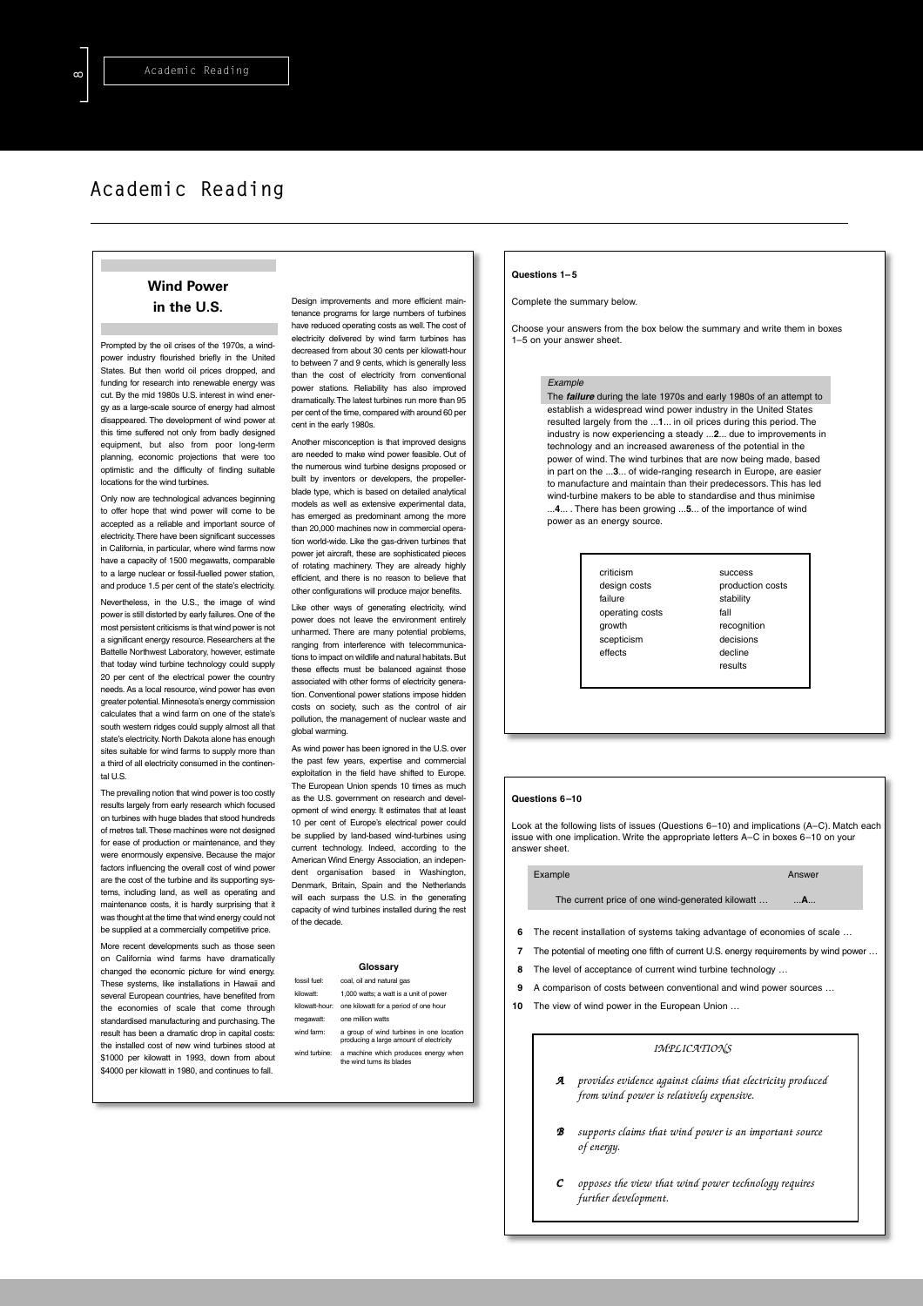# **Academic Reading**

## **Wind Power in the U.S.**

Prompted by the oil crises of the 1970s, a windpower industry flourished briefly in the United States. But then world oil prices dropped, and funding for research into renewable energy was cut. By the mid 1980s U.S. interest in wind energy as a large-scale source of energy had almost disappeared. The development of wind power at this time suffered not only from badly designed equipment, but also from poor long-term planning, economic projections that were too optimistic and the difficulty of finding suitable locations for the wind turbines.

Only now are technological advances beginning to offer hope that wind power will come to be accepted as a reliable and important source of electricity.There have been significant successes in California, in particular, where wind farms now have a capacity of 1500 megawatts, comparable to a large nuclear or fossil-fuelled power station, and produce 1.5 per cent of the state's electricity.

Nevertheless, in the U.S., the image of wind power is still distorted by early failures. One of the most persistent criticisms is that wind power is not a significant energy resource. Researchers at the Battelle Northwest Laboratory, however, estimate that today wind turbine technology could supply 20 per cent of the electrical power the country needs. As a local resource, wind power has even greater potential.Minnesota's energy commission calculates that a wind farm on one of the state's south western ridges could supply almost all that state's electricity. North Dakota alone has enough sites suitable for wind farms to supply more than a third of all electricity consumed in the continental U.S.

The prevailing notion that wind power is too costly results largely from early research which focused on turbines with huge blades that stood hundreds of metres tall.These machines were not designed for ease of production or maintenance, and they were enormously expensive. Because the major factors influencing the overall cost of wind power are the cost of the turbine and its supporting systems, including land, as well as operating and maintenance costs, it is hardly surprising that it was thought at the time that wind energy could not be supplied at a commercially competitive price.

More recent developments such as those seen on California wind farms have dramatically changed the economic picture for wind energy. These systems, like installations in Hawaii and several European countries, have benefited from the economies of scale that come through standardised manufacturing and purchasing. The result has been a dramatic drop in capital costs: the installed cost of new wind turbines stood at \$1000 per kilowatt in 1993, down from about \$4000 per kilowatt in 1980, and continues to fall.

Design improvements and more efficient maintenance programs for large numbers of turbines have reduced operating costs as well.The cost of electricity delivered by wind farm turbines has decreased from about 30 cents per kilowatt-hour to between 7 and 9 cents, which is generally less than the cost of electricity from conventional power stations. Reliability has also improved dramatically.The latest turbines run more than 95 per cent of the time, compared with around 60 per cent in the early 1980s.

Another misconception is that improved designs are needed to make wind power feasible. Out of the numerous wind turbine designs proposed or built by inventors or developers, the propellerblade type, which is based on detailed analytical models as well as extensive experimental data, has emerged as predominant among the more than 20,000 machines now in commercial operation world-wide. Like the gas-driven turbines that power jet aircraft, these are sophisticated pieces of rotating machinery. They are already highly efficient, and there is no reason to believe that other configurations will produce major benefits.

Like other ways of generating electricity, wind power does not leave the environment entirely unharmed. There are many potential problems, ranging from interference with telecommunications to impact on wildlife and natural habitats. But these effects must be balanced against those associated with other forms of electricity generation. Conventional power stations impose hidden costs on society, such as the control of air pollution, the management of nuclear waste and global warming.

As wind power has been ignored in the U.S. over the past few years, expertise and commercial exploitation in the field have shifted to Europe. The European Union spends 10 times as much as the U.S. government on research and development of wind energy. It estimates that at least 10 per cent of Europe's electrical power could be supplied by land-based wind-turbines using current technology. Indeed, according to the American Wind Energy Association, an independent organisation based in Washington, Denmark, Britain, Spain and the Netherlands will each surpass the U.S. in the generating capacity of wind turbines installed during the rest of the decade.

### **Glossary**

- fossil fuel: coal, oil and natural gas kilowatt: 1,000 watts; a watt is a unit of power
- kilowatt-hour: one kilowatt for a period of one hour
- megawatt: one million watts
- wind farm: a group of wind turbines in one location producing a large amount of electricity
- wind turbine: a machine which produces energy when the wind turns its blades

#### **Questions 1– 5**

Complete the summary below.

Choose your answers from the box below the summary and write them in boxes 1–5 on your answer sheet.

### *Example*

The *failure* during the late 1970s and early 1980s of an attempt to establish a widespread wind power industry in the United States resulted largely from the ...**1**... in oil prices during this period. The industry is now experiencing a steady ...**2**... due to improvements in technology and an increased awareness of the potential in the power of wind. The wind turbines that are now being made, based .<br>in part on the 3... of wide-ranging research in Europe, are easier to manufacture and maintain than their predecessors. This has led wind-turbine makers to be able to standardise and thus minimise ...**4**... . There has been growing ...**5**... of the importance of wind power as an energy source.

> criticism success failure stability operating costs fall<br>growth rec scepticism decisions effects decline

design costs **production** costs recognition results

#### **Questions 6–10**

Look at the following lists of issues (Questions 6–10) and implications (A–C). Match each issue with one implication. Write the appropriate letters A–C in boxes 6–10 on your answer sheet.

# Example Answer

The current price of one wind-generated kilowatt … ...**A**...

- **6** The recent installation of systems taking advantage of economies of scale …
- **7** The potential of meeting one fifth of current U.S. energy requirements by wind power …
- **8** The level of acceptance of current wind turbine technology …
- **9** A comparison of costs between conventional and wind power sources …
- **10** The view of wind power in the European Union …

### *IMPLICATIONS*

- *A provides evidence against claims that electricity produced from wind power is relatively expensive.*
- *B supports claims that wind power is an important source of energy.*
- *C opposes the view that wind power technology requires further development.*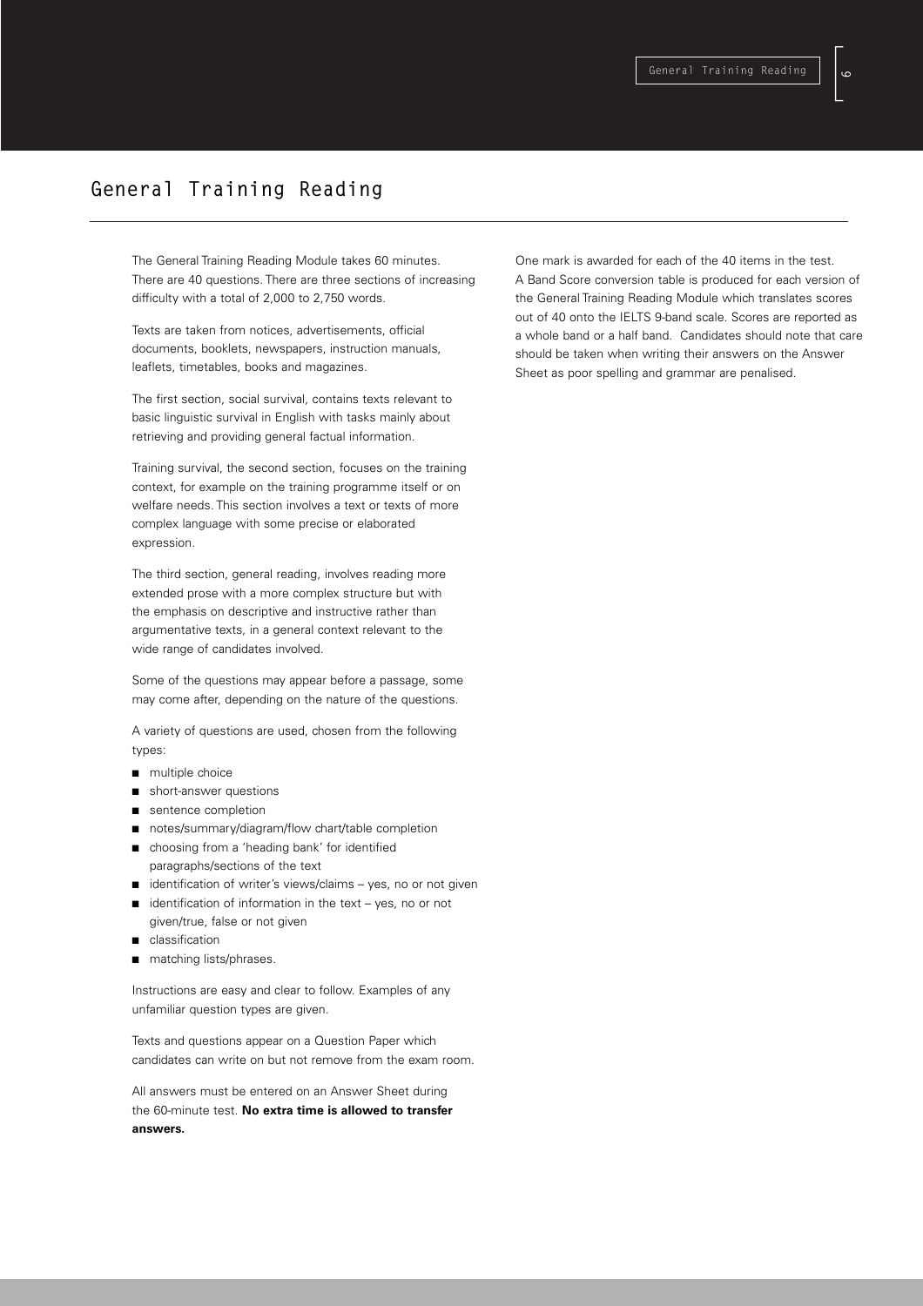# $\begin{bmatrix} 1 \\ 2 \end{bmatrix}$ **9**

# **General Training Reading**

The General Training Reading Module takes 60 minutes. There are 40 questions. There are three sections of increasing difficulty with a total of 2,000 to 2,750 words.

Texts are taken from notices, advertisements, official documents, booklets, newspapers, instruction manuals, leaflets, timetables, books and magazines.

The first section, social survival, contains texts relevant to basic linguistic survival in English with tasks mainly about retrieving and providing general factual information.

Training survival, the second section, focuses on the training context, for example on the training programme itself or on welfare needs. This section involves a text or texts of more complex language with some precise or elaborated expression.

The third section, general reading, involves reading more extended prose with a more complex structure but with the emphasis on descriptive and instructive rather than argumentative texts, in a general context relevant to the wide range of candidates involved.

Some of the questions may appear before a passage, some may come after, depending on the nature of the questions.

A variety of questions are used, chosen from the following types:

- multiple choice
- short-answer questions
- sentence completion
- notes/summary/diagram/flow chart/table completion
- choosing from a 'heading bank' for identified paragraphs/sections of the text
- identification of writer's views/claims yes, no or not given
- $i$ dentification of information in the text yes, no or not given/true, false or not given
- classification
- matching lists/phrases.

Instructions are easy and clear to follow. Examples of any unfamiliar question types are given.

Texts and questions appear on a Question Paper which candidates can write on but not remove from the exam room.

All answers must be entered on an Answer Sheet during the 60-minute test. **No extra time is allowed to transfer answers.**

One mark is awarded for each of the 40 items in the test. A Band Score conversion table is produced for each version of the General Training Reading Module which translates scores out of 40 onto the IELTS 9-band scale. Scores are reported as a whole band or a half band. Candidates should note that care should be taken when writing their answers on the Answer Sheet as poor spelling and grammar are penalised.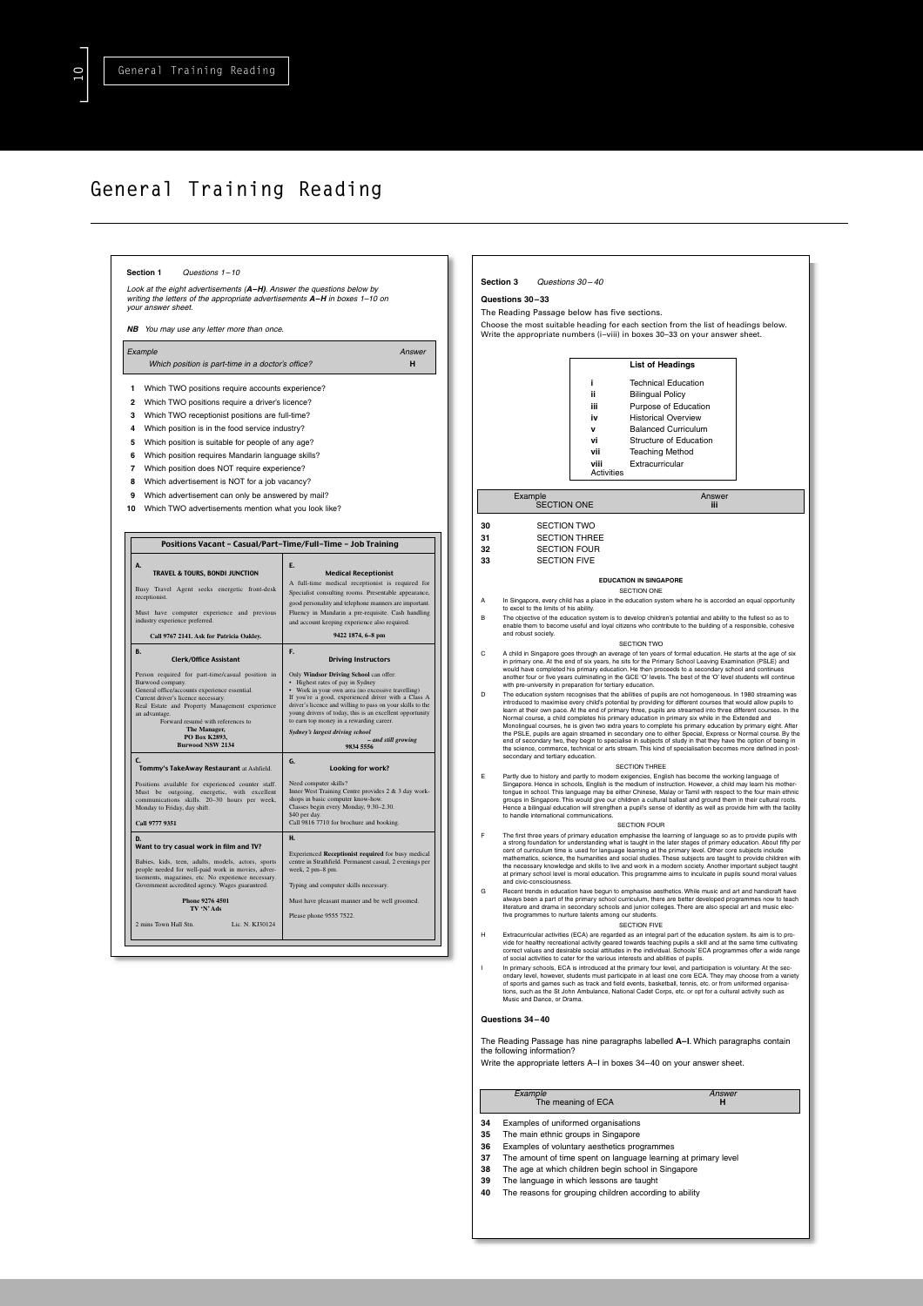]**1O**

# **General Training Reading**



- **34** Examples of uniformed organisations<br>**35** The main ethnic groups in Singapore
- **35** The main ethnic groups in Singapore<br>**36** Examples of voluntary aesthetics prod **36** Examples of voluntary aesthetics programmes
- **37** The amount of time spent on language learning at primary level
- **38** The age at which children begin school in Singapore
- **39** The language in which lessons are taught<br>**40** The reasons for grouping children according
- The reasons for grouping children according to ability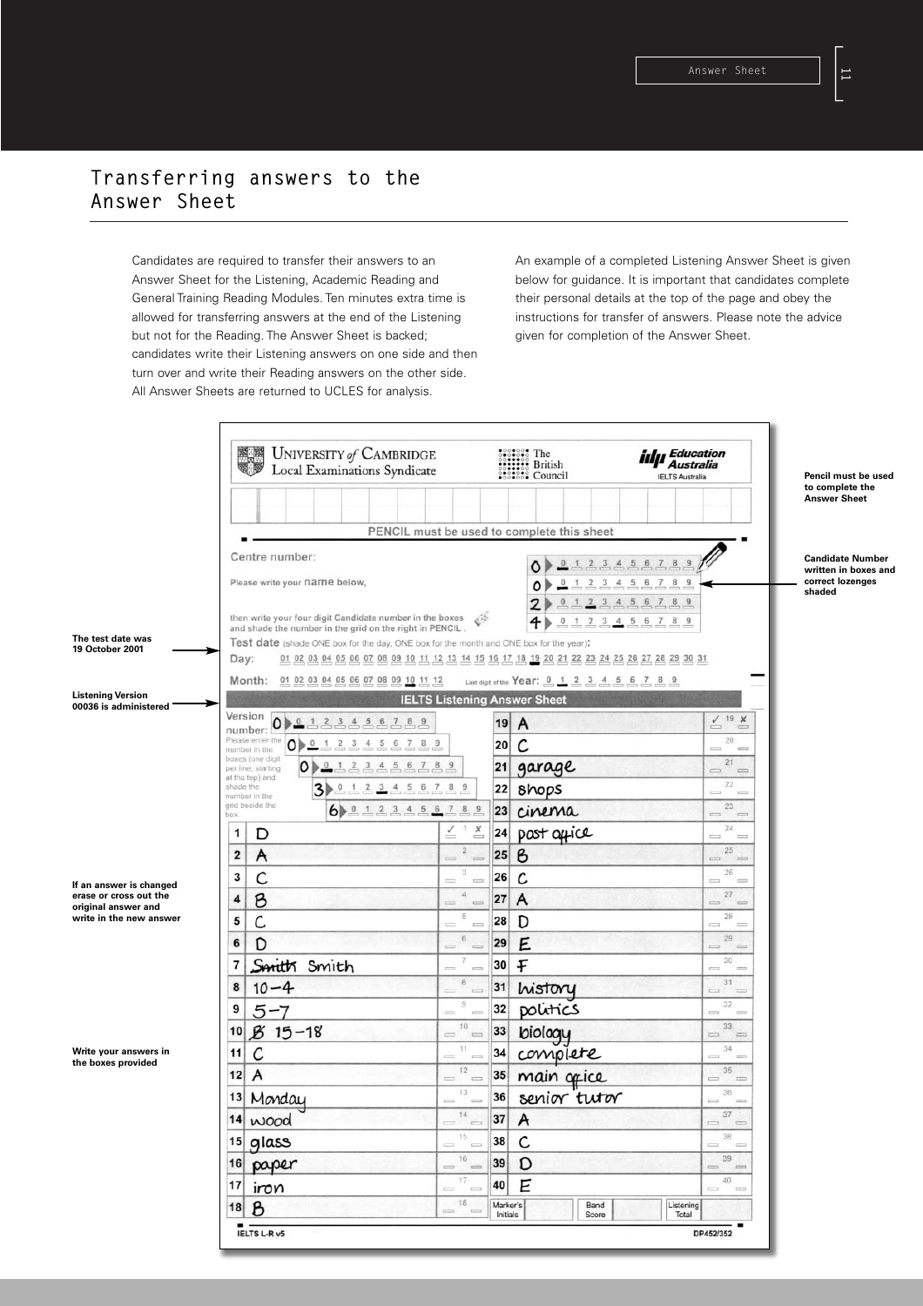# **Transferring answers to the Answer Sheet**

Candidates are required to transfer their answers to an Answer Sheet for the Listening, Academic Reading and General Training Reading Modules. Ten minutes extra time is allowed for transferring answers at the end of the Listening but not for the Reading. The Answer Sheet is backed; candidates write their Listening answers on one side and then turn over and write their Reading answers on the other side. All Answer Sheets are returned to UCLES for analysis.

An example of a completed Listening Answer Sheet is given below for guidance. It is important that candidates complete their personal details at the top of the page and obey the instructions for transfer of answers. Please note the advice given for completion of the Answer Sheet.

|                                                   | UNIVERSITY of CAMBRIDGE<br>Local Examinations Syndicate<br>4                                                                                               |                                           | <b>SECRET The Secrets</b><br><b>British</b><br><b>British</b><br><b>Concert Council</b>                                       | <b>iılµ</b> Education<br>Australia<br><b>IELTS Australia</b>                                                                                                                                                                                                                                                                                                                                                                             | Pencil must be used                                                           |
|---------------------------------------------------|------------------------------------------------------------------------------------------------------------------------------------------------------------|-------------------------------------------|-------------------------------------------------------------------------------------------------------------------------------|------------------------------------------------------------------------------------------------------------------------------------------------------------------------------------------------------------------------------------------------------------------------------------------------------------------------------------------------------------------------------------------------------------------------------------------|-------------------------------------------------------------------------------|
|                                                   |                                                                                                                                                            |                                           | PENCIL must be used to complete this sheet                                                                                    |                                                                                                                                                                                                                                                                                                                                                                                                                                          | to complete the<br><b>Answer Sheet</b>                                        |
|                                                   | Centre number:                                                                                                                                             |                                           |                                                                                                                               |                                                                                                                                                                                                                                                                                                                                                                                                                                          |                                                                               |
|                                                   | Please write your name below,<br>then write your four digit Candidate number in the boxes                                                                  |                                           | 0, 1, 2, 3, 4<br>٥P<br>$\overline{\phantom{a}}$<br>1, 2<br>٥<br>$\overline{2}$<br>2<br>$\theta$<br>$\mathbf{1}$               | 56<br>78<br>$\overline{\mathbf{3}}$<br>$\overline{\mathbf{5}}$<br>6<br>$\overline{7}$<br>$\overline{4}$<br>$\frac{8}{2}$<br>$\frac{9}{2}$<br>$3$ 4 5 6 7 8 9                                                                                                                                                                                                                                                                             | <b>Candidate Number</b><br>written in boxes and<br>correct lozenges<br>shaded |
| The test date was<br>19 October 2001              | and shade the number in the grid on the right in PENCIL.<br>Test date (shade ONE box for the day, ONE box for the month and ONE box for the year);<br>Day: |                                           | €<br>4<br>$\circ$<br>1<br><u>01 02 03 04 05 06 07 08 09 10 11 12 13 14 15 16 17 18 19 20 21 22 23 24 25 26 27 28 29 30 31</u> | 2 3 4 5 6 7 8 9                                                                                                                                                                                                                                                                                                                                                                                                                          |                                                                               |
| <b>Listening Version</b>                          | Month:<br>01 02 03 04 05 06 07 08 09 10 11 12                                                                                                              |                                           | Last digit of the Year: 0 1 2 3 4 5 6 7 8 9<br><b>IELTS Listening Answer Sheet</b>                                            |                                                                                                                                                                                                                                                                                                                                                                                                                                          |                                                                               |
| 00036 is administered                             | Version<br>0 1 2 3 4 5 6                                                                                                                                   | 789                                       |                                                                                                                               | $\sqrt{19}$ X                                                                                                                                                                                                                                                                                                                                                                                                                            |                                                                               |
|                                                   | number:<br>Please enter the<br>$0 \geqslant 0$<br>3, 4<br>5<br>6<br>1.<br>$\frac{2}{\pi}$                                                                  | $\overline{7}$<br>8                       | $19$ A<br>$\mathcal{C}$<br>20                                                                                                 | $-1$<br>20                                                                                                                                                                                                                                                                                                                                                                                                                               |                                                                               |
|                                                   | number in the<br>boxes (one digit<br>3 <sub>4</sub><br>٥D<br>$\mathbf{0}$<br>$\overline{z}$<br>5<br>per line, starting                                     | $\sqrt{6}$<br>78                          | 21<br>garage                                                                                                                  | $\qquad \qquad \Longleftrightarrow$<br><b>CELLS</b><br>21                                                                                                                                                                                                                                                                                                                                                                                |                                                                               |
|                                                   | at the top) and<br>shade the<br>1 <sub>2</sub><br>3▶<br>$\bf{0}$                                                                                           | 3 4 5 6 7 8 9                             | 22<br><b>Shops</b>                                                                                                            | $\equiv$<br>$\frac{1}{2}$<br>22                                                                                                                                                                                                                                                                                                                                                                                                          |                                                                               |
|                                                   | number in the<br>grid beside the<br>$6 \rightarrow 0$<br>12345<br>box                                                                                      | 789<br>6                                  | cinema<br>23                                                                                                                  | $\longmapsto$<br>$-12$<br>23<br>$\qquad \qquad =$<br>$12 - 12$                                                                                                                                                                                                                                                                                                                                                                           |                                                                               |
|                                                   | D<br>1                                                                                                                                                     | $\leq$<br>$1 \times$                      | post office<br>24<br><b>COLOR</b>                                                                                             | 24<br>$\frac{1}{2}$<br>$\frac{1}{2}$                                                                                                                                                                                                                                                                                                                                                                                                     |                                                                               |
|                                                   | A<br>2                                                                                                                                                     | $\sqrt{2}$<br>$\implies$                  | $\epsilon$<br>25<br>$\sim$                                                                                                    | 25<br>Ü<br>$=$                                                                                                                                                                                                                                                                                                                                                                                                                           |                                                                               |
|                                                   | С<br>3                                                                                                                                                     | 3<br>$\frac{1}{2}$                        | C<br>26<br>tion                                                                                                               | 26<br>$\equiv$<br>$\equiv$                                                                                                                                                                                                                                                                                                                                                                                                               |                                                                               |
| If an answer is changed<br>erase or cross out the | B<br>4                                                                                                                                                     | $\boldsymbol{A}$<br>$=$                   | A<br>27<br>$\frac{1}{2}$                                                                                                      | $27\,$<br>ò<br>$=$                                                                                                                                                                                                                                                                                                                                                                                                                       |                                                                               |
| original answer and<br>write in the new answer    | C<br>5                                                                                                                                                     | $\sqrt{5}$<br>$\overline{a}$              | 28<br>D<br>5771                                                                                                               | 28<br><b>County</b><br>$\sim$                                                                                                                                                                                                                                                                                                                                                                                                            |                                                                               |
|                                                   | D<br>6                                                                                                                                                     | $\rm 6$<br>$=$                            | 29<br>Ε<br>$rac{1}{1+2}$                                                                                                      | 29<br>$\equiv$<br>$\frac{1}{2}$                                                                                                                                                                                                                                                                                                                                                                                                          |                                                                               |
|                                                   | Smith Smith<br>7                                                                                                                                           | 7<br>$\qquad \qquad \blacksquare$         | F<br>30<br>E                                                                                                                  | 30<br>$\equiv$<br>$\equiv$                                                                                                                                                                                                                                                                                                                                                                                                               |                                                                               |
|                                                   | $10 - 4$<br>8                                                                                                                                              | $\bf 8$<br>$\frac{1}{2}$                  | 31<br>history<br>$\frac{1}{2}$                                                                                                | 31<br>$\overline{\phantom{a}}$<br>$\sim$                                                                                                                                                                                                                                                                                                                                                                                                 |                                                                               |
|                                                   | 9<br>5-7                                                                                                                                                   | $\theta$<br>$\sim$                        | 32<br>politics<br>17.77                                                                                                       | 32<br>con<br>$-200$                                                                                                                                                                                                                                                                                                                                                                                                                      |                                                                               |
|                                                   | $815 - 18$<br>10                                                                                                                                           | 10<br>$\qquad \qquad =\qquad$<br>$\equiv$ | 33<br>biology                                                                                                                 | 33<br>-<br>$\equiv$                                                                                                                                                                                                                                                                                                                                                                                                                      |                                                                               |
| Write your answers in<br>the boxes provided       | С<br>11                                                                                                                                                    | 11<br>$\equiv$                            | 34<br>complete<br><b>COLLE</b>                                                                                                | 34<br><b>COL</b><br><b>County</b>                                                                                                                                                                                                                                                                                                                                                                                                        |                                                                               |
|                                                   | A<br>12                                                                                                                                                    | 12<br>$\frac{1}{2}$<br>$\frac{1}{2}$      | 35<br>main office                                                                                                             | 35<br>-<br>$\frac{1}{2}$                                                                                                                                                                                                                                                                                                                                                                                                                 |                                                                               |
|                                                   | 13 Monday                                                                                                                                                  | 13<br>$\overline{a}$<br><b>COLLE</b>      | senior tutor<br>36                                                                                                            | 36<br>$\equiv$<br>$-200$                                                                                                                                                                                                                                                                                                                                                                                                                 |                                                                               |
|                                                   | 14 wood                                                                                                                                                    | 14<br>$\equiv$                            | 37<br>A<br>$\leftarrow$                                                                                                       | 37<br>$=$                                                                                                                                                                                                                                                                                                                                                                                                                                |                                                                               |
|                                                   | <sup>15</sup> glass                                                                                                                                        | 15                                        | $=$ $\frac{15}{2}$ $\frac{38}{\text{C}}$                                                                                      | 38<br>$\begin{array}{ccc} \mathbf{1} & \mathbf{1} & \mathbf{1} & \mathbf{1} & \mathbf{1} & \mathbf{1} & \mathbf{1} & \mathbf{1} & \mathbf{1} & \mathbf{1} & \mathbf{1} & \mathbf{1} & \mathbf{1} & \mathbf{1} & \mathbf{1} & \mathbf{1} & \mathbf{1} & \mathbf{1} & \mathbf{1} & \mathbf{1} & \mathbf{1} & \mathbf{1} & \mathbf{1} & \mathbf{1} & \mathbf{1} & \mathbf{1} & \mathbf{1} & \mathbf{1} & \mathbf{1} & \mathbf{1} & \mathbf$ |                                                                               |
|                                                   | 16 paper                                                                                                                                                   |                                           | $=$ <sup>16</sup> = 39 D                                                                                                      | 39<br>$\qquad \qquad \qquad \qquad \qquad \qquad \qquad \qquad \qquad$                                                                                                                                                                                                                                                                                                                                                                   |                                                                               |
|                                                   | $17$ iron                                                                                                                                                  | 17<br>$\sim$<br>$\sim$                    | E<br>40                                                                                                                       | 40<br>state and                                                                                                                                                                                                                                                                                                                                                                                                                          |                                                                               |
|                                                   | $\mathcal{B}$<br>18                                                                                                                                        | 18<br>$\qquad \qquad \Longleftrightarrow$ | Marker's<br>Band<br>Initials<br>Score                                                                                         | Listening<br>Total                                                                                                                                                                                                                                                                                                                                                                                                                       |                                                                               |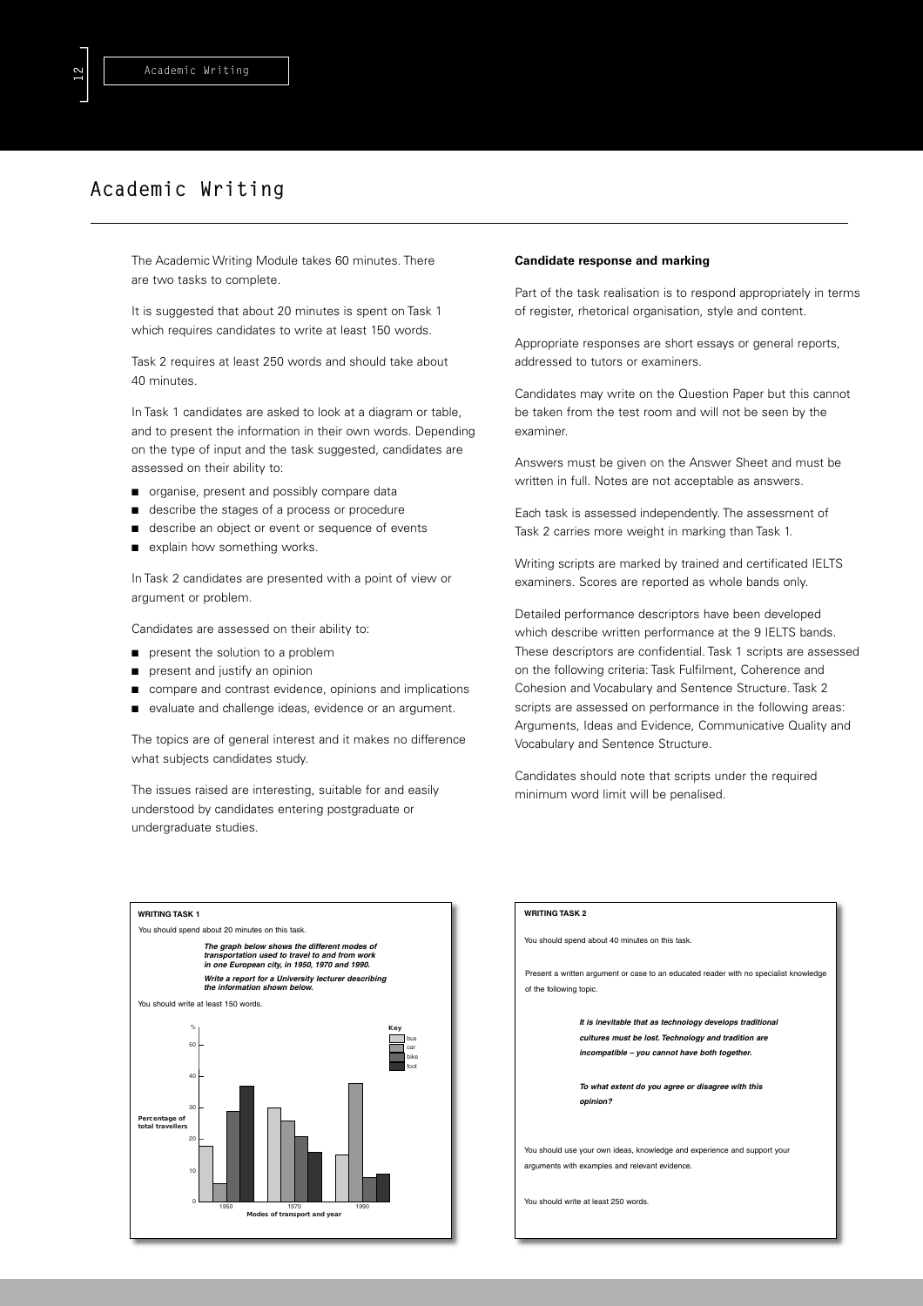# **Academic Writing**

The Academic Writing Module takes 60 minutes. There are two tasks to complete.

It is suggested that about 20 minutes is spent on Task 1 which requires candidates to write at least 150 words.

Task 2 requires at least 250 words and should take about 40 minutes.

In Task 1 candidates are asked to look at a diagram or table, and to present the information in their own words. Depending on the type of input and the task suggested, candidates are assessed on their ability to:

- organise, present and possibly compare data
- describe the stages of a process or procedure
- describe an object or event or sequence of events
- explain how something works.

In Task 2 candidates are presented with a point of view or argument or problem.

Candidates are assessed on their ability to:

- present the solution to a problem
- present and justify an opinion
- compare and contrast evidence, opinions and implications
- evaluate and challenge ideas, evidence or an argument.

The topics are of general interest and it makes no difference what subjects candidates study.

The issues raised are interesting, suitable for and easily understood by candidates entering postgraduate or undergraduate studies.

### **Candidate response and marking**

Part of the task realisation is to respond appropriately in terms of register, rhetorical organisation, style and content.

Appropriate responses are short essays or general reports, addressed to tutors or examiners.

Candidates may write on the Question Paper but this cannot be taken from the test room and will not be seen by the examiner.

Answers must be given on the Answer Sheet and must be written in full. Notes are not acceptable as answers.

Each task is assessed independently. The assessment of Task 2 carries more weight in marking than Task 1.

Writing scripts are marked by trained and certificated IELTS examiners. Scores are reported as whole bands only.

Detailed performance descriptors have been developed which describe written performance at the 9 IELTS bands. These descriptors are confidential. Task 1 scripts are assessed on the following criteria: Task Fulfilment, Coherence and Cohesion and Vocabulary and Sentence Structure. Task 2 scripts are assessed on performance in the following areas: Arguments, Ideas and Evidence, Communicative Quality and Vocabulary and Sentence Structure.

Candidates should note that scripts under the required minimum word limit will be penalised.



#### **WRITING TASK 2**

You should spend about 40 minutes on this task.

Present a written argument or case to an educated reader with no specialist knowledge of the following topic.

> *It is inevitable that as technology develops traditional cultures must be lost. Technology and tradition are incompatible – you cannot have both together.*

*To what extent do you agree or disagree with this opinion?*

You should use your own ideas, knowledge and experience and support your arguments with examples and relevant evidence.

You should write at least 250 words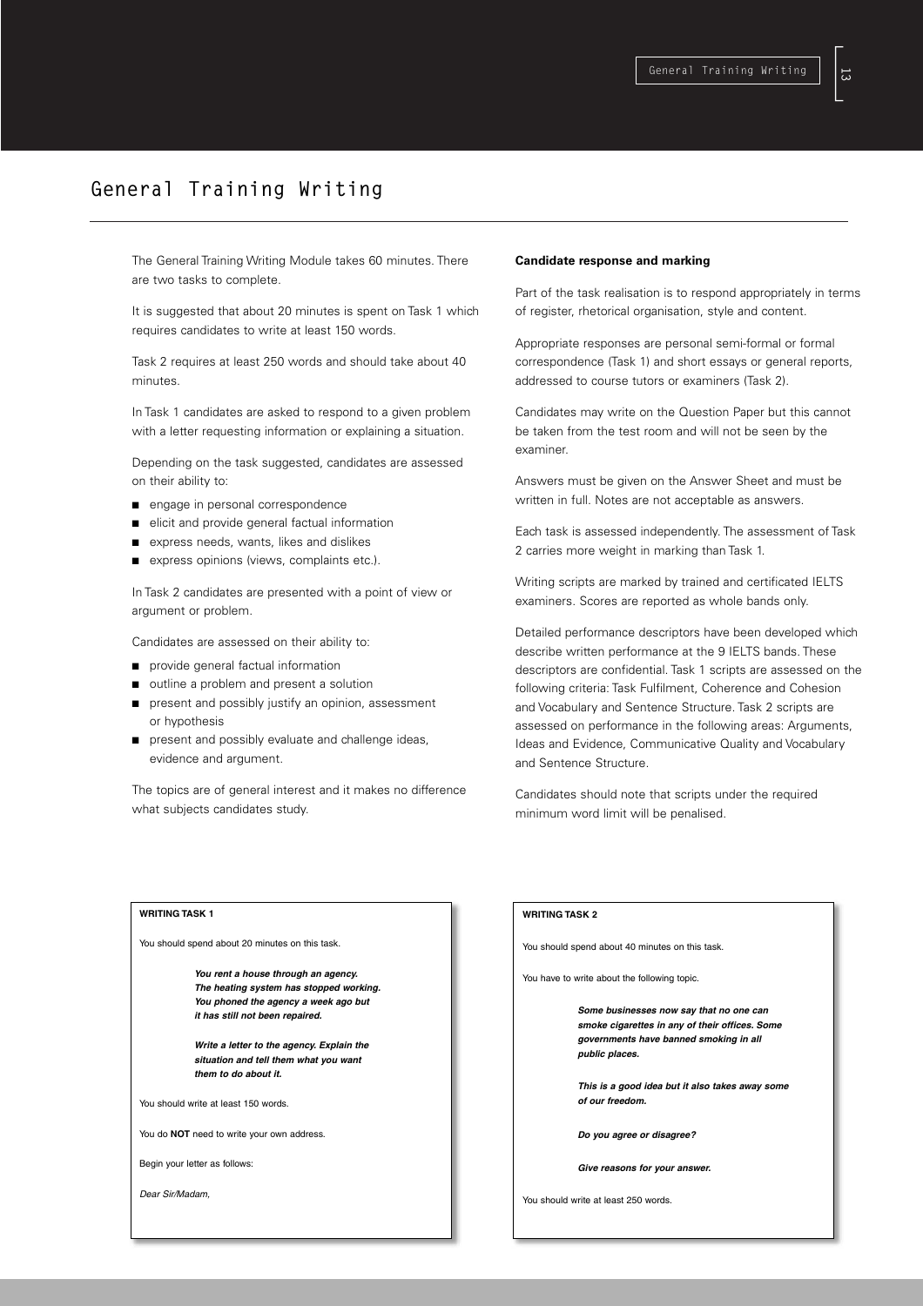[**13**

# **General Training Writing**

The General Training Writing Module takes 60 minutes. There are two tasks to complete.

It is suggested that about 20 minutes is spent on Task 1 which requires candidates to write at least 150 words.

Task 2 requires at least 250 words and should take about 40 minutes.

In Task 1 candidates are asked to respond to a given problem with a letter requesting information or explaining a situation.

Depending on the task suggested, candidates are assessed on their ability to:

- engage in personal correspondence
- elicit and provide general factual information
- express needs, wants, likes and dislikes
- express opinions (views, complaints etc.).

In Task 2 candidates are presented with a point of view or argument or problem.

Candidates are assessed on their ability to:

- provide general factual information
- outline a problem and present a solution
- present and possibly justify an opinion, assessment or hypothesis
- present and possibly evaluate and challenge ideas, evidence and argument.

The topics are of general interest and it makes no difference what subjects candidates study.

### **Candidate response and marking**

Part of the task realisation is to respond appropriately in terms of register, rhetorical organisation, style and content.

Appropriate responses are personal semi-formal or formal correspondence (Task 1) and short essays or general reports, addressed to course tutors or examiners (Task 2).

Candidates may write on the Question Paper but this cannot be taken from the test room and will not be seen by the examiner.

Answers must be given on the Answer Sheet and must be written in full. Notes are not acceptable as answers.

Each task is assessed independently. The assessment of Task 2 carries more weight in marking than Task 1.

Writing scripts are marked by trained and certificated IELTS examiners. Scores are reported as whole bands only.

Detailed performance descriptors have been developed which describe written performance at the 9 IELTS bands. These descriptors are confidential. Task 1 scripts are assessed on the following criteria: Task Fulfilment, Coherence and Cohesion and Vocabulary and Sentence Structure. Task 2 scripts are assessed on performance in the following areas: Arguments, Ideas and Evidence, Communicative Quality and Vocabulary and Sentence Structure.

Candidates should note that scripts under the required minimum word limit will be penalised.

### **WRITING TASK 1**

You should spend about 20 minutes on this task.

*You rent a house through an agency. The heating system has stopped working. You phoned the agency a week ago but it has still not been repaired.*

*Write a letter to the agency. Explain the situation and tell them what you want them to do about it.*

You should write at least 150 words.

You do **NOT** need to write your own address.

Begin your letter as follows:

*Dear Sir/Madam,*

# **WRITING TASK 2**

You should spend about 40 minutes on this task.

You have to write about the following topic.

*Some businesses now say that no one can smoke cigarettes in any of their offices. Some governments have banned smoking in all public places.*

*This is a good idea but it also takes away some of our freedom.*

*Do you agree or disagree?* 

*Give reasons for your answer.*

You should write at least 250 words.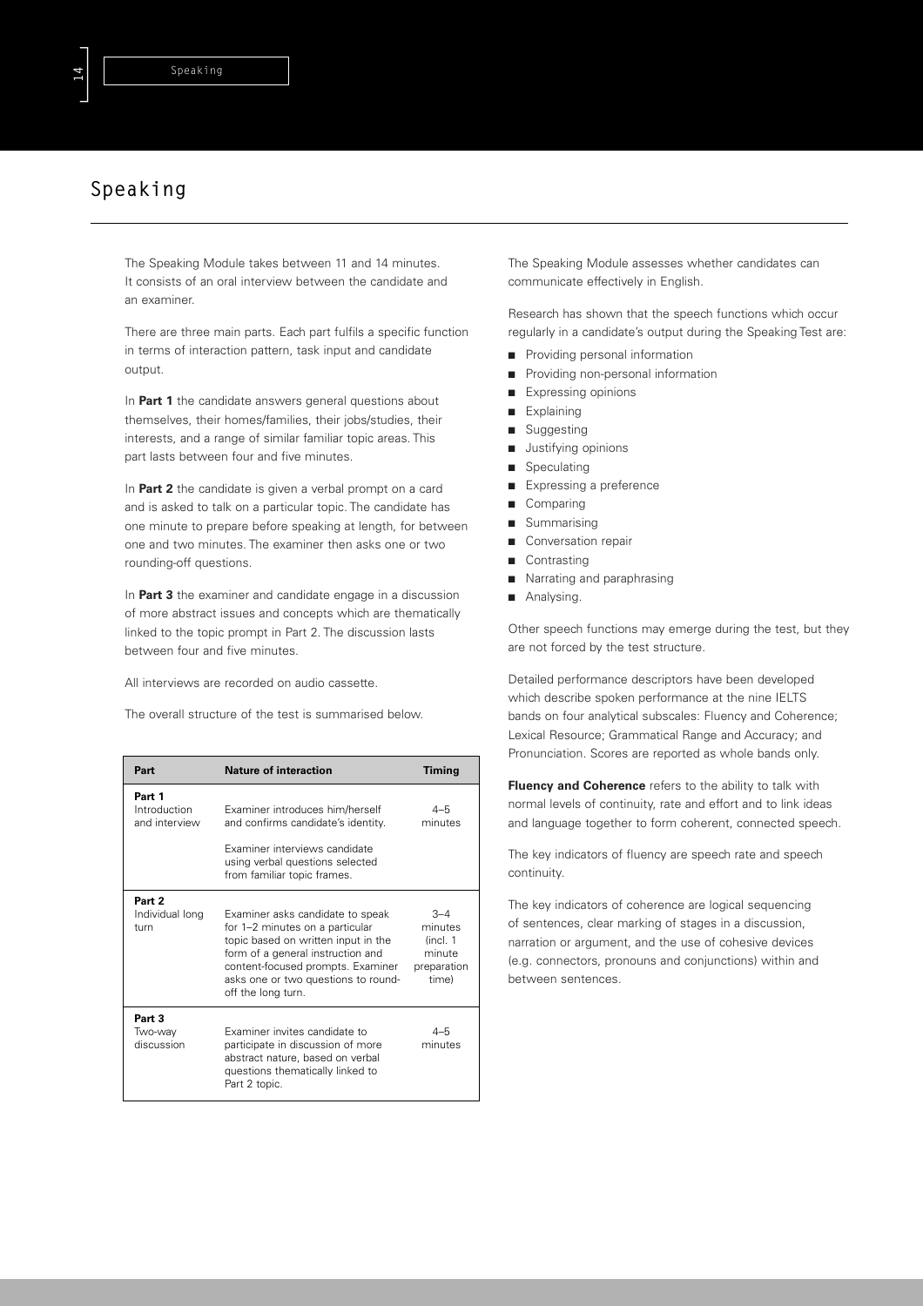# **Speaking**

The Speaking Module takes between 11 and 14 minutes. It consists of an oral interview between the candidate and an examiner.

There are three main parts. Each part fulfils a specific function in terms of interaction pattern, task input and candidate output.

In **Part 1** the candidate answers general questions about themselves, their homes/families, their jobs/studies, their interests, and a range of similar familiar topic areas. This part lasts between four and five minutes.

In **Part 2** the candidate is given a verbal prompt on a card and is asked to talk on a particular topic. The candidate has one minute to prepare before speaking at length, for between one and two minutes. The examiner then asks one or two rounding-off questions.

In **Part 3** the examiner and candidate engage in a discussion of more abstract issues and concepts which are thematically linked to the topic prompt in Part 2. The discussion lasts between four and five minutes.

All interviews are recorded on audio cassette.

The overall structure of the test is summarised below.

| Part                                    | <b>Nature of interaction</b>                                                                                                                                                                                                                      | <b>Timing</b>                                                     |
|-----------------------------------------|---------------------------------------------------------------------------------------------------------------------------------------------------------------------------------------------------------------------------------------------------|-------------------------------------------------------------------|
| Part 1<br>Introduction<br>and interview | Examiner introduces him/herself<br>and confirms candidate's identity.<br>Examiner interviews candidate<br>using verbal questions selected<br>from familiar topic frames.                                                                          | $4 - 5$<br>minutes                                                |
| Part 2<br>Individual long<br>turn       | Examiner asks candidate to speak<br>for 1-2 minutes on a particular<br>topic based on written input in the<br>form of a general instruction and<br>content-focused prompts. Examiner<br>asks one or two questions to round-<br>off the long turn. | $3 - 4$<br>minutes<br>(incl. 1)<br>minute<br>preparation<br>time) |
| Part 3<br>Two-way<br>discussion         | Examiner invites candidate to<br>participate in discussion of more<br>abstract nature, based on verbal<br>questions thematically linked to<br>Part 2 topic.                                                                                       | $4 - 5$<br>minutes                                                |

The Speaking Module assesses whether candidates can communicate effectively in English.

Research has shown that the speech functions which occur regularly in a candidate's output during the Speaking Test are:

- Providing personal information
- Providing non-personal information
- Expressing opinions
- Explaining
- Suggesting
- Justifying opinions
- Speculating
- Expressing a preference
- Comparing
- Summarising
- Conversation repair
- Contrasting
- Narrating and paraphrasing
- Analysing.

Other speech functions may emerge during the test, but they are not forced by the test structure.

Detailed performance descriptors have been developed which describe spoken performance at the nine IELTS bands on four analytical subscales: Fluency and Coherence; Lexical Resource; Grammatical Range and Accuracy; and Pronunciation. Scores are reported as whole bands only.

**Fluency and Coherence** refers to the ability to talk with normal levels of continuity, rate and effort and to link ideas and language together to form coherent, connected speech.

The key indicators of fluency are speech rate and speech continuity.

The key indicators of coherence are logical sequencing of sentences, clear marking of stages in a discussion, narration or argument, and the use of cohesive devices (e.g. connectors, pronouns and conjunctions) within and between sentences.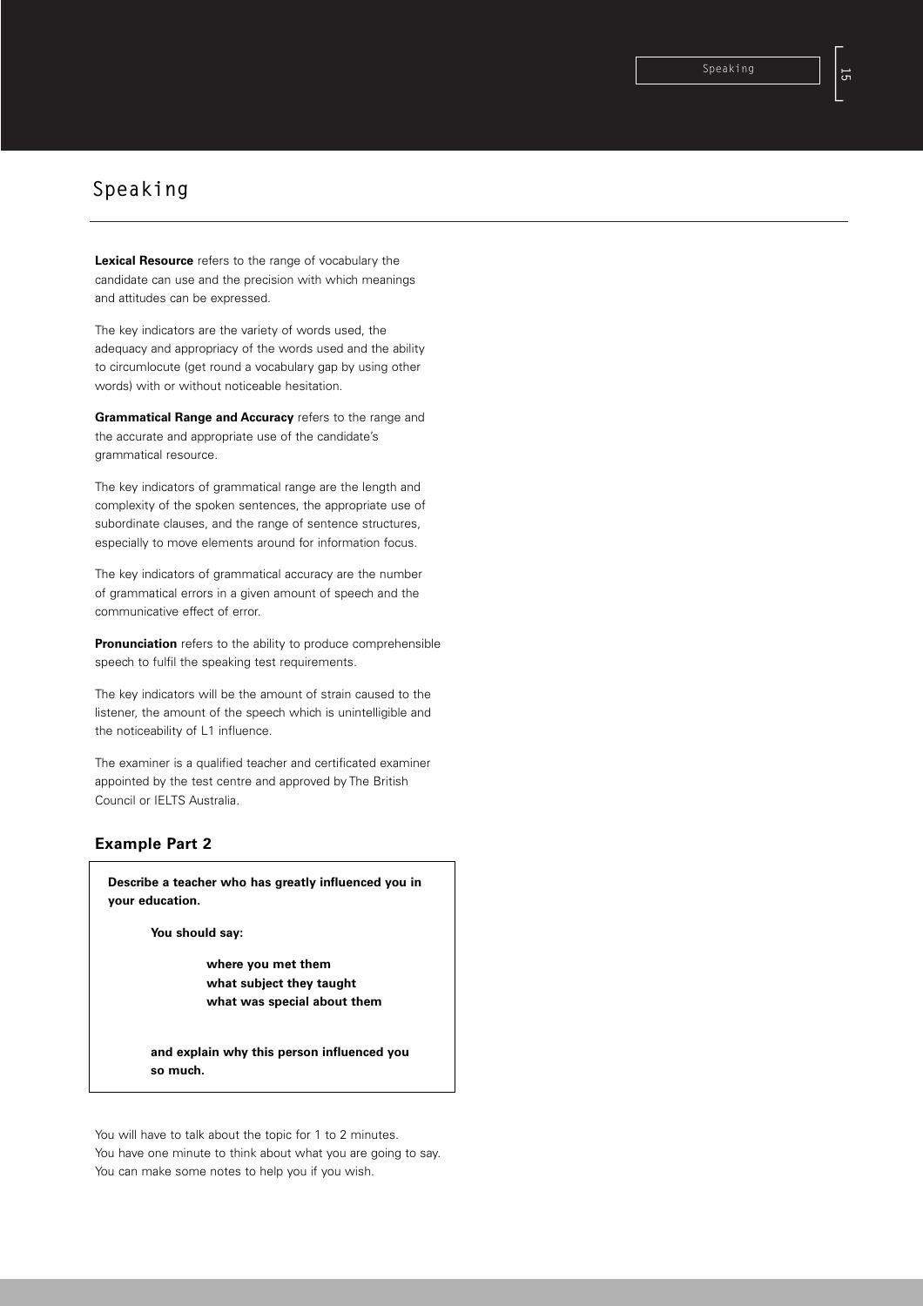# **Speaking**

**Lexical Resource** refers to the range of vocabulary the candidate can use and the precision with which meanings and attitudes can be expressed.

The key indicators are the variety of words used, the adequacy and appropriacy of the words used and the ability to circumlocute (get round a vocabulary gap by using other words) with or without noticeable hesitation.

**Grammatical Range and Accuracy** refers to the range and the accurate and appropriate use of the candidate's grammatical resource.

The key indicators of grammatical range are the length and complexity of the spoken sentences, the appropriate use of subordinate clauses, and the range of sentence structures, especially to move elements around for information focus.

The key indicators of grammatical accuracy are the number of grammatical errors in a given amount of speech and the communicative effect of error.

**Pronunciation** refers to the ability to produce comprehensible speech to fulfil the speaking test requirements.

The key indicators will be the amount of strain caused to the listener, the amount of the speech which is unintelligible and the noticeability of L1 influence.

The examiner is a qualified teacher and certificated examiner appointed by the test centre and approved by The British Council or IELTS Australia.

# **Example Part 2**

**Describe a teacher who has greatly influenced you in your education.**

**You should say:**

**where you met them what subject they taught what was special about them**

**and explain why this person influenced you so much.**

You will have to talk about the topic for 1 to 2 minutes. You have one minute to think about what you are going to say. You can make some notes to help you if you wish.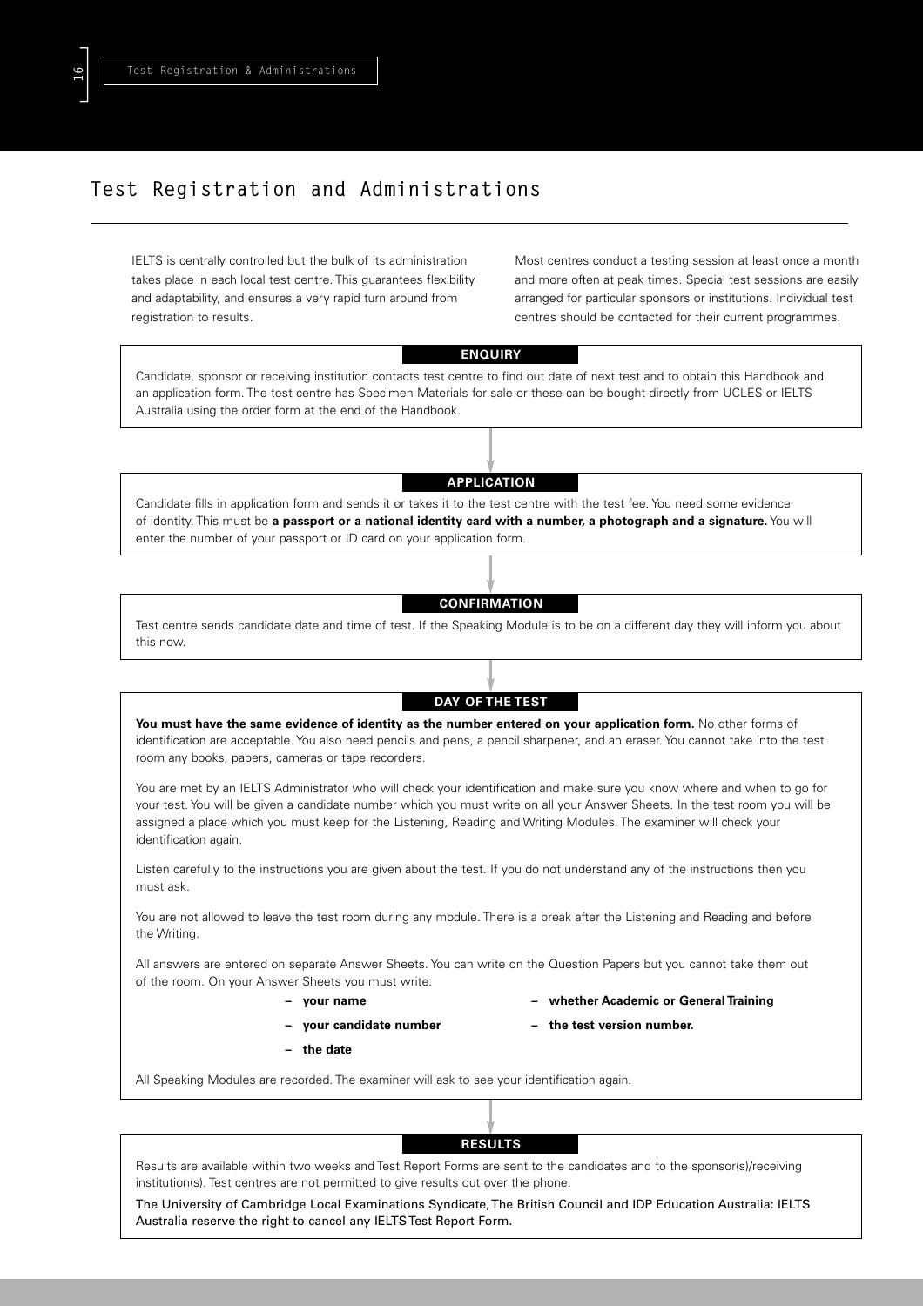# **Test Registration and Administrations**

IELTS is centrally controlled but the bulk of its administration takes place in each local test centre. This guarantees flexibility and adaptability, and ensures a very rapid turn around from registration to results.

Most centres conduct a testing session at least once a month and more often at peak times. Special test sessions are easily arranged for particular sponsors or institutions. Individual test centres should be contacted for their current programmes.

## **ENQUIRY**

Candidate, sponsor or receiving institution contacts test centre to find out date of next test and to obtain this Handbook and an application form. The test centre has Specimen Materials for sale or these can be bought directly from UCLES or IELTS Australia using the order form at the end of the Handbook.

## **APPLICATION**

Candidate fills in application form and sends it or takes it to the test centre with the test fee. You need some evidence of identity. This must be **a passport or a national identity card with a number, a photograph and a signature.** You will enter the number of your passport or ID card on your application form.

# **CONFIRMATION**

Test centre sends candidate date and time of test. If the Speaking Module is to be on a different day they will inform you about this now.

# **DAY OF THE TEST You must have the same evidence of identity as the number entered on your application form.** No other forms of identification are acceptable. You also need pencils and pens, a pencil sharpener, and an eraser. You cannot take into the test room any books, papers, cameras or tape recorders.

You are met by an IELTS Administrator who will check your identification and make sure you know where and when to go for your test. You will be given a candidate number which you must write on all your Answer Sheets. In the test room you will be assigned a place which you must keep for the Listening, Reading and Writing Modules. The examiner will check your identification again.

Listen carefully to the instructions you are given about the test. If you do not understand any of the instructions then you must ask.

You are not allowed to leave the test room during any module. There is a break after the Listening and Reading and before the Writing.

All answers are entered on separate Answer Sheets. You can write on the Question Papers but you cannot take them out of the room. On your Answer Sheets you must write:

- 
- **your name whether Academic or General Training**
- 
- **the date**
- **your candidate number the test version number.**

All Speaking Modules are recorded. The examiner will ask to see your identification again.

# **RESULTS**

Results are available within two weeks and Test Report Forms are sent to the candidates and to the sponsor(s)/receiving institution(s). Test centres are not permitted to give results out over the phone.

The University of Cambridge Local Examinations Syndicate, The British Council and IDP Education Australia: IELTS Australia reserve the right to cancel any IELTS Test Report Form.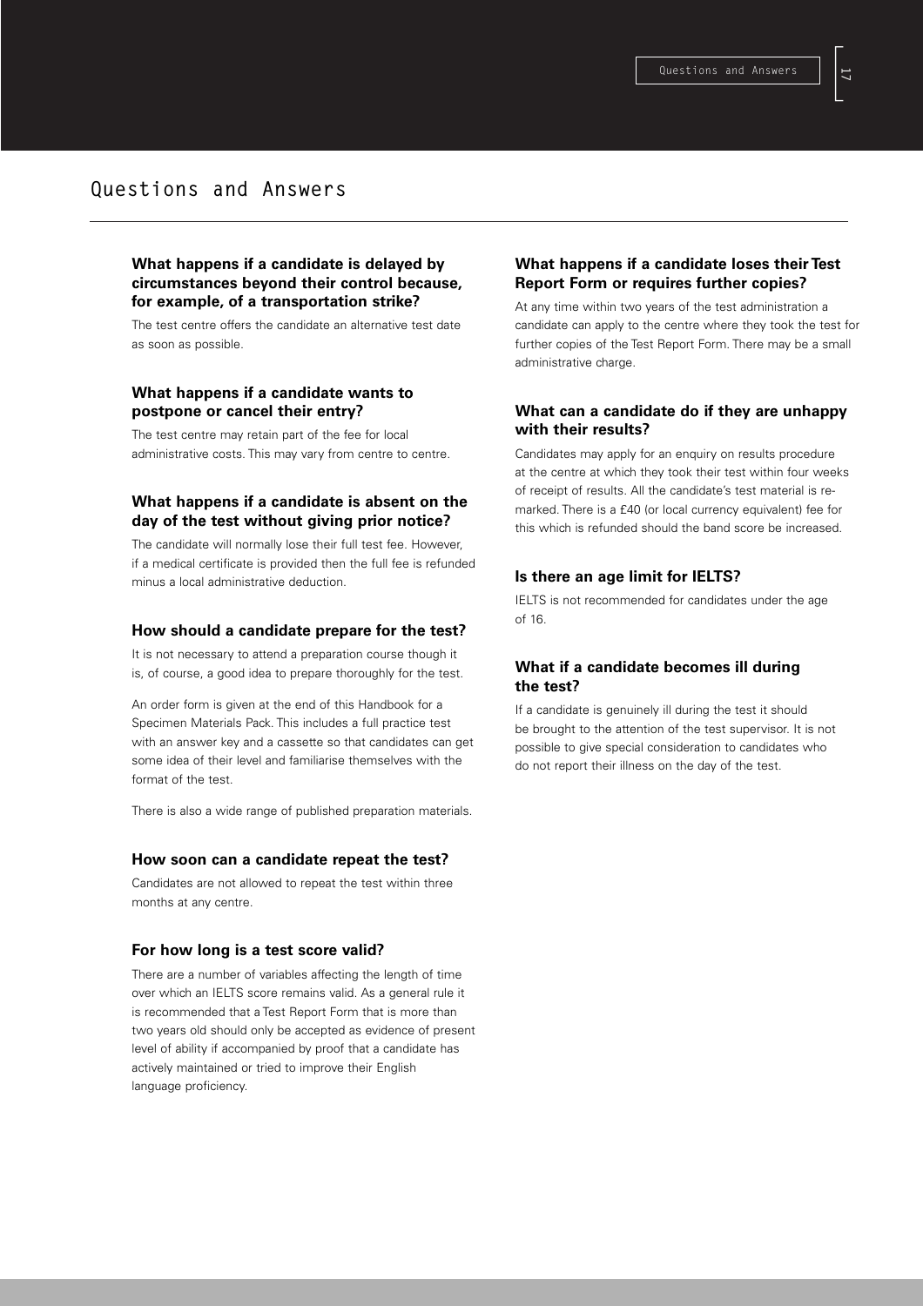# **Questions and Answers**

# **What happens if a candidate is delayed by circumstances beyond their control because, for example, of a transportation strike?**

The test centre offers the candidate an alternative test date as soon as possible.

# **What happens if a candidate wants to postpone or cancel their entry?**

The test centre may retain part of the fee for local administrative costs. This may vary from centre to centre.

# **What happens if a candidate is absent on the day of the test without giving prior notice?**

The candidate will normally lose their full test fee. However, if a medical certificate is provided then the full fee is refunded minus a local administrative deduction.

### **How should a candidate prepare for the test?**

It is not necessary to attend a preparation course though it is, of course, a good idea to prepare thoroughly for the test.

An order form is given at the end of this Handbook for a Specimen Materials Pack. This includes a full practice test with an answer key and a cassette so that candidates can get some idea of their level and familiarise themselves with the format of the test.

There is also a wide range of published preparation materials.

## **How soon can a candidate repeat the test?**

Candidates are not allowed to repeat the test within three months at any centre.

### **For how long is a test score valid?**

There are a number of variables affecting the length of time over which an IELTS score remains valid. As a general rule it is recommended that a Test Report Form that is more than two years old should only be accepted as evidence of present level of ability if accompanied by proof that a candidate has actively maintained or tried to improve their English language proficiency.

# **What happens if a candidate loses their Test Report Form or requires further copies?**

At any time within two years of the test administration a candidate can apply to the centre where they took the test for further copies of the Test Report Form. There may be a small administrative charge.

## **What can a candidate do if they are unhappy with their results?**

Candidates may apply for an enquiry on results procedure at the centre at which they took their test within four weeks of receipt of results. All the candidate's test material is remarked. There is a £40 (or local currency equivalent) fee for this which is refunded should the band score be increased.

## **Is there an age limit for IELTS?**

IELTS is not recommended for candidates under the age of 16.

# **What if a candidate becomes ill during the test?**

If a candidate is genuinely ill during the test it should be brought to the attention of the test supervisor. It is not possible to give special consideration to candidates who do not report their illness on the day of the test.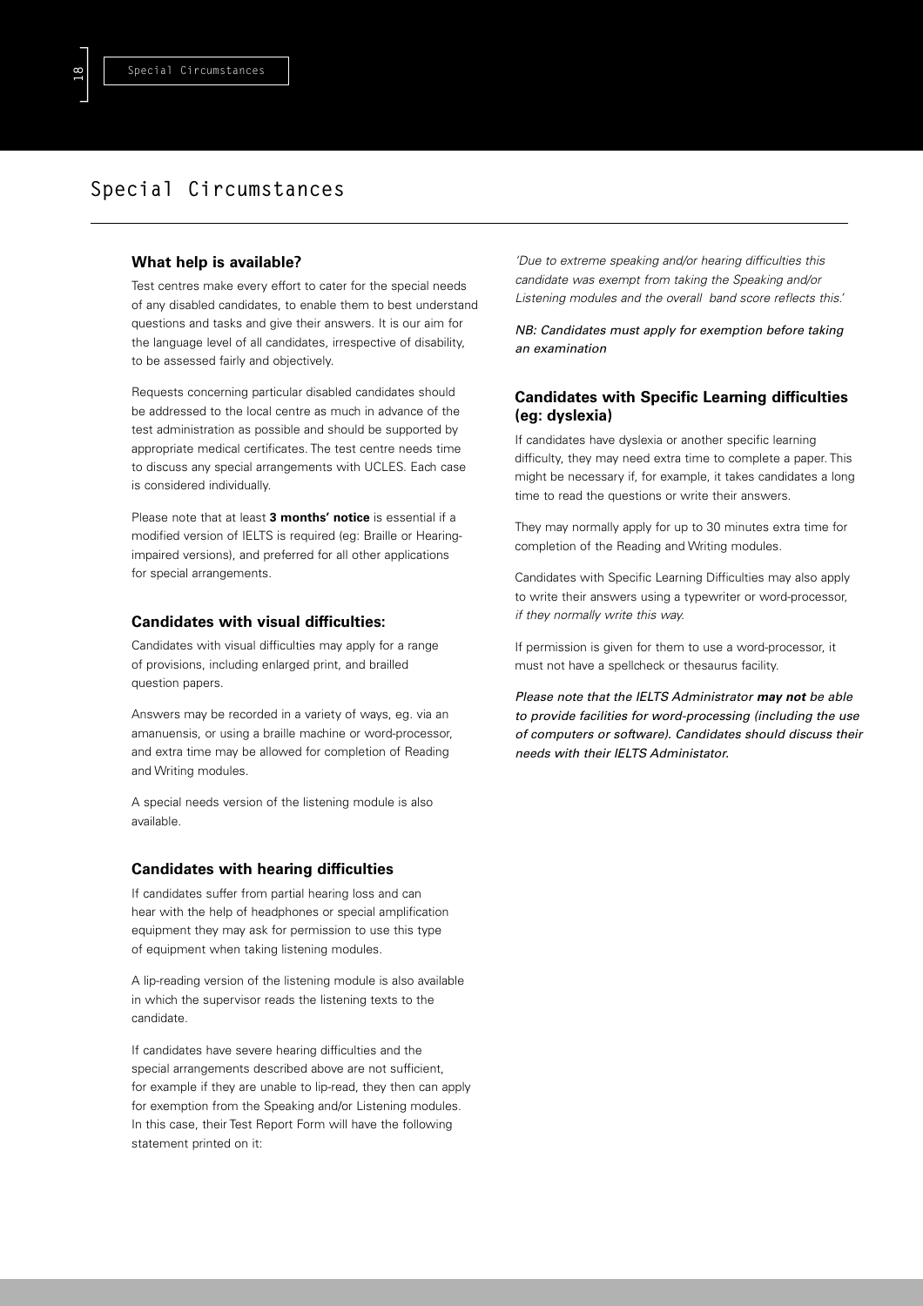# **Special Circumstances**

# **What help is available?**

Test centres make every effort to cater for the special needs of any disabled candidates, to enable them to best understand questions and tasks and give their answers. It is our aim for the language level of all candidates, irrespective of disability, to be assessed fairly and objectively.

Requests concerning particular disabled candidates should be addressed to the local centre as much in advance of the test administration as possible and should be supported by appropriate medical certificates. The test centre needs time to discuss any special arrangements with UCLES. Each case is considered individually.

Please note that at least **3 months' notice** is essential if a modified version of IELTS is required (eg: Braille or Hearingimpaired versions), and preferred for all other applications for special arrangements.

### **Candidates with visual difficulties:**

Candidates with visual difficulties may apply for a range of provisions, including enlarged print, and brailled question papers.

Answers may be recorded in a variety of ways, eg. via an amanuensis, or using a braille machine or word-processor, and extra time may be allowed for completion of Reading and Writing modules.

A special needs version of the listening module is also available.

### **Candidates with hearing difficulties**

If candidates suffer from partial hearing loss and can hear with the help of headphones or special amplification equipment they may ask for permission to use this type of equipment when taking listening modules.

A lip-reading version of the listening module is also available in which the supervisor reads the listening texts to the candidate.

If candidates have severe hearing difficulties and the special arrangements described above are not sufficient, for example if they are unable to lip-read, they then can apply for exemption from the Speaking and/or Listening modules. In this case, their Test Report Form will have the following statement printed on it:

*'Due to extreme speaking and/or hearing difficulties this candidate was exempt from taking the Speaking and/or Listening modules and the overall band score reflects this.'*

*NB: Candidates must apply for exemption before taking an examination*

# **Candidates with Specific Learning difficulties (eg: dyslexia)**

If candidates have dyslexia or another specific learning difficulty, they may need extra time to complete a paper. This might be necessary if, for example, it takes candidates a long time to read the questions or write their answers.

They may normally apply for up to 30 minutes extra time for completion of the Reading and Writing modules.

Candidates with Specific Learning Difficulties may also apply to write their answers using a typewriter or word-processor, *if they normally write this way.*

If permission is given for them to use a word-processor, it must not have a spellcheck or thesaurus facility.

*Please note that the IELTS Administrator may not be able to provide facilities for word-processing (including the use of computers or software). Candidates should discuss their needs with their IELTS Administator.*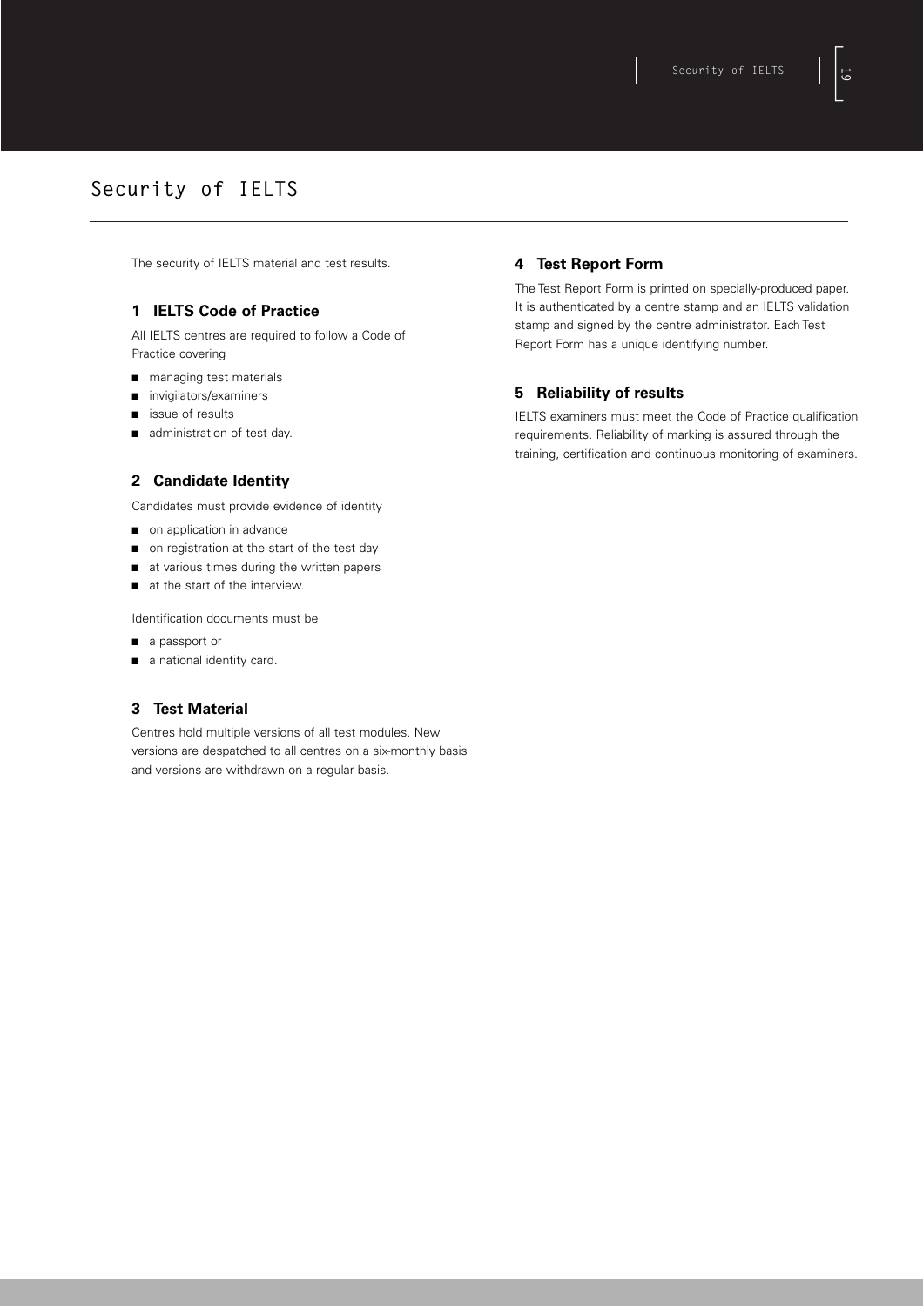# **Security of IELTS**

The security of IELTS material and test results.

# **1 IELTS Code of Practice**

All IELTS centres are required to follow a Code of Practice covering

- managing test materials
- invigilators/examiners
- issue of results
- administration of test day.

# **2 Candidate Identity**

Candidates must provide evidence of identity

- on application in advance
- on registration at the start of the test day
- at various times during the written papers
- at the start of the interview.

Identification documents must be

- a passport or
- a national identity card.

# **3 Test Material**

Centres hold multiple versions of all test modules. New versions are despatched to all centres on a six-monthly basis and versions are withdrawn on a regular basis.

## **4 Test Report Form**

The Test Report Form is printed on specially-produced paper. It is authenticated by a centre stamp and an IELTS validation stamp and signed by the centre administrator. Each Test Report Form has a unique identifying number.

# **5 Reliability of results**

IELTS examiners must meet the Code of Practice qualification requirements. Reliability of marking is assured through the training, certification and continuous monitoring of examiners.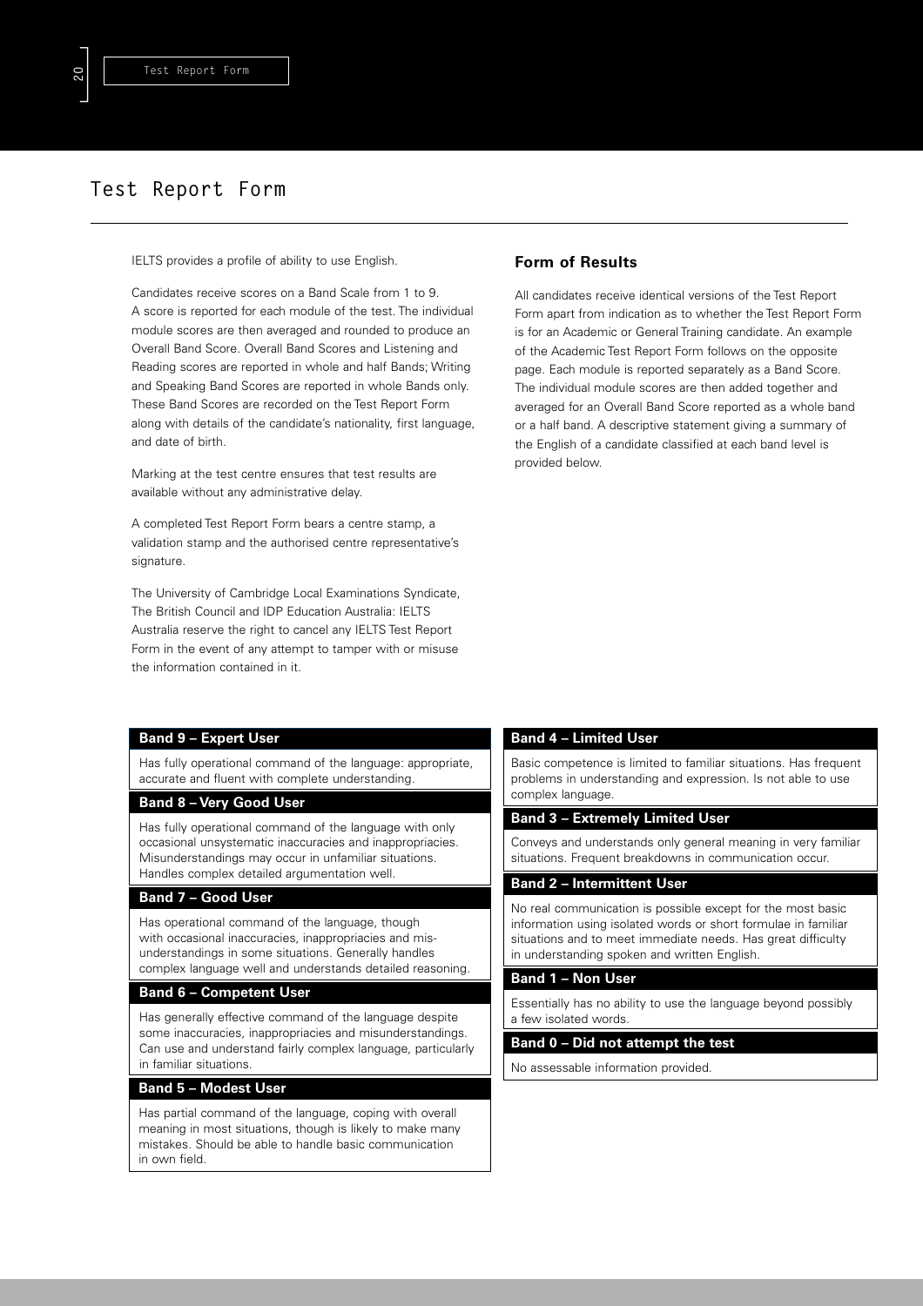# **Test Report Form**

IELTS provides a profile of ability to use English.

Candidates receive scores on a Band Scale from 1 to 9. A score is reported for each module of the test. The individual module scores are then averaged and rounded to produce an Overall Band Score. Overall Band Scores and Listening and Reading scores are reported in whole and half Bands; Writing and Speaking Band Scores are reported in whole Bands only. These Band Scores are recorded on the Test Report Form along with details of the candidate's nationality, first language, and date of birth.

Marking at the test centre ensures that test results are available without any administrative delay.

A completed Test Report Form bears a centre stamp, a validation stamp and the authorised centre representative's signature

The University of Cambridge Local Examinations Syndicate, The British Council and IDP Education Australia: IELTS Australia reserve the right to cancel any IELTS Test Report Form in the event of any attempt to tamper with or misuse the information contained in it.

# **Form of Results**

All candidates receive identical versions of the Test Report Form apart from indication as to whether the Test Report Form is for an Academic or General Training candidate. An example of the Academic Test Report Form follows on the opposite page. Each module is reported separately as a Band Score. The individual module scores are then added together and averaged for an Overall Band Score reported as a whole band or a half band. A descriptive statement giving a summary of the English of a candidate classified at each band level is provided below.

### **Band 9 – Expert User**

Has fully operational command of the language: appropriate, accurate and fluent with complete understanding.

### **Band 8 – Very Good User**

Has fully operational command of the language with only occasional unsystematic inaccuracies and inappropriacies. Misunderstandings may occur in unfamiliar situations. Handles complex detailed argumentation well.

## **Band 7 – Good User**

Has operational command of the language, though with occasional inaccuracies, inappropriacies and misunderstandings in some situations. Generally handles complex language well and understands detailed reasoning.

### **Band 6 – Competent User**

Has generally effective command of the language despite some inaccuracies, inappropriacies and misunderstandings. Can use and understand fairly complex language, particularly in familiar situations.

# **Band 5 – Modest User**

Has partial command of the language, coping with overall meaning in most situations, though is likely to make many mistakes. Should be able to handle basic communication in own field.

## **Band 4 – Limited User**

Basic competence is limited to familiar situations. Has frequent problems in understanding and expression. Is not able to use complex language.

### **Band 3 – Extremely Limited User**

Conveys and understands only general meaning in very familiar situations. Frequent breakdowns in communication occur.

## **Band 2 – Intermittent User**

No real communication is possible except for the most basic information using isolated words or short formulae in familiar situations and to meet immediate needs. Has great difficulty in understanding spoken and written English.

#### **Band 1 – Non User**

Essentially has no ability to use the language beyond possibly a few isolated words.

## **Band 0 – Did not attempt the test**

No assessable information provided.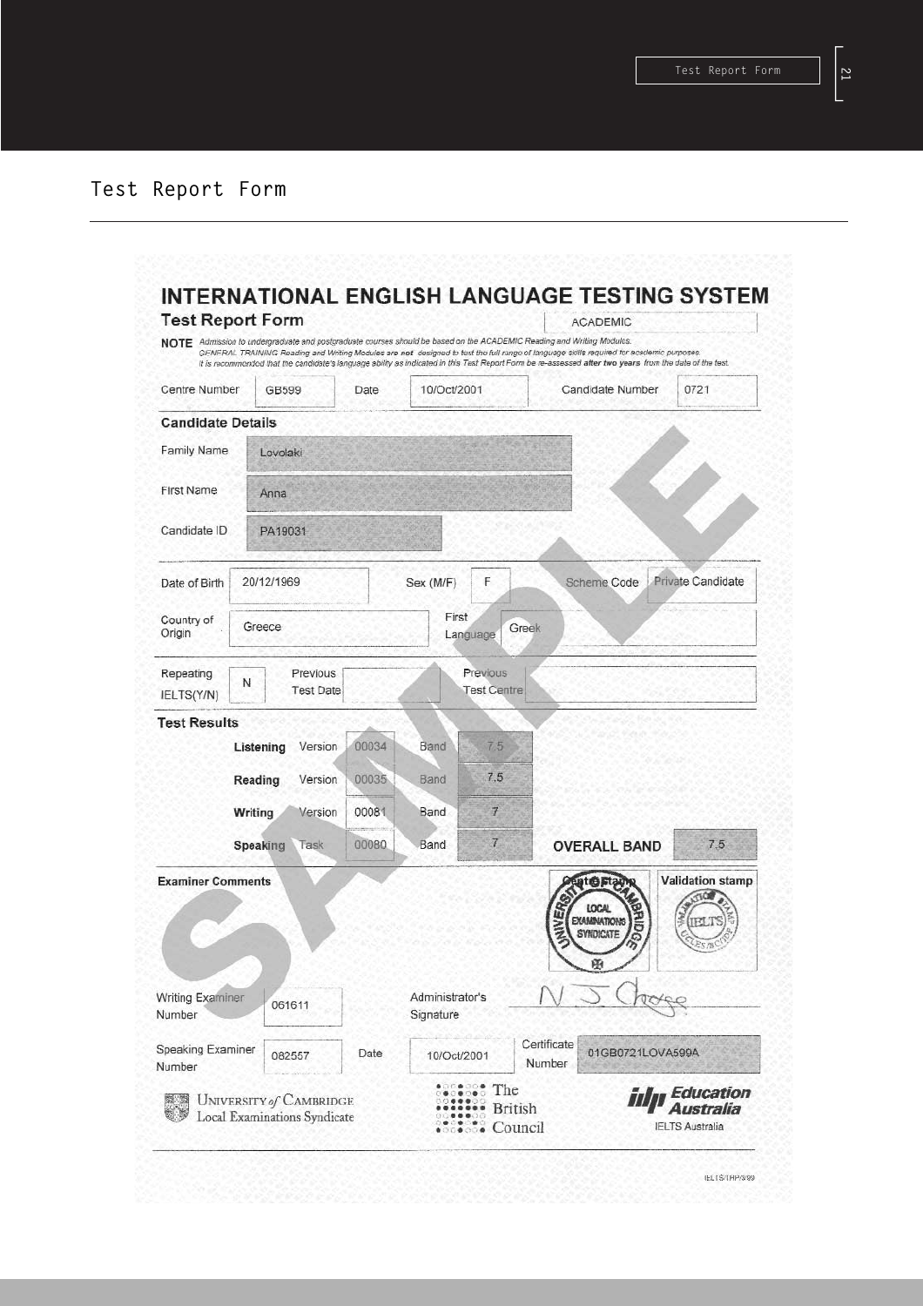| <b>Test Report Form</b>                                                                      |                                                                |                  |       |                                             |                                  | <b>ACADEMIC</b>                                                                                                                                                                                                                                                  |                                                         |
|----------------------------------------------------------------------------------------------|----------------------------------------------------------------|------------------|-------|---------------------------------------------|----------------------------------|------------------------------------------------------------------------------------------------------------------------------------------------------------------------------------------------------------------------------------------------------------------|---------------------------------------------------------|
|                                                                                              |                                                                |                  |       |                                             |                                  | NOTE Admission to undergraduate and postgraduate courses should be based on the ACADEMIC Reading and Writing Modules.<br>GENERAL TRAINING Reading and Writing Modules are not designed to test the full range of language skills required for academic purposes. |                                                         |
| Centre Number                                                                                | <b>GB599</b>                                                   |                  | Date  | 10/Oct/2001                                 |                                  | It is recommended that the candidate's language ability as indicated in this Test Report Form be re-assessed after two years from the date of the test.<br>Candidate Number                                                                                      | 0721                                                    |
| <b>Candidate Details</b>                                                                     |                                                                |                  |       |                                             |                                  |                                                                                                                                                                                                                                                                  |                                                         |
| Family Name                                                                                  | Lovolaki                                                       |                  |       |                                             |                                  |                                                                                                                                                                                                                                                                  |                                                         |
| <b>First Name</b>                                                                            | Anna                                                           |                  |       |                                             |                                  |                                                                                                                                                                                                                                                                  |                                                         |
|                                                                                              |                                                                |                  |       |                                             |                                  |                                                                                                                                                                                                                                                                  |                                                         |
| Candidate ID                                                                                 | PA19031                                                        |                  |       |                                             |                                  |                                                                                                                                                                                                                                                                  |                                                         |
| Date of Birth                                                                                | 20/12/1969                                                     |                  |       | Sex (M/F)                                   | F                                | Scheme Code                                                                                                                                                                                                                                                      | <b>Private Candidate</b>                                |
| Country of                                                                                   |                                                                |                  |       | First                                       |                                  |                                                                                                                                                                                                                                                                  |                                                         |
| Origin                                                                                       | Greece                                                         |                  |       |                                             | Greek<br>Language                |                                                                                                                                                                                                                                                                  |                                                         |
| Repeating                                                                                    | Ν                                                              | Previous         |       |                                             | Previous                         |                                                                                                                                                                                                                                                                  |                                                         |
| IELTS(Y/N)                                                                                   |                                                                | <b>Test Date</b> |       |                                             | <b>Test Centre</b>               |                                                                                                                                                                                                                                                                  |                                                         |
| <b>Test Results</b>                                                                          |                                                                |                  |       |                                             |                                  |                                                                                                                                                                                                                                                                  |                                                         |
|                                                                                              | Listening                                                      | Version          | 00034 | Band                                        | 7.5                              |                                                                                                                                                                                                                                                                  |                                                         |
|                                                                                              | Reading                                                        | Version          | 00035 | Band                                        | 7.5                              |                                                                                                                                                                                                                                                                  |                                                         |
|                                                                                              | Writing                                                        | Version          | 00081 | Band                                        | $\overline{t}$                   |                                                                                                                                                                                                                                                                  |                                                         |
|                                                                                              | Speaking                                                       | Task             | 00080 | Band                                        | 7.                               | <b>OVERALL BAND</b>                                                                                                                                                                                                                                              | 7.5                                                     |
| <b>Examiner Comments</b><br><b>Writing Examiner</b><br>Number<br>Speaking Examiner<br>Number | 061611                                                         | 082557           | Date  | Administrator's<br>Signature<br>10/Oct/2001 |                                  | <b>usted Staun</b><br><b>NIVED</b><br><b>LOCAL</b><br><b>EXAMINATIONS</b><br><b>SYNDICATE</b><br>田<br>Certificate<br>01GB0721LOVA599A<br>Number                                                                                                                  | <b>Validation stamp</b>                                 |
|                                                                                              | UNIVERSITY of CAMBRIDGE<br><b>Local Examinations Syndicate</b> |                  |       |                                             | The<br><b>British</b><br>Council |                                                                                                                                                                                                                                                                  | <b>Education</b><br>Australia<br><b>IELTS Australia</b> |

[**21**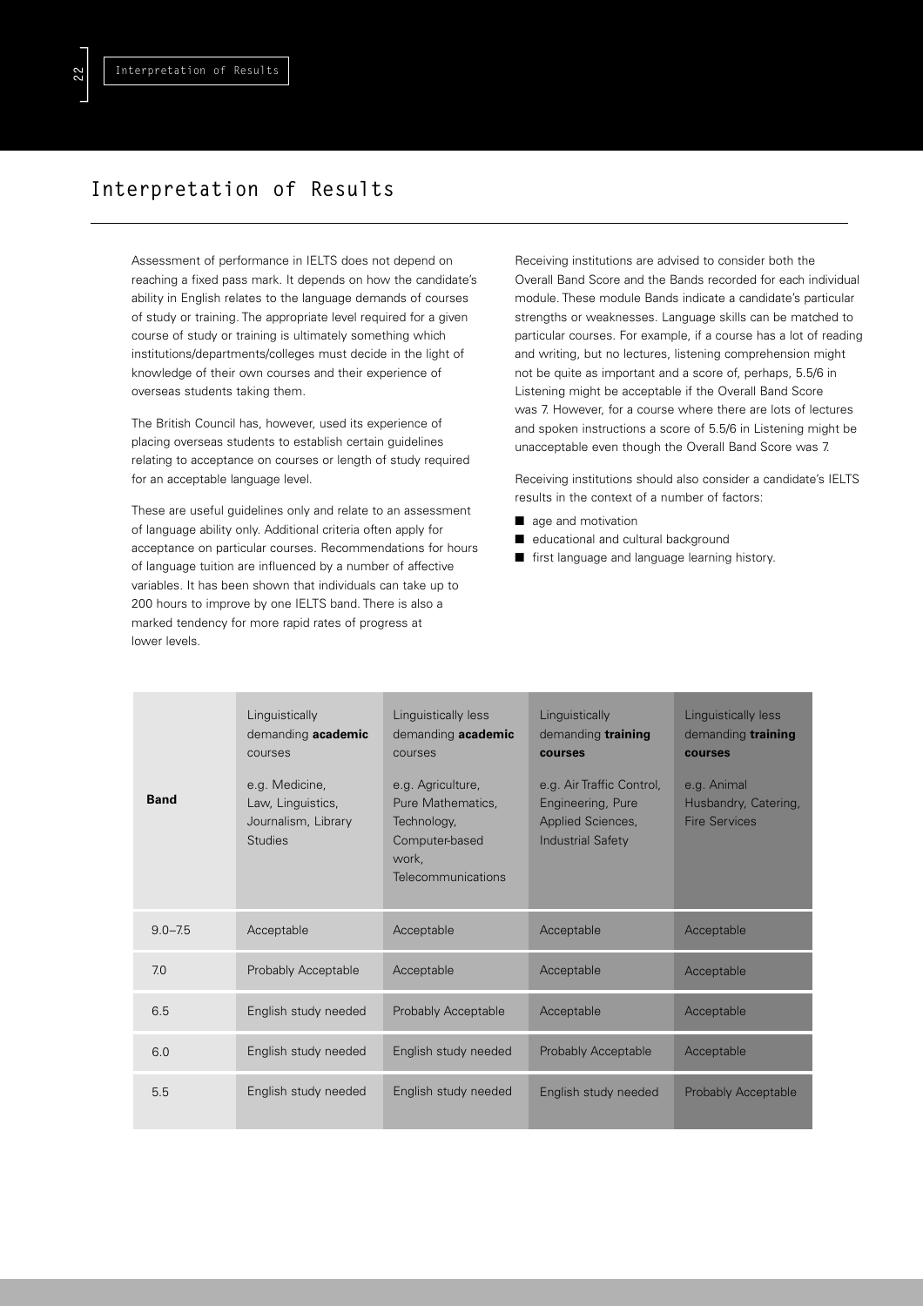# **Interpretation of Results**

Assessment of performance in IELTS does not depend on reaching a fixed pass mark. It depends on how the candidate's ability in English relates to the language demands of courses of study or training. The appropriate level required for a given course of study or training is ultimately something which institutions/departments/colleges must decide in the light of knowledge of their own courses and their experience of overseas students taking them.

The British Council has, however, used its experience of placing overseas students to establish certain guidelines relating to acceptance on courses or length of study required for an acceptable language level.

These are useful guidelines only and relate to an assessment of language ability only. Additional criteria often apply for acceptance on particular courses. Recommendations for hours of language tuition are influenced by a number of affective variables. It has been shown that individuals can take up to 200 hours to improve by one IELTS band. There is also a marked tendency for more rapid rates of progress at lower levels.

Receiving institutions are advised to consider both the Overall Band Score and the Bands recorded for each individual module. These module Bands indicate a candidate's particular strengths or weaknesses. Language skills can be matched to particular courses. For example, if a course has a lot of reading and writing, but no lectures, listening comprehension might not be quite as important and a score of, perhaps, 5.5/6 in Listening might be acceptable if the Overall Band Score was 7. However, for a course where there are lots of lectures and spoken instructions a score of 5.5/6 in Listening might be unacceptable even though the Overall Band Score was 7.

Receiving institutions should also consider a candidate's IELTS results in the context of a number of factors:

- age and motivation
- educational and cultural background
- first language and language learning history.

| <b>Band</b> | Linguistically<br>demanding academic<br>courses<br>e.g. Medicine,<br>Law, Linguistics,<br>Journalism, Library<br><b>Studies</b> | Linguistically less<br>demanding academic<br>courses<br>e.g. Agriculture,<br>Pure Mathematics,<br>Technology,<br>Computer-based<br>work.<br>Telecommunications | Linguistically<br>demanding training<br>courses<br>e.g. Air Traffic Control,<br>Engineering, Pure<br>Applied Sciences,<br><b>Industrial Safety</b> | Linguistically less<br>demanding training<br>courses<br>e.g. Animal<br>Husbandry, Catering,<br><b>Fire Services</b> |
|-------------|---------------------------------------------------------------------------------------------------------------------------------|----------------------------------------------------------------------------------------------------------------------------------------------------------------|----------------------------------------------------------------------------------------------------------------------------------------------------|---------------------------------------------------------------------------------------------------------------------|
| $9.0 - 7.5$ | Acceptable                                                                                                                      | Acceptable                                                                                                                                                     | Acceptable                                                                                                                                         | Acceptable                                                                                                          |
|             |                                                                                                                                 |                                                                                                                                                                |                                                                                                                                                    |                                                                                                                     |
| 7.0         | Probably Acceptable                                                                                                             | Acceptable                                                                                                                                                     | Acceptable                                                                                                                                         | Acceptable                                                                                                          |
| 6.5         | English study needed                                                                                                            | Probably Acceptable                                                                                                                                            | Acceptable                                                                                                                                         | Acceptable                                                                                                          |
| 6.0         | English study needed                                                                                                            | English study needed                                                                                                                                           | Probably Acceptable                                                                                                                                | Acceptable                                                                                                          |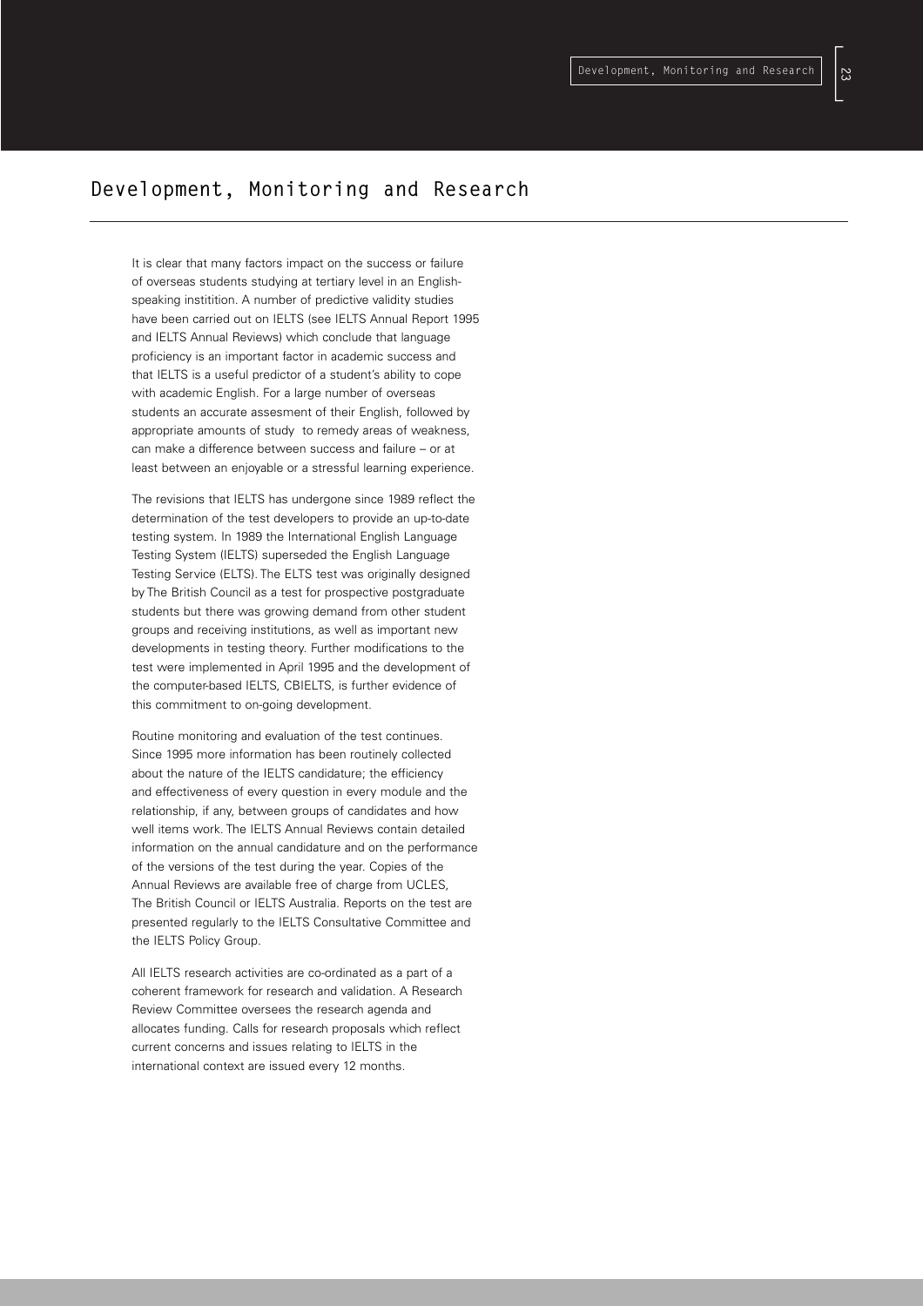# **Development, Monitoring and Research**

It is clear that many factors impact on the success or failure of overseas students studying at tertiary level in an Englishspeaking institition. A number of predictive validity studies have been carried out on IELTS (see IELTS Annual Report 1995 and IELTS Annual Reviews) which conclude that language proficiency is an important factor in academic success and that IELTS is a useful predictor of a student's ability to cope with academic English. For a large number of overseas students an accurate assesment of their English, followed by appropriate amounts of study to remedy areas of weakness, can make a difference between success and failure – or at least between an enjoyable or a stressful learning experience.

The revisions that IELTS has undergone since 1989 reflect the determination of the test developers to provide an up-to-date testing system. In 1989 the International English Language Testing System (IELTS) superseded the English Language Testing Service (ELTS). The ELTS test was originally designed by The British Council as a test for prospective postgraduate students but there was growing demand from other student groups and receiving institutions, as well as important new developments in testing theory. Further modifications to the test were implemented in April 1995 and the development of the computer-based IELTS, CBIELTS, is further evidence of this commitment to on-going development.

Routine monitoring and evaluation of the test continues. Since 1995 more information has been routinely collected about the nature of the IELTS candidature; the efficiency and effectiveness of every question in every module and the relationship, if any, between groups of candidates and how well items work. The IELTS Annual Reviews contain detailed information on the annual candidature and on the performance of the versions of the test during the year. Copies of the Annual Reviews are available free of charge from UCLES, The British Council or IELTS Australia. Reports on the test are presented regularly to the IELTS Consultative Committee and the IELTS Policy Group.

All IELTS research activities are co-ordinated as a part of a coherent framework for research and validation. A Research Review Committee oversees the research agenda and allocates funding. Calls for research proposals which reflect current concerns and issues relating to IELTS in the international context are issued every 12 months.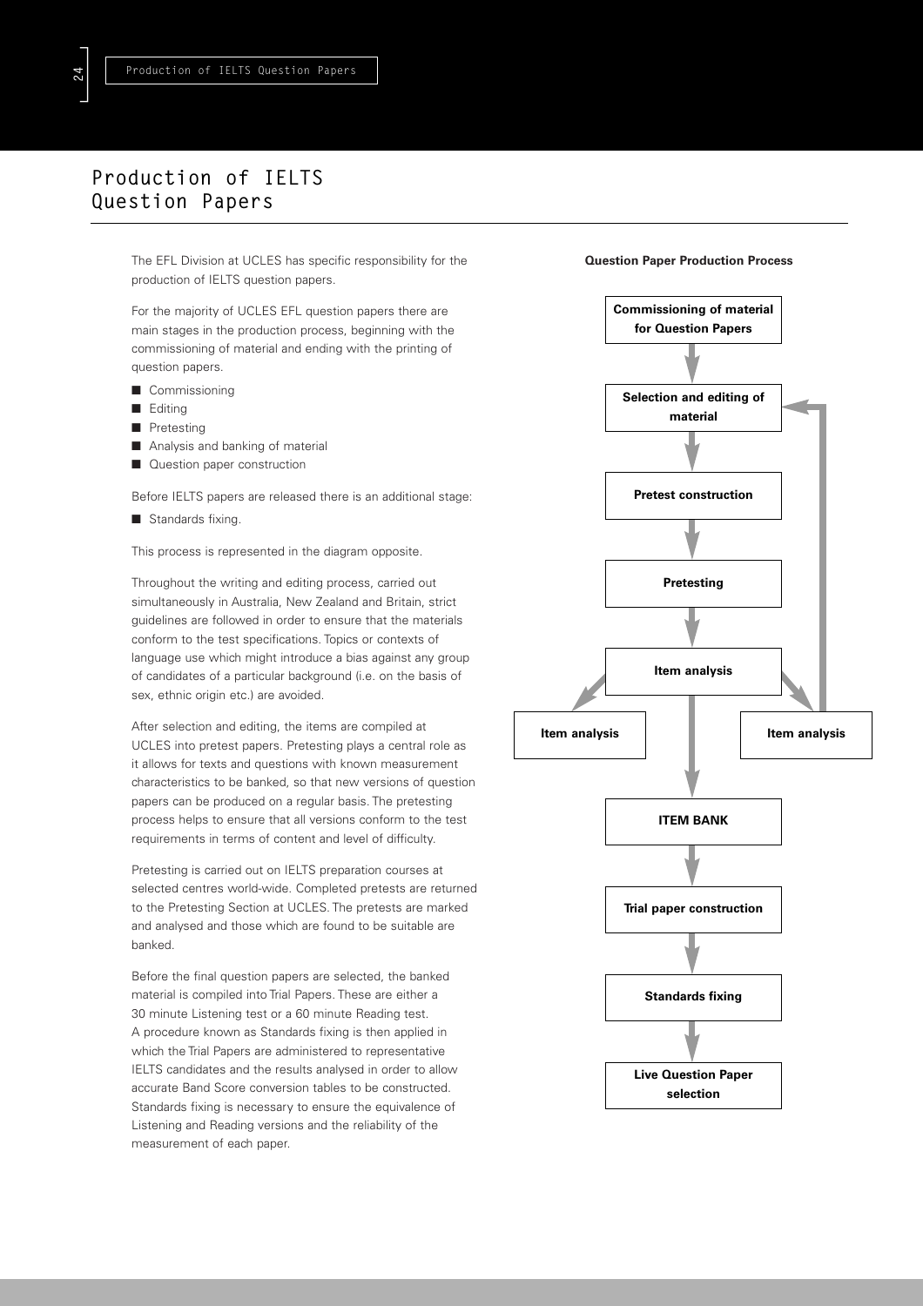# **Production of IELTS Question Papers**

The EFL Division at UCLES has specific responsibility for the production of IELTS question papers.

For the majority of UCLES EFL question papers there are main stages in the production process, beginning with the commissioning of material and ending with the printing of question papers.

- Commissioning
- Editing
- Pretesting
- Analysis and banking of material
- Question paper construction

Before IELTS papers are released there is an additional stage:

■ Standards fixing.

This process is represented in the diagram opposite.

Throughout the writing and editing process, carried out simultaneously in Australia, New Zealand and Britain, strict guidelines are followed in order to ensure that the materials conform to the test specifications. Topics or contexts of language use which might introduce a bias against any group of candidates of a particular background (i.e. on the basis of sex, ethnic origin etc.) are avoided.

After selection and editing, the items are compiled at UCLES into pretest papers. Pretesting plays a central role as it allows for texts and questions with known measurement characteristics to be banked, so that new versions of question papers can be produced on a regular basis. The pretesting process helps to ensure that all versions conform to the test requirements in terms of content and level of difficulty.

Pretesting is carried out on IELTS preparation courses at selected centres world-wide. Completed pretests are returned to the Pretesting Section at UCLES. The pretests are marked and analysed and those which are found to be suitable are banked.

Before the final question papers are selected, the banked material is compiled into Trial Papers. These are either a 30 minute Listening test or a 60 minute Reading test. A procedure known as Standards fixing is then applied in which the Trial Papers are administered to representative IELTS candidates and the results analysed in order to allow accurate Band Score conversion tables to be constructed. Standards fixing is necessary to ensure the equivalence of Listening and Reading versions and the reliability of the measurement of each paper.

### **Question Paper Production Process**

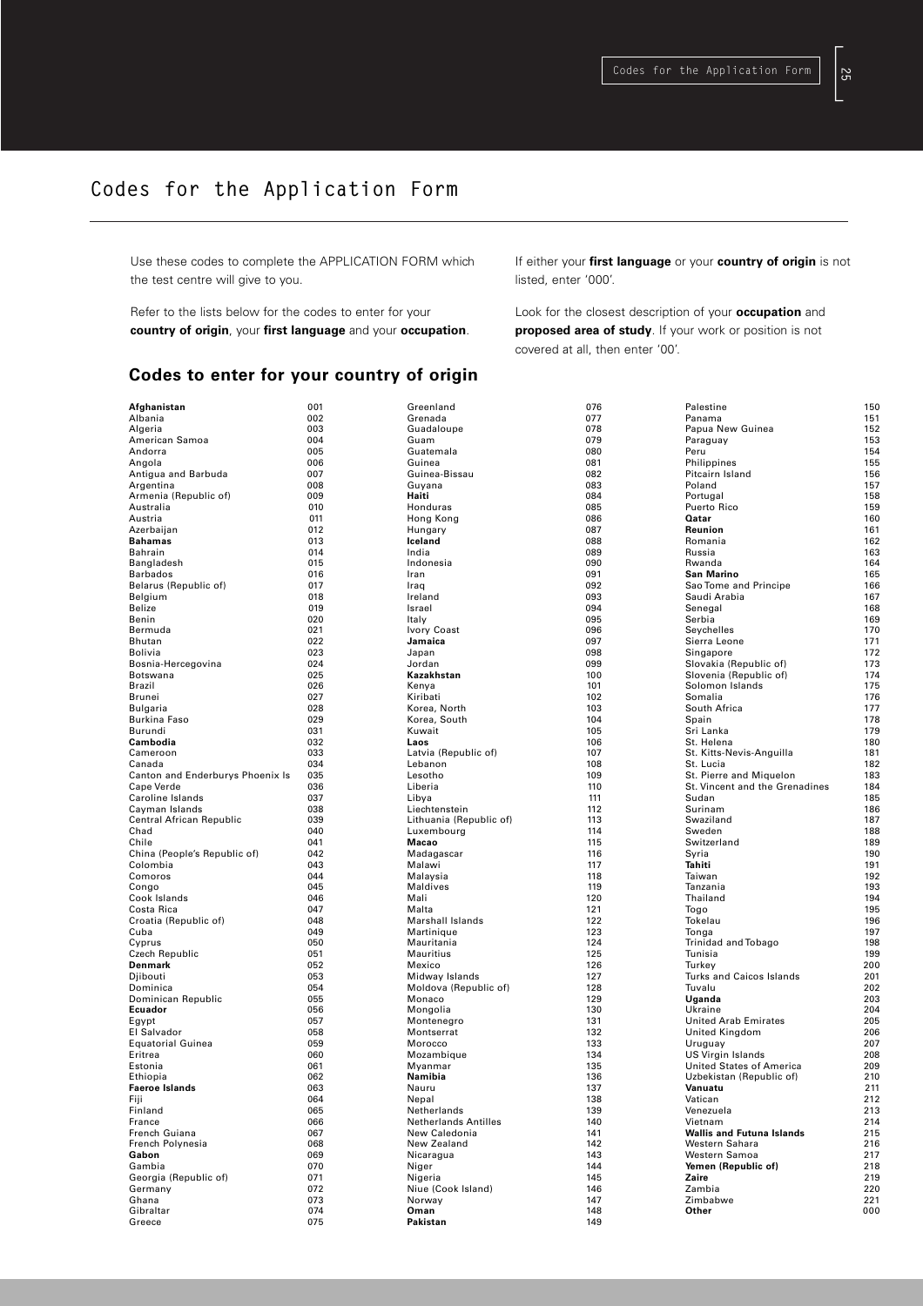[**25**

# **Codes for the Application Form**

Use these codes to complete the APPLICATION FORM which the test centre will give to you.

Refer to the lists below for the codes to enter for your **country of origin**, your **first language** and your **occupation**.

If either your **first language** or your **country of origin** is not listed, enter '000'.

Look for the closest description of your **occupation** and **proposed area of study**. If your work or position is not covered at all, then enter '00'.

# **Codes to enter for your country**

| Afghanistan                                    | 001        |
|------------------------------------------------|------------|
| Albania<br>Algeria                             | 002<br>003 |
| American Samoa                                 | 004        |
| Andorra                                        | 005        |
| Angola                                         | 006        |
| Antigua and Barbuda                            | 007        |
| Argentina                                      | 008        |
| Armenia (Republic of)                          | 009        |
| Australia                                      | 010        |
| Austria<br>Azerbaijan                          | 011<br>012 |
| <b>Bahamas</b>                                 | 013        |
| Bahrain                                        | 014        |
| Bangladesh                                     | 015        |
| <b>Barbados</b>                                | 016        |
| Belarus (Republic of)                          | 017        |
| Belgium<br>Belize                              | 018<br>019 |
| Benin                                          | 020        |
| Bermuda                                        | 021        |
| <b>Bhutan</b>                                  | 022        |
| Bolivia                                        | 023        |
| Bosnia-Hercegovina                             | 024        |
| Botswana                                       | 025        |
| Brazil<br>Brunei                               | 026<br>027 |
| Bulgaria                                       | 028        |
| Burkina Faso                                   | 029        |
| Burundi                                        | 031        |
| Cambodia                                       | 032        |
| Cameroon                                       | 033        |
| Canada                                         | 034<br>035 |
| Canton and Enderburys Phoenix Is<br>Cape Verde | 036        |
| Caroline Islands                               | 037        |
| Cayman Islands                                 | 038        |
| Central African Republic                       | 039        |
| Chad                                           | 040        |
| Chile                                          | 041        |
| China (People's Republic of)<br>Colombia       | 042<br>043 |
| Comoros                                        | 044        |
| Congo                                          | 045        |
| Cook Islands                                   | 046        |
| Costa Rica                                     | 047        |
| Croatia (Republic of)                          | 048        |
| Cuba                                           | 049<br>050 |
| Cyprus<br>Czech Republic                       | 051        |
| Denmark                                        | 052        |
| Djibouti                                       | 053        |
| Dominica                                       | 054        |
| Dominican Republic                             | 055        |
| Ecuador                                        | 056        |
| Egypt<br>El Salvador                           | 057<br>058 |
| <b>Equatorial Guinea</b>                       | 059        |
| Eritrea                                        | 060        |
| Estonia                                        | 061        |
| Ethiopia                                       | 062        |
| <b>Faeroe Islands</b>                          | 063        |
| Fiji<br>Finland                                | Ub4<br>065 |
| France                                         | 066        |
| French Guiana                                  | 067        |
| French Polynesia                               | 068        |
| Gabon                                          | 069        |
| Gambia                                         | 070        |
| Georgia (Republic of)<br>Germany               | 071<br>072 |
| Ghana                                          | 073        |
| Gibraltar                                      | 074        |
| Greece                                         | 075        |

| <sup>,</sup> of origin          |            |
|---------------------------------|------------|
| Greenland                       | 076        |
| Grenada                         | 077        |
| Guadaloupe                      | 078        |
| Guam<br>Guatemala               | 079<br>080 |
| Guinea                          | 081        |
| Guinea-Bissau                   | 082        |
| Guyana                          | 083        |
| Haiti                           | 084        |
| Honduras                        | 085        |
| Hong Kong                       | 086        |
| Hungary<br>Iceland              | 087<br>088 |
| India                           | 089        |
| Indonesia                       | 090        |
| Iran                            | 091        |
| Iraq                            | 092        |
| Ireland<br>Israel               | 093<br>094 |
| Italy                           | 095        |
| Ivory Coast                     | 096        |
| Jamaica                         | 097        |
| Japan                           | 098        |
| Jordan                          | 099        |
| Kazakhstan<br>Kenya             | 100        |
| Kiribati                        | 101<br>102 |
| Korea, North                    | 103        |
| Korea, South                    | 104        |
| Kuwait                          | 105        |
| Laos                            | 106        |
| Latvia (Republic of)            | 107<br>108 |
| Lebanon<br>Lesotho              | 109        |
| Liberia                         | 110        |
| Libya                           | 111        |
| Liechtenstein                   | 112        |
| Lithuania (Republic of)         | 113        |
| Luxembourg<br>Macao             | 114<br>115 |
| Madagascar                      | 116        |
| Malawi                          | 117        |
| Malaysia                        | 118        |
| Maldives                        | 119        |
| Mali                            | 120        |
| Malta<br>Marshall Islands       | 121<br>122 |
| Martinique                      | 123        |
| Mauritania                      | 124        |
| Mauritius                       | 125        |
| Mexico                          | 126        |
| Midway Islands                  | 127        |
| Moldova (Republic of)<br>Monaco | 128<br>129 |
| Mongolia                        | 130        |
| Montenegro                      | 131        |
| Montserrat                      | 132        |
| Morocco                         | 133        |
| Mozambique                      | 134        |
| iviyanmar<br>Namibia            | 135<br>136 |
| Nauru                           | 137        |
| Nepal                           | 138        |
| Netherlands                     | 139        |
| <b>Netherlands Antilles</b>     | 140        |
| New Caledonia                   | 141        |
| New Zealand                     | 142        |
| Nicaragua<br>Niger              | 143<br>144 |
| Nigeria                         | 145        |
| Niue (Cook Island)              | 146        |
| Norway                          | 147        |
| Oman                            | 148        |
| Pakistan                        | 149        |

| Palestine                        | 150 |
|----------------------------------|-----|
|                                  |     |
| Panama                           | 151 |
| Papua New Guinea                 | 152 |
| Paraguay                         | 153 |
| Peru                             | 154 |
| Philippines                      | 155 |
| Pitcairn Island                  | 156 |
| Poland                           | 157 |
| Portugal                         | 158 |
| Puerto Rico                      | 159 |
| Qatar                            | 160 |
| Reunion                          | 161 |
| Romania                          | 162 |
| Russia                           | 163 |
|                                  |     |
| Rwanda                           | 164 |
| San Marino                       | 165 |
| Sao Tome and Principe            | 166 |
| Saudi Arabia                     | 167 |
| Senegal                          | 168 |
| Serbia                           | 169 |
| Seychelles                       | 170 |
| Sierra Leone                     | 171 |
| Singapore                        | 172 |
| Slovakia (Republic of)           | 173 |
| Slovenia (Republic of)           | 174 |
| Solomon Islands                  | 175 |
|                                  |     |
| Somalia                          | 176 |
| South Africa                     | 177 |
| Spain                            | 178 |
| Sri Lanka                        | 179 |
| St. Helena                       | 180 |
| St. Kitts-Nevis-Anguilla         | 181 |
| St. Lucia                        | 182 |
| St. Pierre and Miquelon          | 183 |
| St. Vincent and the Grenadines   | 184 |
| Sudan                            | 185 |
| Surinam                          | 186 |
| Swaziland                        | 187 |
| Sweden                           | 188 |
| Switzerland                      | 189 |
| Syria                            | 190 |
| Tahiti                           | 191 |
| Taiwan                           | 192 |
| Tanzania                         | 193 |
|                                  |     |
| Thailand                         | 194 |
| Togo                             | 195 |
| Tokelau                          | 196 |
| Tonga                            | 197 |
| Trinidad and Tobago              | 198 |
| Tunisia                          | 199 |
| Turkey                           | 200 |
| Turks and Caicos Islands         | 201 |
| Tuvalu                           | 202 |
| Uganda                           | 203 |
| Ukraine                          | 204 |
| <b>United Arab Emirates</b>      | 205 |
| United Kingdom                   | 206 |
|                                  | 207 |
| Uruguay                          |     |
| US Virgin Islands                | 208 |
| <b>United States of America</b>  | 209 |
| Uzbekistan (Republic of)         | 210 |
| Vanuatu                          | 211 |
| Vatican                          | 212 |
| Venezuela                        | 213 |
| Vietnam                          | 214 |
| <b>Wallis and Futuna Islands</b> | 215 |
| Western Sahara                   | 216 |
| Western Samoa                    | 217 |
| Yemen (Republic of)              | 218 |
| Zaire                            | 219 |
| Zambia                           | 220 |
| Zimbabwe                         | 221 |
| Other                            | 000 |
|                                  |     |
|                                  |     |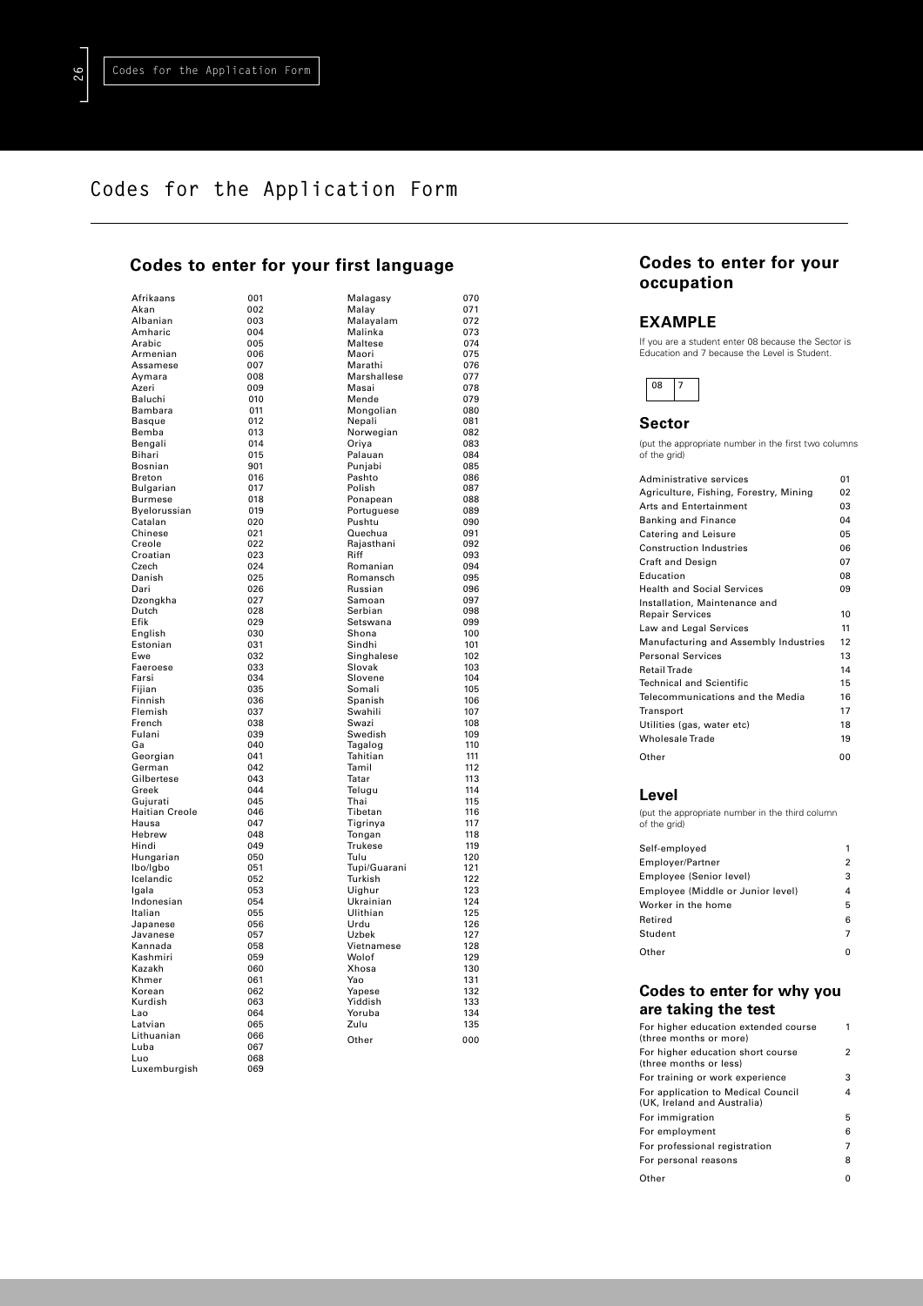]**26**

# **Codes for the Application Form**

# **Codes to enter for your first language**

| Afrikaans             | 001        |
|-----------------------|------------|
| Akan                  | 002        |
| Albanian              | 003        |
| Amharic               | 004        |
| Arabic                | 005        |
| Armenian              | 006        |
| Assamese              | 007        |
| Aymara                | 008        |
| Azeri                 | 009        |
| Baluchi               | 010        |
| Bambara               | 011        |
| <b>Basque</b>         | 012        |
| Bemba                 | 013        |
| Bengali               | 014        |
| Bihari<br>Bosnian     | 015<br>901 |
| <b>Breton</b>         | 016        |
| Bulgarian             | 017        |
| <b>Burmese</b>        | 018        |
| Byelorussian          | 019        |
| Catalan               | 020        |
| Chinese               | 021        |
| Creole                | 022        |
| Croatian              | 023        |
| Czech                 | 024        |
| Danish                | 025        |
| Dari                  | 026        |
| Dzongkha              | 027        |
| Dutch                 | 028        |
| Efik                  | 029        |
| English               | 030        |
| Estonian              | 031        |
| Ewe                   | 032        |
| Faeroese<br>Farsi     | 033<br>034 |
| Fijian                | 035        |
| Finnish               | 036        |
| Flemish               | 037        |
| French                | 038        |
| Fulani                | 039        |
| Ga                    | 040        |
| Georgian              | 041        |
| German                | 042        |
| Gilbertese            | 043        |
| Greek                 | 044        |
| Gujurati              | 045        |
| Haitian Creole        | 046        |
| Hausa                 | 047        |
| Hebrew                | 048        |
| Hindi                 | 049        |
| Hungarian             | 050<br>051 |
| lbo/lgbo<br>Icelandic | 052        |
| Igala                 | 053        |
| Indonesian            | 054        |
| Italian               | 055        |
| Japanese              | 056        |
| Javanese              | 057        |
| Kannada               | 058        |
| Kashmiri              | 059        |
| Kazakh                | 060        |
| Khmer                 | 061        |
| Korean                | 062        |
| Kurdish               | 063        |
| L<br>.ao              | 064        |
| Latvian               | 065        |
| Lithuanian            | 066        |
| Luba                  | 067        |
| Luo                   | 068        |
| Luxemburgish          | 069        |

| first                 |              | language |            |
|-----------------------|--------------|----------|------------|
| Malagasy              |              |          | 070        |
| Malay                 |              |          | 071        |
| Malayalam             |              |          | 072        |
| Malinka               |              |          | 073        |
| Maltese<br>Maori      |              |          | 074<br>075 |
| Marathi               |              |          | 076        |
|                       | Marshallese  |          | 077        |
| Masai                 |              |          | 078        |
| Mende                 |              |          | 079        |
| Mongolian             |              |          | 080        |
| Nepali                |              |          | 081        |
| Norwegian<br>Oriya    |              |          | 082<br>083 |
| Palauan               |              |          | 084        |
| Punjabi               |              |          | 085        |
| Pashto                |              |          | 086        |
| Polish                |              |          | 087        |
| Ponapean              |              |          | 088        |
|                       | Portuguese   |          | 089        |
| Pushtu                |              |          | 090        |
| Quechua<br>Rajasthani |              |          | 091<br>092 |
| Riff                  |              |          | 093        |
| Romanian              |              |          | 094        |
| Romansch              |              |          | 095        |
| Russian               |              |          | 096        |
| Samoan                |              |          | 097        |
| Serbian               |              |          | 098        |
| Setswana<br>Shona     |              |          | 099<br>100 |
| Sindhi                |              |          | 101        |
| Singhalese            |              |          | 102        |
| Slovak                |              |          | 103        |
| Slovene               |              |          | 104        |
| Somali                |              |          | 105        |
| Spanish               |              |          | 106        |
| Swahili               |              |          | 107        |
| Swazi<br>Swedish      |              |          | 108<br>109 |
| Tagalog               |              |          | 110        |
| Tahitian              |              |          | 111        |
| Tamil                 |              |          | 112        |
| Tatar                 |              |          | 113        |
| Telugu                |              |          | 114        |
| Thai                  |              |          | 115        |
| Tibetan               |              |          | 116        |
| Tigrinya              |              |          | 117<br>118 |
| Tongan<br>Trukese     |              |          | 119        |
| Tulu                  |              |          | 120        |
|                       | Tupi/Guarani |          | 121        |
| Turkish               |              |          | 122        |
| Uighur                |              |          | 123        |
| Ukrainian             |              |          | 124        |
| Ulithian              |              |          | 125        |
| Urdu<br>Uzbek         |              |          | 126<br>127 |
|                       | Vietnamese   |          | 128        |
| Wolof                 |              |          | 129        |
| Xhosa                 |              |          | 130        |
| Yao                   |              |          | 131        |
| Yapese                |              |          | 132        |
| Yiddish               |              |          | 133        |
| Yoruba                |              |          | 134<br>135 |
| Zulu                  |              |          |            |
| Other                 |              |          | 000        |
|                       |              |          |            |

074

092

 $097$ 098  $099$ 

 $102$ 

 $\frac{115}{116}$ 

 $\frac{118}{117}$ 

 $\frac{1}{122}$ 

 $127$ 

# **Codes to enter for your occupation**

### **EXAMPLE**

If you are a student enter 08 because the Sector is Education and 7 because the Level is Student.



# **Sector**

(put the appropriate number in the first two columns of the grid)

| Administrative services                | 01 |
|----------------------------------------|----|
| Agriculture, Fishing, Forestry, Mining | 02 |
| <b>Arts and Entertainment</b>          | 03 |
| <b>Banking and Finance</b>             | 04 |
| Catering and Leisure                   | 05 |
| <b>Construction Industries</b>         | 06 |
| <b>Craft and Design</b>                | 07 |
| Education                              | 08 |
| <b>Health and Social Services</b>      | 09 |
| Installation, Maintenance and          |    |
| <b>Repair Services</b>                 | 10 |
| Law and Legal Services                 | 11 |
| Manufacturing and Assembly Industries  | 12 |
| <b>Personal Services</b>               | 13 |
| <b>Retail Trade</b>                    | 14 |
| <b>Technical and Scientific</b>        | 15 |
| Telecommunications and the Media       | 16 |
| Transport                              | 17 |
| Utilities (gas, water etc)             | 18 |
| <b>Wholesale Trade</b>                 | 19 |
| Other                                  | 00 |

## **Level**

(put the appropriate number in the third column of the grid)

| Self-employed                     | 1              |
|-----------------------------------|----------------|
| Employer/Partner                  | $\overline{2}$ |
| Employee (Senior level)           | 3              |
| Employee (Middle or Junior level) | 4              |
| Worker in the home                | 5              |
| Retired                           | 6              |
| Student                           | $\overline{7}$ |
| Other                             |                |
|                                   |                |

# **Codes to enter for why you are taking the test**

| For higher education extended course<br>(three months or more)    |   |
|-------------------------------------------------------------------|---|
| For higher education short course<br>(three months or less)       | 2 |
| For training or work experience                                   | 3 |
| For application to Medical Council<br>(UK, Ireland and Australia) | 4 |
| For immigration                                                   | 5 |
| For employment                                                    | 6 |
| For professional registration                                     | 7 |
| For personal reasons                                              | 8 |
|                                                                   |   |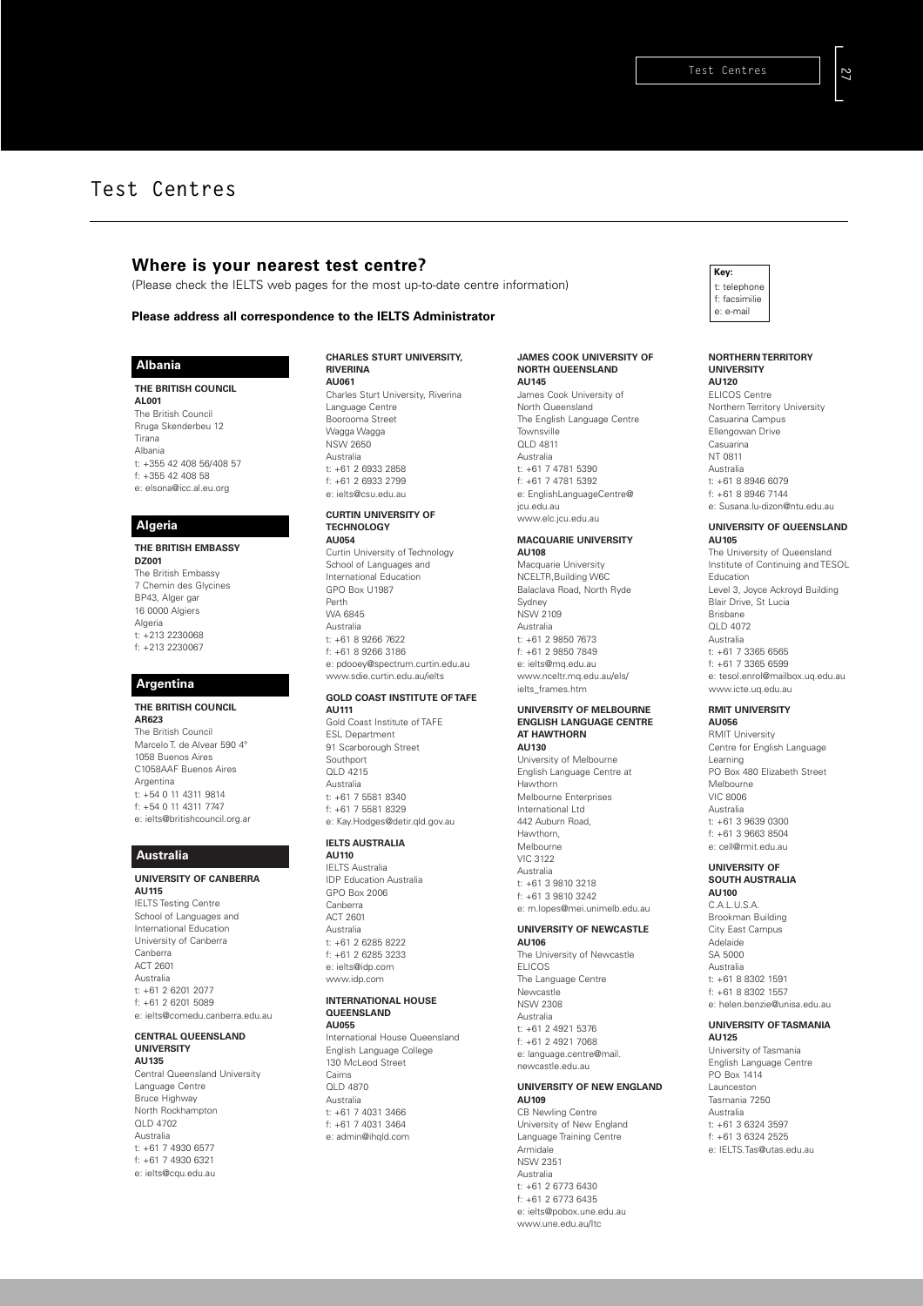# **Where is your nearest test centre?**

(Please check the IELTS web pages for the most up-to-date centre information)

### **Please address all correspondence to the IELTS Administrator**

### **Albania**

#### **THE BRITISH COUNCIL**

**AL001** The British Council Rruga Skenderbeu 12 Tirana Albania t: +355 42 408 56/408 57 f: +355 42 408 58 e: elsona@icc.al.eu.org

#### **Algeria**

#### **THE BRITISH EMBASSY**

**DZ001** The British Embassy 7 Chemin des Glycines BP43, Alger gar 16 0000 Algiers Algeria t: +213 2230068 f: +213 2230067

### **Argentina**

**THE BRITISH COUNCIL AR623** The British Council Marcelo T. de Alvear 590 4º 1058 Buenos Aires C1058AAF Buenos Aires Argentina t: +54 0 11 4311 9814 f: +54 0 11 4311 7747 e: ielts@britishcouncil.org.ar

#### **Australia**

#### **UNIVERSITY OF CANBERRA AU115** IELTS Testing Centre

School of Languages and International Education University of Canberra Canberra ACT 2601 Australia t: +61 2 6201 2077 f: +61 2 6201 5089 e: ielts@comedu.canberra.edu.au

### **CENTRAL QUEENSLAND UNIVERSITY**

**AU135** Central Queensland University Language Centre Bruce Highway North Rockhampton QLD 4702 Australia t: +61 7 4930 6577 f: +61 7 4930 6321 e: ielts@cqu.edu.au

### **CHARLES STURT UNIVERSITY, RIVERINA**

**AU061** Charles Sturt University, Riverina Language Centre Boorooma Street Wagga Wagga NSW 2650 Australia t: +61 2 6933 2858 f: +61 2 6933 2799 e: ielts@csu.edu.au

#### **CURTIN UNIVERSITY OF TECHNOLOGY AU054**

Curtin University of Technology School of Languages and International Education GPO Box U1987 Perth WA 6845 Australia t: +61 8 9266 7622  $f: 461 8 9266 3186$ e: pdooey@spectrum.curtin.edu.au www.sdie.curtin.edu.au/ielts

#### **GOLD COAST INSTITUTE OF TAFE AU111**

Gold Coast Institute of TAFE ESL Department 91 Scarborough Street Southport QLD 4215 Australia t: +61 7 5581 8340 f: +61 7 5581 8329 e: Kay.Hodges@detir.qld.gov.au

#### **IELTS AUSTRALIA AU110**

IELTS Australia IDP Education Australia GPO Box 2006 Canberra ACT 2601 Australia t: +61 2 6285 8222 f: +61 2 6285 3233 e: ielts@idp.com www.idp.com

### **INTERNATIONAL HOUSE QUEENSLAND**

**AU055** International House Queensland English Language College 130 McLeod Street Cairns QLD 4870 Australia t: +61 7 4031 3466 f: +61 7 4031 3464 e: admin@ihqld.com

#### **JAMES COOK UNIVERSITY OF NORTH QUEENSLAND AU145**

James Cook University of North Queensland The English Language Centre **Townsville** QLD 4811 Australia  $t: +61$  7 4781 5390 f: +61 7 4781 5392 e: EnglishLanguageCentre@ jcu.edu.au www.elc.jcu.edu.au

#### **MACQUARIE UNIVERSITY AU108**

Macquarie University NCELTR,Building W6C Balaclava Road, North Ryde Sydney NSW 2109 Australia t: +61 2 9850 7673 f: +61 2 9850 7849 e: ielts@mq.edu.au www.nceltr.mq.edu.au/els/ ielts\_frames.htm

#### **UNIVERSITY OF MELBOURNE ENGLISH LANGUAGE CENTRE AT HAWTHORN AU130**

University of Melbourne English Language Centre at Hawthorn Melbourne Enterprises International Ltd 442 Auburn Road, Hawthorn, Melbourne VIC 3122 Australia t: +61 3 9810 3218 f: +61 3 9810 3242 e: m.lopes@mei.unimelb.edu.au

#### **UNIVERSITY OF NEWCASTLE AU106**

The University of Newcastle ELICOS The Language Centre Newcastle NSW 2308 Australia t: +61 2 4921 5376 f: +61 2 4921 7068 e: language.centre@mail. newcastle.edu.au

#### **UNIVERSITY OF NEW ENGLAND AU109** CB Newling Centre

University of New England Language Training Centre Armidale NSW 2351 Australia t: +61 2 6773 6430 f: +61 2 6773 6435 e: ielts@pobox.une.edu.au www.une.edu.au/Itc

#### **Key:** telephone f: facsimilie e: e-mail

#### **NORTHERN TERRITORY UNIVERSITY AU120** ELICOS Centre Northern Territory University Casuarina Campus

Ellengowan Drive Casuarina NT 0811 Australia t: +61 8 8946 6079 f: +61 8 8946 7144 e: Susana.lu-dizon@ntu.edu.au

#### **UNIVERSITY OF QUEENSLAND AU105**

The University of Queensland Institute of Continuing and TESOL Education Level 3, Joyce Ackroyd Building Blair Drive, St Lucia Brisbane QLD 4072 Australia t: +61 7 3365 6565 f: +61 7 3365 6599 e: tesol.enrol@mailbox.uq.edu.au www.icte.uq.edu.au

### **RMIT UNIVERSITY**

**AU056** RMIT University Centre for English Language Learning PO Box 480 Elizabeth Street Melbourne VIC 8006 Australia  $t: 781 3 9839 0300$  $f: +61$  3 9663 8504 e: cell@rmit.edu.au

#### **UNIVERSITY OF SOUTH AUSTRALIA AU100**

C.A.L.U.S.A. Brookman Building City East Campus Adelaide SA 5000 Australia t: +61 8 8302 1591 f: +61 8 8302 1557 e: helen.benzie@unisa.edu.au

### **UNIVERSITY OF TASMANIA**

**AU125** University of Tasmania English Language Centre PO Box 1414 Launceston Tasmania 7250 Australia t: +61 3 6324 3597 f: +61 3 6324 2525 e: IELTS.Tas@utas.edu.au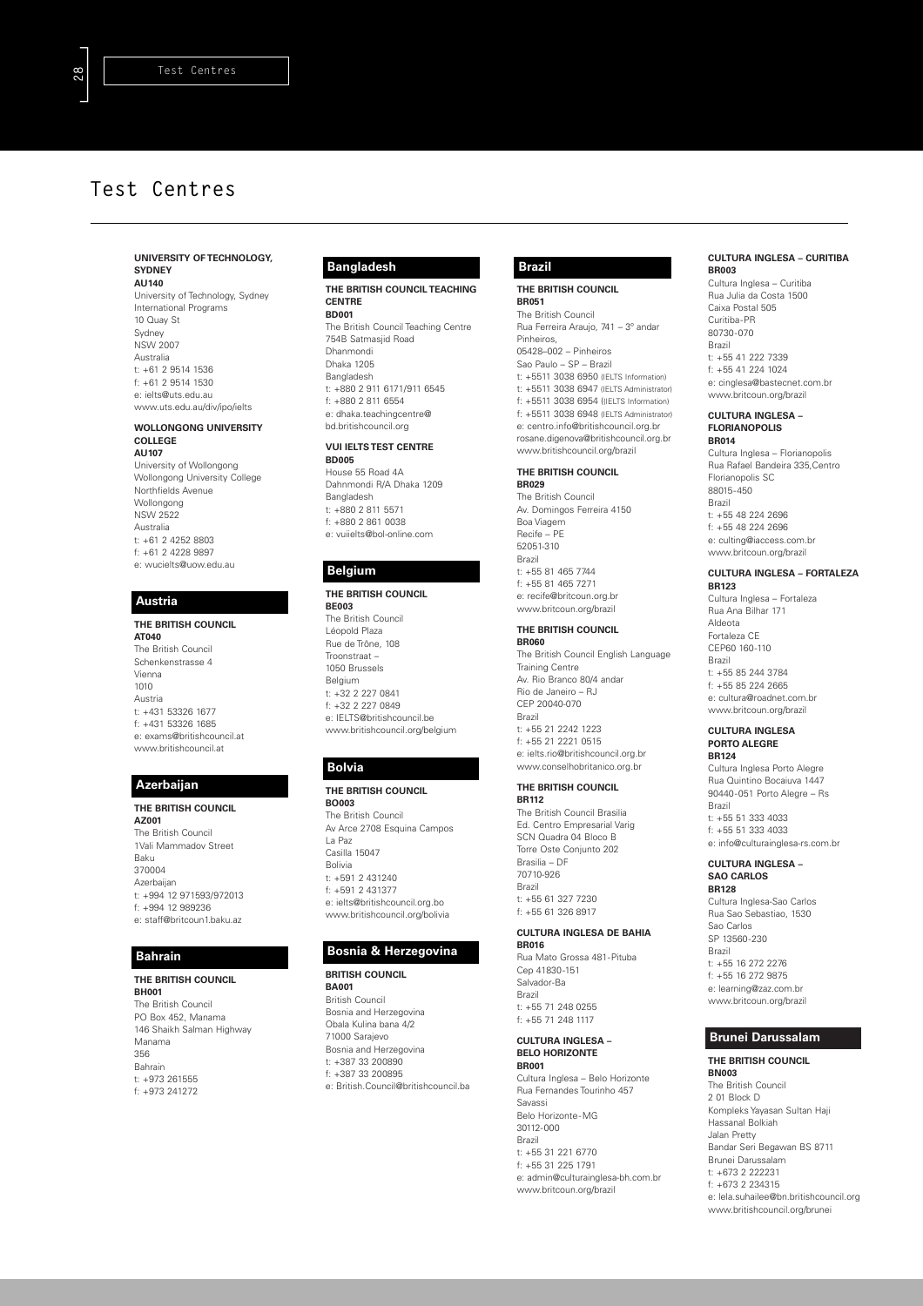#### **UNIVERSITY OF TECHNOLOGY, SYDNEY AU140**

University of Technology, Sydney International Programs  $10$  Quay St Sydney NSW 2007 Australia t: +61 2 9514 1536 f: +61 2 9514 1530 e: ielts@uts.edu.au www.uts.edu.au/div/ipo/ielts

### **WOLLONGONG UNIVERSITY**

**COLLEGE AU107** University of Wollongong Wollongong University College Northfields Avenue Wollongong NSW 2522 Australia t: +61 2 4252 8803 f: +61 2 4228 9897 e: wucielts@uow.edu.au

### **Austria**

**THE BRITISH COUNCIL AT040** The British Council Schenkenstrasse 4 Vienna 1010 Austria t: +431 53326 1677 f: +431 53326 1685 e: exams@britishcouncil.at www.britishcouncil.at

### **Azerbaijan**

**THE BRITISH COUNCIL**

**AZ001** The British Council 1Vali Mammadov Street Baku 370004 Azerbaijan t: +994 12 971593/972013 f: +994 12 989236 e: staff@britcoun1.baku.az

### **Bahrain**

**THE BRITISH COUNCIL BH001** The British Council PO Box 452, Manama 146 Shaikh Salman Highway Manama 356 Bahrain t: +973 261555 f: +973 241272

### **Bangladesh**

**THE BRITISH COUNCIL TEACHING CENTRE BD001** The British Council Teaching Centre 754B Satmasjid Road

Dhanmondi Dhaka 1205 Bangladesh t: +880 2 911 6171/911 6545 f: +880 2 811 6554 e: dhaka.teachingcentre@ bd.britishcouncil.org

#### **VUI IELTS TEST CENTRE BD005**

House 55 Road 4A Dahnmondi R/A Dhaka 1209 Bangladesh t: +880 2 811 5571 f: +880 2 861 0038 e: vuiielts@bol-online.com

### **Belgium**

#### **THE BRITISH COUNCIL**

**BE003** The British Council Léopold Plaza Rue de Trône, 108 Troonstraat – 1050 Brussels Belgium t: +32 2 227 0841 f: +32 2 227 0849 e: IELTS@britishcouncil.be www.britishcouncil.org/belgium

#### **Bolvia**

#### **THE BRITISH COUNCIL BO003**

The British Council Av Arce 2708 Esquina Campos La Paz Casilla 15047 Bolivia t: +591 2 431240 f: +591 2 431377 e: ielts@britishcouncil.org.bo www.britishcouncil.org/bolivia

### **Bosnia & Herzegovina**

**BRITISH COUNCIL BA001** British Council

Bosnia and Herzegovina Obala Kulina bana 4/2 71000 Sarajevo Bosnia and Herzegovina t: +387 33 200890 f: +387 33 200895 e: British.Council@britishcouncil.ba

## **Brazil**

**THE BRITISH COUNCIL BR051** The British Council Rua Ferreira Araujo, 741 – 3º andar Pinheiros, 05428–002 – Pinheiros

Sao Paulo – SP – Brazil t: +5511 3038 6950 (IELTS Information) t: +5511 3038 6947 (IELTS Administrator) f: +5511 3038 6954 ((IELTS Information) f: +5511 3038 6948 (IELTS Administrator) e: centro.info@britishcouncil.org.br rosane.digenova@britishcouncil.org.br www.britishcouncil.org/brazil

# **THE BRITISH COUNCIL**

**BR029** The British Council Av. Domingos Ferreira 4150 Boa Viagem Recife – PE 52051-310 Brazil t: +55 81 465 7744 f: +55 81 465 7271 e: recife@britcoun.org.br www.britcoun.org/brazil

#### **THE BRITISH COUNCIL BR060**

The British Council English Language Training Centre Av. Rio Branco 80/4 andar Rio de Janeiro – RJ CEP 20040-070 Brazil t: +55 21 2242 1223 f: +55 21 2221 0515 e: ielts.rio@britishcouncil.org.br www.conselhobritanico.org.br

# **THE BRITISH COUNCIL**

**BR112** The British Council Brasilia Ed. Centro Empresarial Varig SCN Quadra 04 Bloco B Torre Oste Conjunto 202 Brasilia – DF 70710-926 Brazil t: +55 61 327 7230 f: +55 61 326 8917

#### **CULTURA INGLESA DE BAHIA BR016**

Rua Mato Grossa 481-Pituba Cep 41830-151 Salvador-Ba Brazil t: +55 71 248 0255 f: +55 71 248 1117

#### **CULTURA INGLESA – BELO HORIZONTE BR001**

Cultura Inglesa – Belo Horizonte Rua Fernandes Tourinho 457 Savassi Belo Horizonte-MG 30112-000 Brazil t: +55 31 221 6770 f: +55 31 225 1791 e: admin@culturainglesa-bh.com.br www.britcoun.org/brazil

#### **CULTURA INGLESA – CURITIBA BR003**

Cultura Inglesa – Curitiba Rua Julia da Costa 1500 Caixa Postal 505 Curitiba-PR 80730-070 Brazil t: +55 41 222 7339 f: +55 41 224 1024 e: cinglesa@bastecnet.com.br www.britcoun.org/brazil

#### **CULTURA INGLESA – FLORIANOPOLIS BR014**

Cultura Inglesa – Florianopolis Rua Rafael Bandeira 335,Centro Florianopolis SC 88015-450 Brazil t: +55 48 224 2696 f: +55 48 224 2696 e: culting@iaccess.com.br www.britcoun.org/brazil

#### **CULTURA INGLESA – FORTALEZA BR123**

Cultura Inglesa – Fortaleza Rua Ana Bilhar 171 Aldeota Fortaleza CE CEP60 160-110 Brazil t: +55 85 244 3784 f: +55 85 224 2665 e: cultura@roadnet.com.br www.britcoun.org/brazil

#### **CULTURA INGLESA PORTO ALEGRE BR124**

Cultura Inglesa Porto Alegre Rua Quintino Bocaiuva 1447 90440-051 Porto Alegre – Rs Brazil t: +55 51 333 4033 f: +55 51 333 4033 e: info@culturainglesa-rs.com.br

#### **CULTURA INGLESA – SAO CARLOS BR128**

Cultura Inglesa-Sao Carlos Rua Sao Sebastiao, 1530 Sao Carlos SP 13560-230 Brazil t: +55 16 272 2276 f: +55 16 272 9875 e: learning@zaz.com.br www.britcoun.org/brazil

### **Brunei Darussalam**

# **THE BRITISH COUNCIL**

**BN003** The British Council 2 01 Block D Kompleks Yayasan Sultan Haji Hassanal Bolkiah Jalan Pretty Bandar Seri Begawan BS 8711 Brunei Darussalam t: +673 2 222231 f: +673 2 234315 e: lela.suhailee@bn.britishcouncil.org www.britishcouncil.org/brunei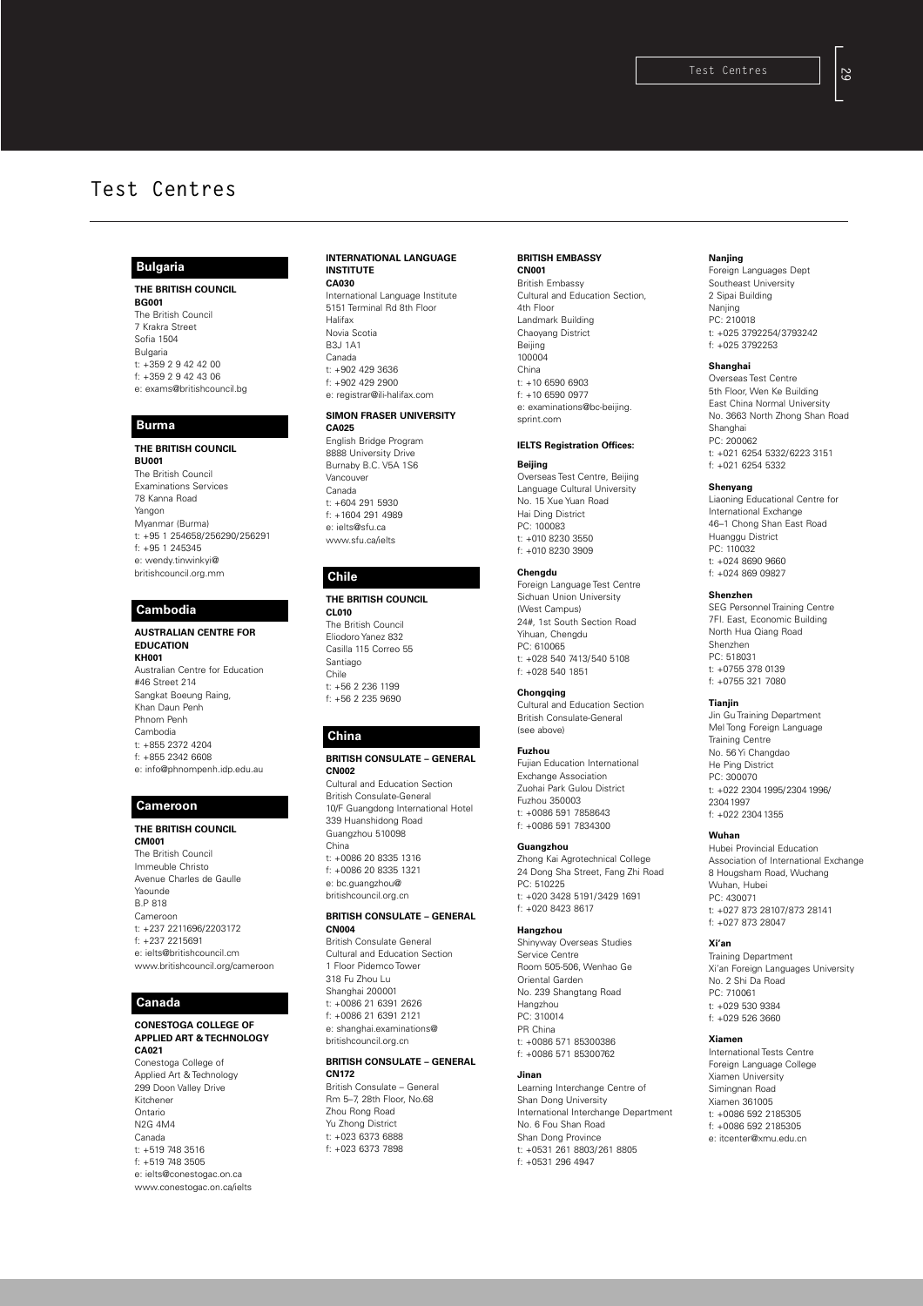### **Bulgaria**

**THE BRITISH COUNCIL BG001** The British Council 7 Krakra Street Sofia 1504 Bulgaria  $t: +359299424200$ f: +359 2 9 42 43 06 e: exams@britishcouncil.bg

#### **Burma**

**THE BRITISH COUNCIL BU001** The British Council Examinations Services 78 Kanna Road Yangon Myanmar (Burma) t: +95 1 254658/256290/256291 f: +95 1 245345 e: wendy.tinwinkyi@ britishcouncil.org.mm

### **Cambodia**

**AUSTRALIAN CENTRE FOR EDUCATION KH001** Australian Centre for Education #46 Street 214 Sangkat Boeung Raing, Khan Daun Penh Phnom Penh Cambodia t: +855 2372 4204 f: +855 2342 6608 e: info@phnompenh.idp.edu.au

## **Cameroon**

**THE BRITISH COUNCIL CM001** The British Council Immeuble Christo Avenue Charles de Gaulle Yaounde B.P 818 Cameroon t: +237 2211696/2203172 f: +237 2215691 e: ielts@britishcouncil.cm www.britishcouncil.org/cameroon

### **Canada**

#### **CONESTOGA COLLEGE OF APPLIED ART & TECHNOLOGY CA021**

Conestoga College of Applied Art & Technology 299 Doon Valley Drive Kitchener Ontario N2G 4M4 Canada t: +519 748 3516 f: +519 748 3505 e: ielts@conestogac.on.ca www.conestogac.on.ca/ielts

#### **INTERNATIONAL LANGUAGE INSTITUTE CA030**

International Language Institute 5151 Terminal Rd 8th Floor Halifax Novia Scotia B3J 1A1 Canada t: +902 429 3636 f: +902 429 2900 e: registrar@ili-halifax.com

#### **SIMON FRASER UNIVERSITY CA025**

English Bridge Program 8888 University Drive Burnaby B.C. V5A 1S6 Vancouver Canada t: +604 291 5930 f: +1604 291 4989 e: ielts@sfu.ca www.sfu.ca/ielts

### **Chile**

**THE BRITISH COUNCIL CL010**

The British Council Eliodoro Yanez 832 Casilla 115 Correo 55 Santiago Chile t: +56 2 236 1199 f: +56 2 235 9690

### **China**

### **BRITISH CONSULATE – GENERAL CN002**

Cultural and Education Section British Consulate-General 10/F Guangdong International Hotel 339 Huanshidong Road Guangzhou 510098 China t: +0086 20 8335 1316 f: +0086 20 8335 1321 e: bc.guangzhou@ britishcouncil.org.cn

#### **BRITISH CONSULATE – GENERAL CN004**

British Consulate General Cultural and Education Section 1 Floor Pidemco Tower 318 Fu Zhou Lu Shanghai 200001 t: +0086 21 6391 2626 f: +0086 21 6391 2121 e: shanghai.examinations@ britishcouncil.org.cn

#### **BRITISH CONSULATE – GENERAL CN172**

British Consulate – General Rm 5–7, 28th Floor, No.68 Zhou Rong Road Yu Zhong District t: +023 6373 6888 f: +023 6373 7898

#### **BRITISH EMBASSY CN001**

British Embassy Cultural and Education Section, 4th Floor Landmark Building Chaoyang District Beijing 100004 China t: +10 6590 6903 f: +10 6590 0977 e: examinations@bc-beijing. sprint.com

## **IELTS Registration Offices: Beijing**

Overseas Test Centre, Beijing Language Cultural University No. 15 Xue Yuan Road Hai Ding District PC: 100083 t: +010 8230 3550 f: +010 8230 3909

#### **Chengdu**

Foreign Language Test Centre Sichuan Union University (West Campus) 24#, 1st South Section Road Yihuan, Chengdu PC: 610065 t: +028 540 7413/540 5108 f: +028 540 1851

### **Chongqing**

Cultural and Education Section British Consulate-General (see above)

### **Fuzhou**

Fujian Education International Exchange Association Zuohai Park Gulou District Fuzhou 350003 t: +0086 591 7858643 f: +0086 591 7834300

#### **Guangzhou**

Zhong Kai Agrotechnical College 24 Dong Sha Street, Fang Zhi Road PC: 510225 t: +020 3428 5191/3429 1691 f: +020 8423 8617

### **Hangzhou**

Shinyway Overseas Studies Service Centre Room 505-506, Wenhao Ge Oriental Garden No. 239 Shangtang Road Hangzhou PC: 310014 PR China t: +0086 571 85300386 f: +0086 571 85300762

### **Jinan**

Learning Interchange Centre of Shan Dong University International Interchange Department No. 6 Fou Shan Road Shan Dong Province t: +0531 261 8803/261 8805 f: +0531 296 4947

#### **Nanjing**

Foreign Languages Dept Southeast University 2 Sipai Building Nanjing PC: 210018 t: +025 3792254/3793242 f: +025 3792253

### **Shanghai**

Overseas Test Centre 5th Floor, Wen Ke Building East China Normal University No. 3663 North Zhong Shan Road Shanghai PC: 200062 t: +021 6254 5332/6223 3151 f: +021 6254 5332

#### **Shenyang**

Liaoning Educational Centre for International Exchange 46–1 Chong Shan East Road Huanggu District PC: 110032 t: +024 8690 9660 f: +024 869 09827

#### **Shenzhen**

SEG Personnel Training Centre 7FI. East, Economic Building North Hua Qiang Road Shenzhen PC: 518031 t: +0755 378 0139 f: +0755 321 7080

#### **Tianjin**

Jin Gu Training Department Mel Tong Foreign Language Training Centre No. 56 Yi Changdao He Ping District PC: 300070 t: +022 2304 1995/2304 1996/ 23041997 f: +022 2304 1355

#### **Wuhan**

Hubei Provincial Education Association of International Exchange 8 Hougsham Road, Wuchang Wuhan, Hubei PC: 430071 t: +027 873 28107/873 28141 f: +027 873 28047

#### **Xi'an**

Training Department Xi'an Foreign Languages University No. 2 Shi Da Road PC: 710061 t: +029 530 9384 f: +029 526 3660

#### **Xiamen**

International Tests Centre Foreign Language College Xiamen University Simingnan Road Xiamen 361005 t: +0086 592 2185305 f: +0086 592 2185305 e: itcenter@xmu.edu.cn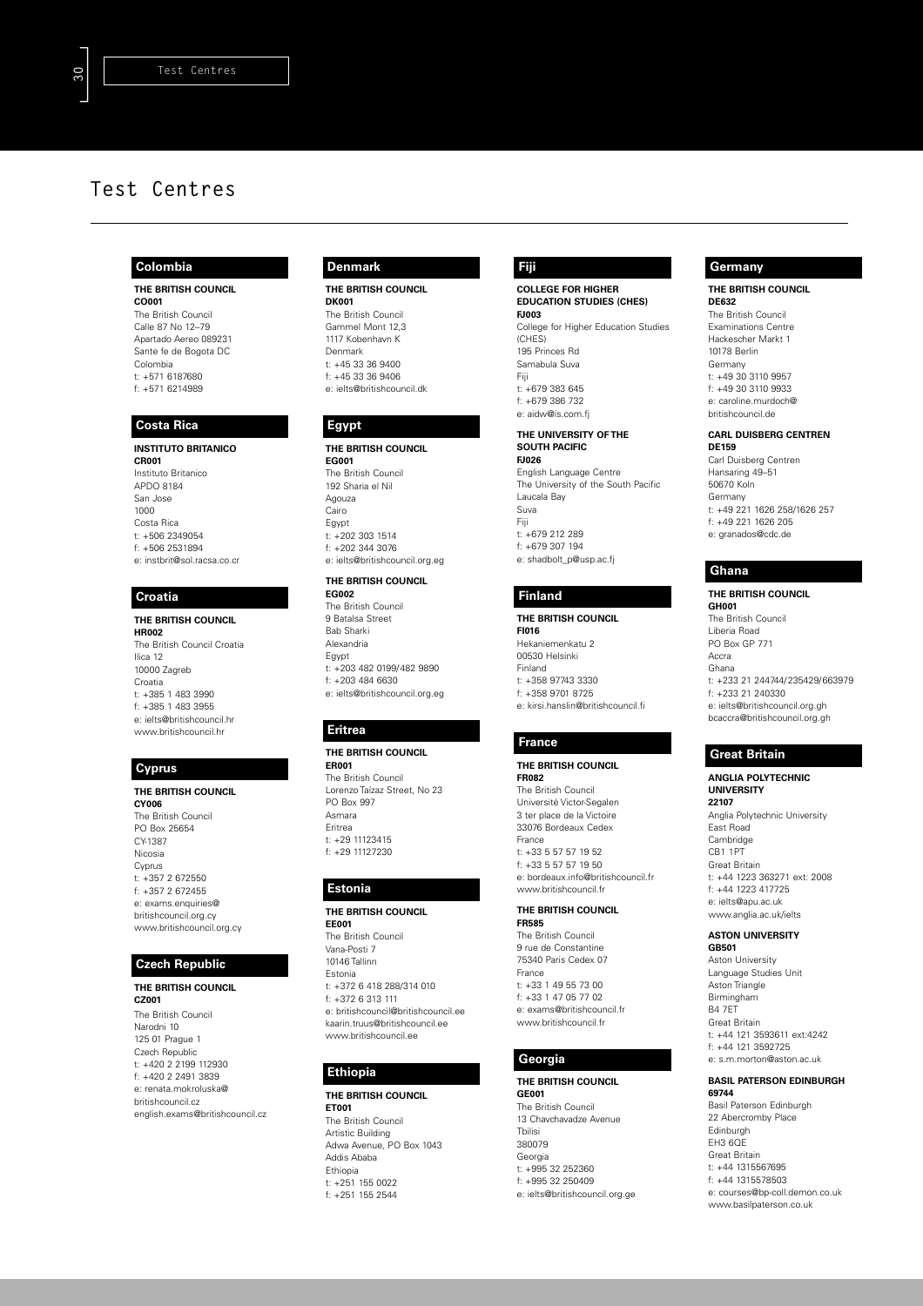### **Colombia**

**THE BRITISH COUNCIL CO001** The British Council Calle 87 No 12–79 Apartado Aereo 089231 Sante fe de Bogota DC Colombia t: +571 6187680 f: +571 6214989

### **Costa Rica**

**INSTITUTO BRITANICO CR001** Instituto Britanico APDO 8184 San Jose 1000 Costa Rica t: +506 2349054 f: +506 2531894 e: instbrit@sol.racsa.co.cr

### **Croatia**

#### **THE BRITISH COUNCIL HR002**

The British Council Croatia Ilica 12 10000 Zagreb Croatia t: +385 1 483 3990 f: +385 1 483 3955 e: ielts@britishcouncil.hr www.britishcouncil.hr

### **Cyprus**

#### **THE BRITISH COUNCIL CY006**

The British Council PO Box 25654 CY-1387 Nicosia Cyprus  $t: +357.2672550$ f: +357 2 672455 e: exams.enquiries@ britishcouncil.org.cy www.britishcouncil.org.cy

### **Czech Republic**

#### **THE BRITISH COUNCIL CZ001**

The British Council Narodni 10 125 01 Prague 1 Czech Republic t: +420 2 2199 112930 f: +420 2 2491 3839 e: renata.mokroluska@ britishcouncil.cz english.exams@britishcouncil.cz

## **Denmark**

**THE BRITISH COUNCIL DK001** The British Council Gammel Mont 12,3 1117 Kobenhavn K Denmark t: +45 33 36 9400

f: +45 33 36 9406 e: ielts@britishcouncil.dk

### **Egypt**

#### **THE BRITISH COUNCIL EG001** The British Council 192 Sharia el Nil Agouza Cairo Egypt t: +202 303 1514 f: +202 344 3076 e: ielts@britishcouncil.org.eg

### **THE BRITISH COUNCIL**

**EG002** The British Council 9 Batalsa Street Bab Sharki Alexandria Egypt t: +203 482 0199/482 9890 f: +203 484 6630 e: ielts@britishcouncil.org.eg

## **Eritrea**

### **THE BRITISH COUNCIL**

**ER001** The British Council Lorenzo Taízaz Street, No 23 PO Box 997 Asmara Eritrea t: +29 11123415 f: +29 11127230

### **Estonia**

### **THE BRITISH COUNCIL**

**EE001** The British Council Vana-Posti 7 10146 Tallinn Estonia t: +372 6 418 288/314 010 f: +372 6 313 111 e: britishcouncil@britishcouncil.ee kaarin.truus@britishcouncil.ee www.britishcouncil.ee

# **Ethiopia**

**THE BRITISH COUNCIL ET001** The British Council Artistic Building Adwa Avenue, PO Box 1043 Addis Ababa Ethiopia t: +251 155 0022 f: +251 155 2544

### **Fiji**

**COLLEGE FOR HIGHER EDUCATION STUDIES (CHES) FJ003** College for Higher Education Studies (CHES) 195 Princes Rd Samabula Suva Fiji t: +679 383 645 f: +679 386 732 e: aidw@is.com.fj

#### **THE UNIVERSITY OF THE SOUTH PACIFIC FJ026**

English Language Centre The University of the South Pacific Laucala Bay Suva Fiji  $t: +679.212.289$ f: +679 307 194 e: shadbolt\_p@usp.ac.fj

#### **Finland**

**THE BRITISH COUNCIL FI016** Hekaniemenkatu 2 00530 Helsinki Finland t: +358 97743 3330 f: +358 9701 8725 e: kirsi.hanslin@britishcouncil.fi

### **France**

**THE BRITISH COUNCIL FR082** The British Council Université Victor-Segalen 3 ter place de la Victoire 33076 Bordeaux Cedex France t: +33 5 57 57 19 52 f: +33 5 57 57 19 50 e: bordeaux.info@britishcouncil.fr www.britishcouncil.fr

#### **THE BRITISH COUNCIL FR585**

The British Council 9 rue de Constantine 75340 Paris Cedex 07 France t: +33 1 49 55 73 00 f: +33 1 47 05 77 02 e: exams@britishcouncil.fr www.britishcouncil.fr

## **Georgia**

**THE BRITISH COUNCIL GE001** The British Council 13 Chavchavadze Avenue

Tbilisi 380079 Georgia t: +995 32 252360 f: +995 32 250409 e: ielts@britishcouncil.org.ge

### **Germany**

**THE BRITISH COUNCIL DE632**

The British Council Examinations Centre Hackescher Markt 1 10178 Berlin Germany t: +49 30 3110 9957 f: +49 30 3110 9933 e: caroline.murdoch@ britishcouncil.de

## **CARL DUISBERG CENTREN**

**DE159** Carl Duisberg Centren Hansaring 49–51 50670 Koln Germany t: +49 221 1626 258/1626 257 f: +49 221 1626 205 e: granados@cdc.de

# **Ghana**

#### **THE BRITISH COUNCIL GH001**

The British Council Liberia Road PO Box GP 771 Accra Ghana t: +233 21 244744/235429/663979 f: +233 21 240330 e: ielts@britishcouncil.org.gh bcaccra@britishcouncil.org.gh

# **Great Britain**

**ANGLIA POLYTECHNIC UNIVERSITY 22107** Anglia Polytechnic University East Road Cambridge CB1 1PT Great Britain t: +44 1223 363271 ext: 2008 f: +44 1223 417725 e: ielts@apu.ac.uk www.anglia.ac.uk/ielts

#### **ASTON UNIVERSITY GB501**

Aston University Language Studies Unit Aston Triangle Birmingham B4 7ET Great Britain t: +44 121 3593611 ext:4242 f: +44 121 3592725 e: s.m.morton@aston.ac.uk

#### **BASIL PATERSON EDINBURGH 69744**

Basil Paterson Edinburgh 22 Abercromby Place Edinburgh EH3 6QE Great Britain t: +44 1315567695 f: +44 1315578503 e: courses@bp-coll.demon.co.uk www.basilpaterson.co.uk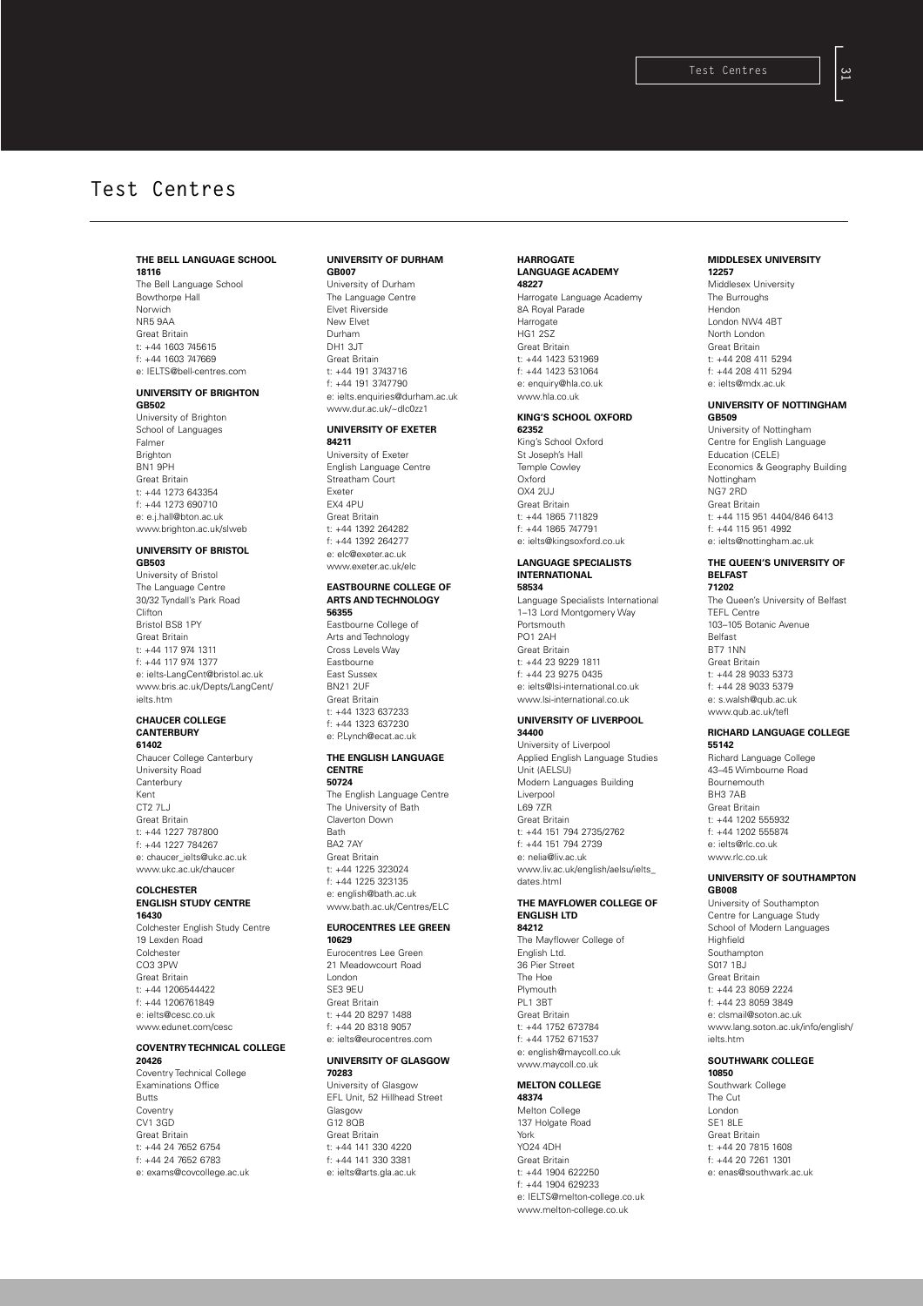### **THE BELL LANGUAGE SCHOOL 18116**

The Bell Language School Bowthorpe Hall Norwich NR5 9AA Great Britain t: +44 1603 745615 f: +44 1603 747669 e: IELTS@bell-centres.com

#### **UNIVERSITY OF BRIGHTON**

**GB502** University of Brighton School of Languages Falmer **Brighton** BN1 9PH Great Britain t: +44 1273 643354 f: +44 1273 690710 e: e.j.hall@bton.ac.uk www.brighton.ac.uk/slweb

#### **UNIVERSITY OF BRISTOL GB503**

University of Bristol The Language Centre 30/32 Tyndall's Park Road Clifton Bristol BS8 1PY Great Britain t: +44 117 974 1311 f: +44 117 974 1377 e: ielts-LangCent@bristol.ac.uk www.bris.ac.uk/Depts/LangCent/ ielts.htm

#### **CHAUCER COLLEGE CANTERBURY 61402**

Chaucer College Canterbury University Road **Canterbury** Kent CT2 7LJ Great Britain t: +44 1227 787800 f: +44 1227 784267 e: chaucer\_ielts@ukc.ac.uk www.ukc.ac.uk/chaucer

# **COLCHESTER**

#### **ENGLISH STUDY CENTRE 16430**

Colchester English Study Centre 19 Lexden Road Colchester CO3 3PW Great Britain t: +44 1206544422 f: +44 1206761849 e: ielts@cesc.co.uk www.edunet.com/cesc

#### **COVENTRY TECHNICAL COLLEGE 20426**

Coventry Technical College Examinations Office Butts Coventry CV1 3GD Great Britain t: +44 24 7652 6754 f: +44 24 7652 6783 e: exams@covcollege.ac.uk

#### **UNIVERSITY OF DURHAM GB007**

University of Durham The Language Centre Elvet Riverside New Elvet Durham DH1 3JT Great Britain t: +44 191 3743716 f: +44 191 3747790 e: ielts.enquiries@durham.ac.uk www.dur.ac.uk/~dlc0zz1

### **UNIVERSITY OF EXETER**

**84211** University of Exeter English Language Centre Streatham Court Exeter EX4 4PU Great Britain t: +44 1392 264282 f: +44 1392 264277 e: elc@exeter.ac.uk www.exeter.ac.uk/ele

#### **EASTBOURNE COLLEGE OF ARTS AND TECHNOLOGY 56355**

Eastbourne College of Arts and Technology Cross Levels Way Eastbourne East Sussex BN21 2UF Great Britain t: +44 1323 637233 f: +44 1323 637230 e: Pl ynch@ecat.ac.uk

# **THE ENGLISH LANGUAGE**

**CENTRE 50724**

The English Language Centre The University of Bath Claverton Down Bath BA2 7AY Great Britain t: +44 1225 323024 f: +44 1225 323135 e: english@bath.ac.uk www.bath.ac.uk/Centres/ELC

#### **EUROCENTRES LEE GREEN 10629**

Eurocentres Lee Green 21 Meadowcourt Road London SE3 9EU Great Britain t: +44 20 8297 1488 f: +44 20 8318 9057 e: ielts@eurocentres.com

### **UNIVERSITY OF GLASGOW 70283**

University of Glasgow EFL Unit, 52 Hillhead Street Glasgow  $G12$  8 $OR$ Great Britain t: +44 141 330 4220 f: +44 141 330 3381 e: ielts@arts.gla.ac.uk

#### **HARROGATE LANGUAGE ACADEMY 48227**

Harrogate Language Academy 8A Royal Parade Harrogate HG1 2SZ Great Britain t: +44 1423 531969 f: +44 1423 531064 e: enquiry@hla.co.uk www.hla.co.uk

### **KING'S SCHOOL OXFORD 62352**

King's School Oxford St Joseph's Hall Temple Cowley Oxford OX4 2UJ Great Britain t: +44 1865 711829 f: +44 1865 747791 e: ielts@kingsoxford.co.uk

#### **LANGUAGE SPECIALISTS INTERNATIONAL 58534**

Language Specialists International 1–13 Lord Montgomery Way **Portsmouth** PO1 2AH Great Britain t: +44 23 9229 1811 f: +44 23 9275 0435 e: ielts@lsi-international.co.uk www.lsi-international.co.uk

#### **UNIVERSITY OF LIVERPOOL 34400**

University of Liverpool Applied English Language Studies Unit (AELSU) Modern Languages Building Liverpool L69 7ZR Great Britain t: +44 151 794 2735/2762 f: +44 151 794 2739 e: nelia@liv.ac.uk www.liv.ac.uk/english/aelsu/ielts\_ dates.htmI

#### **THE MAYFLOWER COLLEGE OF ENGLISH LTD 84212**

The Mayflower College of English Ltd. 36 Pier Street The Hoe Plymouth PL<sub>1</sub> 3BT Great Britain t: +44 1752 673784 f: +44 1752 671537 e: english@maycoll.co.uk www.maycoll.co.uk

### **MELTON COLLEGE**

**48374** Melton College 137 Holgate Road York YO24 4DH Great Britain t: +44 1904 622250 f: +44 1904 629233 e: IELTS@melton-college.co.uk www.melton-college.co.uk

#### **MIDDLESEX UNIVERSITY 12257**

Middlesex University The Burroughs Hendon London NW4 4BT North London Great Britain t: +44 208 411 5294 f: +44 208 411 5294 e: ielts@mdx.ac.uk

# **UNIVERSITY OF NOTTINGHAM**

**GB509** University of Nottingham Centre for English Language Education (CELE) Economics & Geography Building Nottingham NG7 2RD Great Britain t: +44 115 951 4404/846 6413 f: +44 115 951 4992 e: ielts@nottingham.ac.uk

#### **THE QUEEN'S UNIVERSITY OF BELFAST 71202**

The Queen's University of Belfast TEFL Centre 103–105 Botanic Avenue Belfast BT7 1NN Great Britain t: +44 28 9033 5373 f: +44 28 9033 5379 e: s.walsh@qub.ac.uk www.qub.ac.uk/tefl

## **RICHARD LANGUAGE COLLEGE**

**55142** Richard Language College 43–45 Wimbourne Road Bournemouth BH3 7AB Great Britain t: +44 1202 555932 f: +44 1202 555874 e: ielts@rlc.co.uk www.rlc.co.uk

#### **UNIVERSITY OF SOUTHAMPTON GB008**

University of Southampton Centre for Language Study School of Modern Languages Highfield Southampton S017 1BJ Great Britain t: +44 23 8059 2224 f: +44 23 8059 3849 e: clsmail@soton.ac.uk www.lang.soton.ac.uk/info/english/ ielts.htm

#### **SOUTHWARK COLLEGE 10850**

Southwark College The Cut London SE1 8LE Great Britain t: +44 20 7815 1608 f: +44 20 7261 1301 e: enas@southwark.ac.uk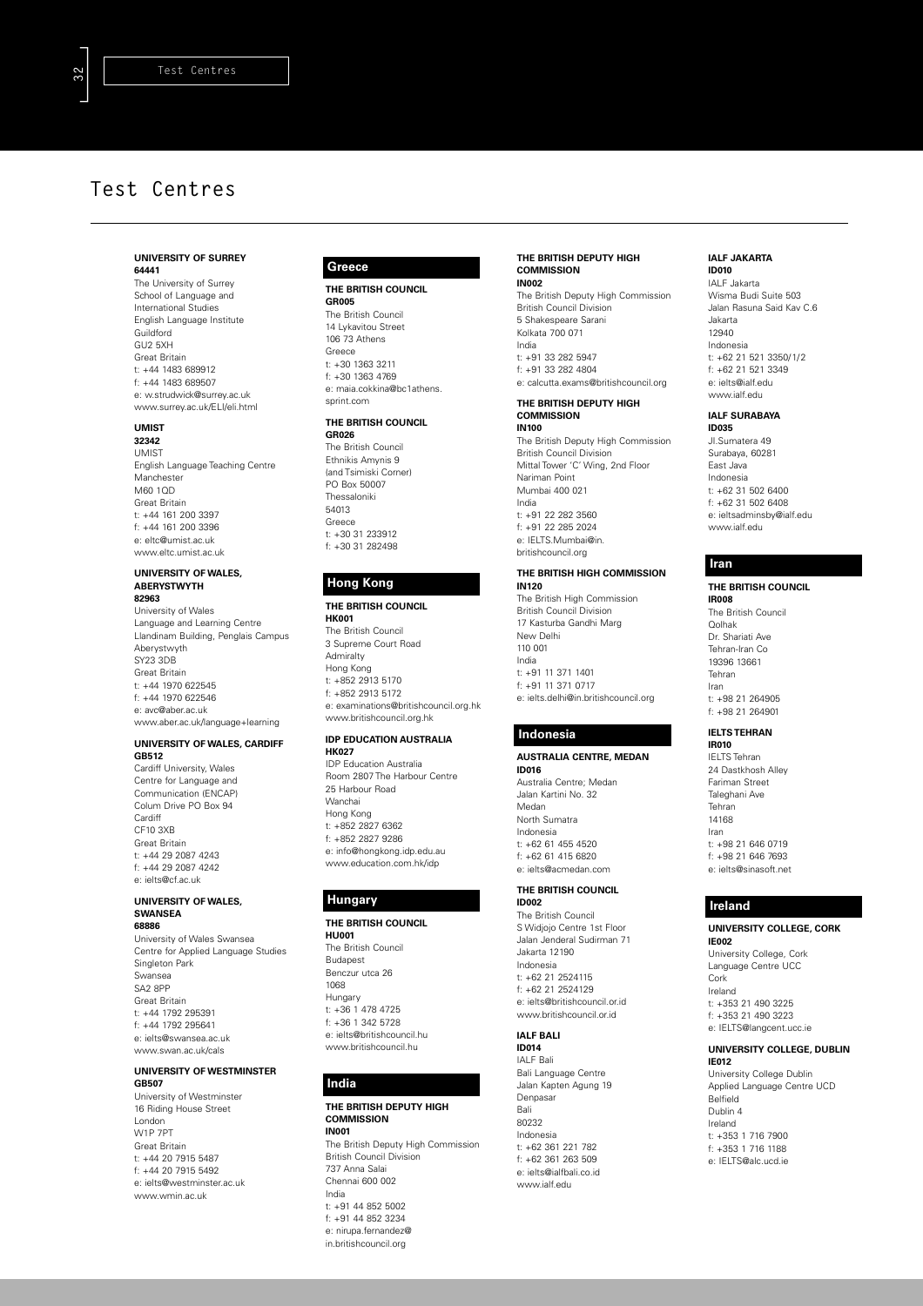#### **UNIVERSITY OF SURREY 64441**

The University of Surrey School of Language and International Studies English Language Institute **Guildford** GU2 5XH Great Britain t: +44 1483 689912 f: +44 1483 689507 e: w.strudwick@surrey.ac.uk www.surrey.ac.uk/ELI/eli.html

### **UMIST**

**32342** UMIST English Language Teaching Centre **Manchester**  $M60 10D$ Great Britain t: +44 161 200 3397 f: +44 161 200 3396 e: eltc@umist.ac.uk www.eltc.umist.ac.uk

#### **UNIVERSITY OF WALES, ABERYSTWYTH 82963**

University of Wales Language and Learning Centre Llandinam Building, Penglais Campus Aberystwyth SY23 3DB Great Britain t: +44 1970 622545 f: +44 1970 622546 e: avc@aber.ac.uk www.aber.ac.uk/language+learning

#### **UNIVERSITY OF WALES, CARDIFF GB512**

Cardiff University, Wales Centre for Language and Communication (ENCAP) Colum Drive PO Box 94 **Cardiff** CF10 3XB Great Britain t: +44 29 2087 4243 f: +44 29 2087 4242 e: ielts@cf.ac.uk

#### **UNIVERSITY OF WALES, SWANSEA 68886**

University of Wales Swansea Centre for Applied Language Studies Singleton Park Swansea SA2 8PP Great Britain t: +44 1792 295391 f: +44 1792 295641 e: ielts@swansea.ac.uk www.swan.ac.uk/cals

#### **UNIVERSITY OF WESTMINSTER GB507** University of Westminster

16 Riding House Street London W1P 7PT Great Britain t: +44 20 7915 5487 f: +44 20 7915 5492 e: ielts@westminster.ac.uk www.wmin.ac.uk

#### **Greece**

**THE BRITISH COUNCIL GR005**

The British Council 14 Lykavitou Street 106 73 Athens Greece t: +30 1363 3211 f: +30 1363 4769 e: maia.cokkina@bc1athens. sprint.com

### **THE BRITISH COUNCIL**

**GR026** The British Council Ethnikis Amynis 9 (and Tsimiski Corner) PO Box 50007 Thessaloniki 54013 Greece t: +30 31 233912 f: +30 31 282498

## **Hong Kong**

**THE BRITISH COUNCIL HK001** The British Council 3 Supreme Court Road **Admiralty** Hong Kong t: +852 2913 5170 f: +852 2913 5172 e: examinations@britishcouncil.org.hk www.britishcouncil.org.hk

#### **IDP EDUCATION AUSTRALIA HK027**

IDP Education Australia Room 2807 The Harbour Centre 25 Harbour Road Wanchai Hong Kong t: +852 2827 6362 f: +852 2827 9286 e: info@hongkong.idp.edu.au www.education.com.hk/idp

### **Hungary**

### **THE BRITISH COUNCIL**

**HU001** The British Council Budapest Benczur utca 26 1068 Hungary t: +36 1 478 4725 f: +36 1 342 5728 e: ielts@britishcouncil.hu www.britishcouncil.hu

### **India**

### **THE BRITISH DEPUTY HIGH COMMISSION IN001**

The British Deputy High Commission British Council Division 737 Anna Salai Chennai 600 002 India

t: +91 44 852 5002 f: +91 44 852 3234 e: nirupa.fernandez@ in.britishcouncil.org

#### **THE BRITISH DEPUTY HIGH COMMISSION IN002**

The British Deputy High Commission British Council Division 5 Shakespeare Sarani Kolkata 700 071 India t: +91 33 282 5947 f: +91 33 282 4804 e: calcutta.exams@britishcouncil.org

#### **THE BRITISH DEPUTY HIGH COMMISSION IN100**

The British Deputy High Commission British Council Division Mittal Tower 'C' Wing, 2nd Floor Nariman Point Mumbai 400 021 India t: +91 22 282 3560 f: +91 22 285 2024 e: IELTS.Mumbai@in. britishcouncil.org **THE BRITISH HIGH COMMISSION**

## **IN120** The British High Commission

British Council Division 17 Kasturba Gandhi Marg New Delhi 110 001 India t: +91 11 371 1401 f: +91 11 371 0717 e: ielts.delhi@in.britishcouncil.org

### **Indonesia**

**AUSTRALIA CENTRE, MEDAN ID016** Australia Centre; Medan Jalan Kartini No. 32 Medan North Sumatra Indonesia t: +62 61 455 4520 f: +62 61 415 6820 e: ielts@acmedan.com

#### **THE BRITISH COUNCIL ID002**

The British Council S Widjojo Centre 1st Floor Jalan Jenderal Sudirman 71 Jakarta 12190 Indonesia t: +62 21 2524115 f: +62 21 2524129 e: ielts@britishcouncil.or.id www.britishcouncil.or.id

# **IALF BALI**

**ID014** IALF Bali Bali Language Centre Jalan Kapten Agung 19 Denpasar Bali 80232 Indonesia t: +62 361 221 782 f: +62 361 263 509 e: ielts@ialfbali.co.id www.ialf.edu

#### **IALF JAKARTA ID010**

IALF Jakarta Wisma Budi Suite 503 Jalan Rasuna Said Kav C.6 Jakarta 12940 Indonesia t: +62 21 521 3350/1/2 f: +62 21 521 3349 e: ielts@ialf.edu www.ialf.edu

#### **IALF SURABAYA ID035**

JI.Sumatera 49 Surabaya, 60281 East Java Indonesia t: +62 31 502 6400 f: +62 31 502 6408 e: ieltsadminsby@ialf.edu www.ialf.edu

### **Iran**

### **THE BRITISH COUNCIL**

**IR008** The British Council Qolhak Dr. Shariati Ave Tehran-Iran Co 19396 13661 Tehran Iran t: +98 21 264905 f: +98 21 264901

#### **IELTS TEHRAN IR010**

IELTS Tehran 24 Dastkhosh Alley Fariman Street Taleghani Ave Tehran 14168 Iran t: +98 21 646 0719 f: +98 21 646 7693 e: ielts@sinasoft.net

### **Ireland**

#### **UNIVERSITY COLLEGE, CORK IE002**

University College, Cork Language Centre UCC Cork Ireland t: +353 21 490 3225 f: +353 21 490 3223 e: IELTS@langcent.ucc.ie

#### **UNIVERSITY COLLEGE, DUBLIN IE012**

University College Dublin Applied Language Centre UCD Belfield Dublin 4 Ireland t: +353 1 716 7900 f: +353 1 716 1188 e: IELTS@alc.ucd.ie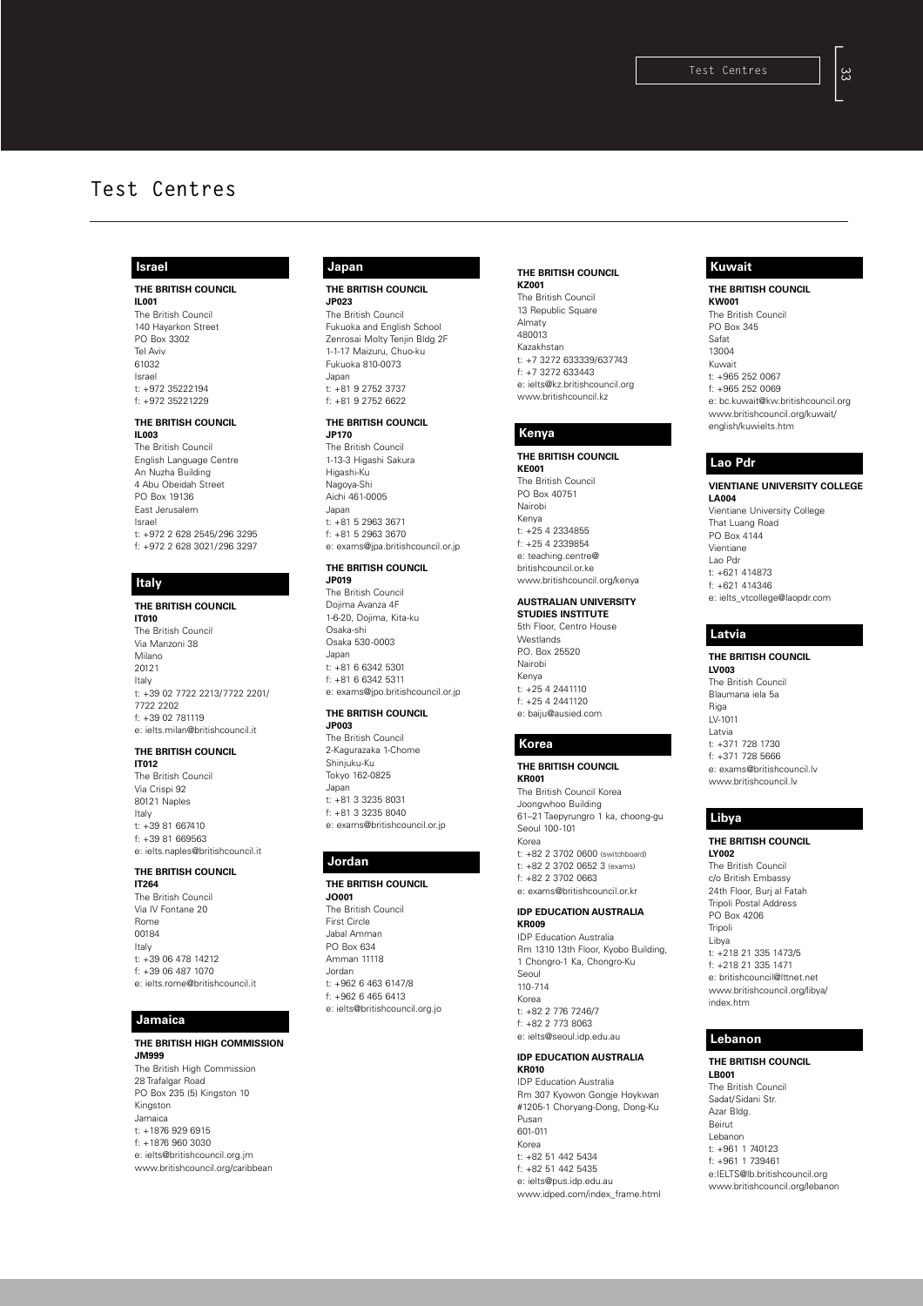### **Israel**

**THE BRITISH COUNCIL IL001** The British Council 140 Hayarkon Street PO Box 3302 Tel Aviv 61032 Israel t: +972 35222194 f: +972 35221229

### **THE BRITISH COUNCIL**

**IL003** The British Council English Language Centre An Nuzha Building 4 Abu Obeidah Street PO Box 19136 East Jerusalem Israe t: +972 2 628 2545/296 3295 f: +972 2 628 3021/296 3297

### **Italy**

#### **THE BRITISH COUNCIL IT010** The British Council Via Manzoni 38 Milano 20121 Italy t: +39 02 7722 2213/7722 2201/ 7722 2202 f: +39 02 781119 e: ielts.milan@britishcouncil.it

#### **THE BRITISH COUNCIL**

**IT012** The British Council Via Crispi 92 80121 Naples Italy t: +39 81 667410 f: +39 81 669563 e: ielts.naples@britishcouncil.it

### **THE BRITISH COUNCIL**

**IT264** The British Council Via IV Fontane 20 Rome 00184 Italy t: +39 06 478 14212 f: +39 06 487 1070 e: ielts.rome@britishcouncil.it

### **Jamaica**

**THE BRITISH HIGH COMMISSION JM999** The British High Commission 28 Trafalgar Road PO Box 235 (5) Kingston 10 Kingston Jamaica t: +1876 929 6915 f: +1876 960 3030 e: ielts@britishcouncil.org.jm www.britishcouncil.org/caribbean

# **Japan**

**THE BRITISH COUNCIL JP023**

The British Council Fukuoka and English School Zenrosai Molty Tenjin Bldg 2F 1-1-17 Maizuru, Chuo-ku Fukuoka 810-0073 Japan t: +81 9 2752 3737 f: +81 9 2752 6622

### **THE BRITISH COUNCIL**

**JP170** The British Council 1-13-3 Higashi Sakura Higashi-Ku Nagoya-Shi Aichi 461-0005 Japan t: +81 5 2963 3671 f: +81 5 2963 3670 e: exams@jpa.britishcouncil.or.jp

# **THE BRITISH COUNCIL**

**JP019** The British Council Dojima Avanza 4F 1-6-20, Dojima, Kita-ku Osaka-shi Osaka 530-0003 Japan t: +81 6 6342 5301 f: +81 6 6342 5311 e: exams@jpo.britishcouncil.or.jp

#### **THE BRITISH COUNCIL JP003**

The British Council 2-Kagurazaka 1-Chome Shinjuku-Ku Tokyo 162-0825 Japan t: +81 3 3235 8031 f: +81 3 3235 8040 e: exams@britishcouncil.or.jp

### **Jordan**

#### **THE BRITISH COUNCIL**

**JO001** The British Council First Circle Jabal Amman PO Box 634 Amman 11118 Jordan t: +962 6 463 6147/8 f: +962 6 465 6413 e: ielts@britishcouncil.org.jo

#### **THE BRITISH COUNCIL KZ001**

The British Council 13 Republic Square Almaty 480013 Kazakhstan t: +7 3272 633339/637743 f: +7 3272 633443 e: ielts@kz.britishcouncil.org www.britishcouncil.kz

# **Kenya**

**THE BRITISH COUNCIL KE001** The British Council PO Box 40751 Nairobi Kenya t: +25 4 2334855 f: +25 4 2339854 e: teaching.centre@ britishcouncil.or.ke www.britishcouncil.org/kenya

# **AUSTRALIAN UNIVERSITY**

**STUDIES INSTITUTE** 5th Floor, Centro House Westlands P.O. Box 25520 Nairobi Kenya t: +25 4 2441110 f: +25 4 2441120 e: baiju@ausied.com

## **Korea**

**THE BRITISH COUNCIL KR001** The British Council Korea Joongwhoo Building 61–21 Taepyrungro 1 ka, choong-gu Seoul 100-101 Korea t: +82 2 3702 0600 (switchboard) t: +82 2 3702 0652 3 (exams) f: +82 2 3702 0663 e: exams@britishcouncil.or.kr

#### **IDP EDUCATION AUSTRALIA KR009**

IDP Education Australia Rm 1310 13th Floor, Kyobo Building, 1 Chongro-1 Ka, Chongro-Ku Seoul 110-714 Korea t: +82 2 776 7246/7 f: +82 2 773 8063 e: ielts@seoul.idp.edu.au

#### **IDP EDUCATION AUSTRALIA KR010**

IDP Education Australia Rm 307 Kyowon Gongje Hoykwan #1205-1 Choryang-Dong, Dong-Ku Pusan 601-011 Korea t: +82 51 442 5434 f: +82 51 442 5435 e: ielts@pus.idp.edu.au www.idped.com/index\_frame.html

### **Kuwait**

**THE BRITISH COUNCIL KW001** The British Council

PO Box 345 Safat 13004 Kuwait t: +965 252 0067 f: +965 252 0069 e: bc.kuwait@kw.britishcouncil.org www.britishcouncil.org/kuwait/ english/kuwielts.htm

### **Lao Pdr**

**VIENTIANE UNIVERSITY COLLEGE LA004** Vientiane University College That Luang Road PO Box 4144 Vientiane Lao Pdr t: +621 414873 f: +621 414346 e: ielts\_vtcollege@laopdr.com

### **Latvia**

**THE BRITISH COUNCIL LV003** The British Council Blaumana iela 5a Riga LV-1011 Latvia t: +371 728 1730 f: +371 728 5666 e: exams@britishcouncil.lv www.britishcouncil.lv

## **Libya**

#### **THE BRITISH COUNCIL LY002**

The British Council c/o British Embassy 24th Floor, Burj al Fatah Tripoli Postal Address PO Box 4206 Tripoli Libya t: +218 21 335 1473/5 f: +218 21 335 1471 e: britishcouncil@lttnet.net www.britishcouncil.org/libya/ index.htm

### **Lebanon**

**THE BRITISH COUNCIL LB001** The British Council Sadat/Sidani Str. Azar Bldg. Beirut Lebanon t: +961 1 740123 f: +961 1 739461 e:IELTS@lb.britishcouncil.org www.britishcouncil.org/lebanon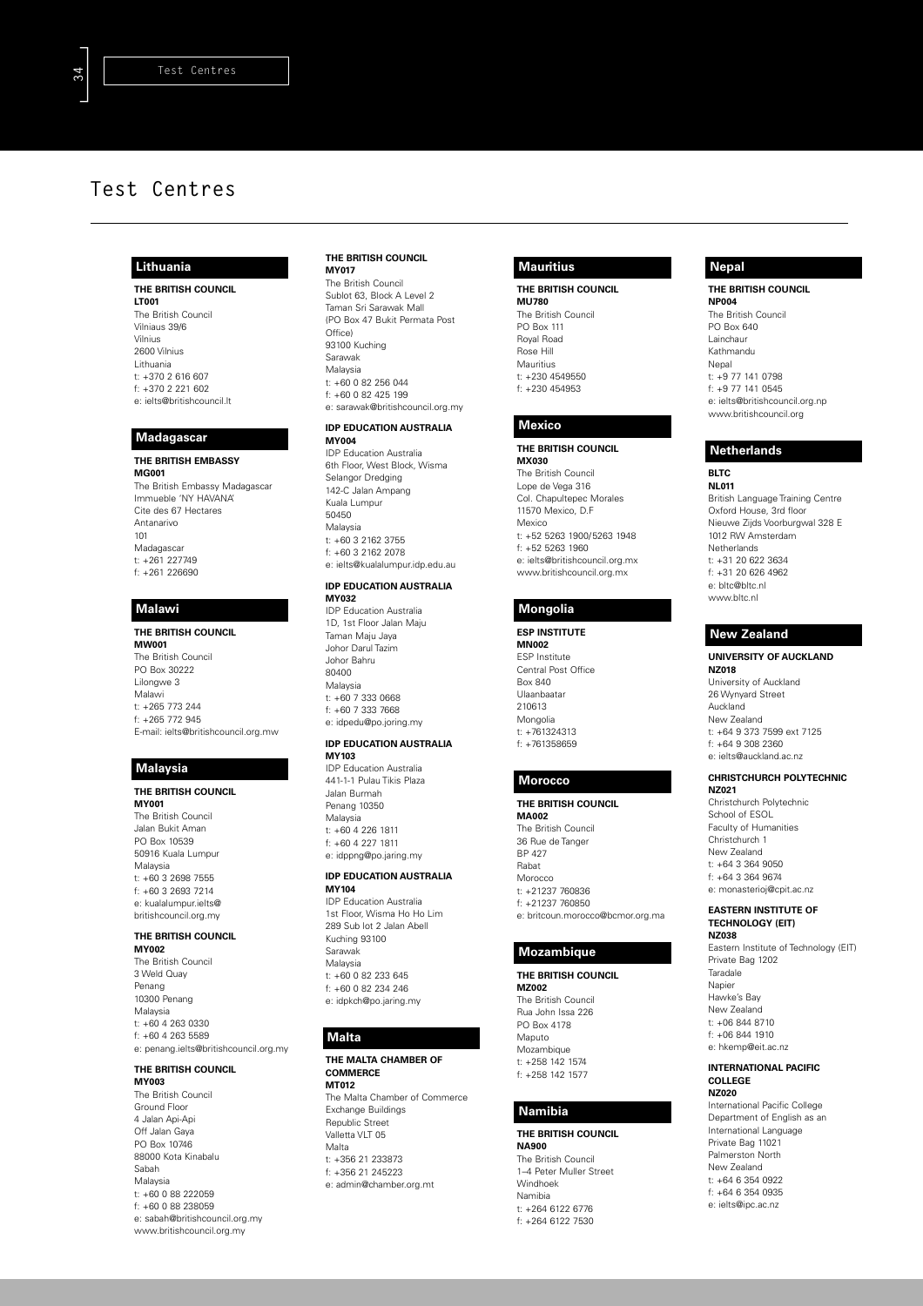### **Lithuania**

**THE BRITISH COUNCIL LT001** The British Council Vilniaus 39/6 Vilnius 2600 Vilnius Lithuania t: +370 2 616 607 f: +370 2 221 602 e: ielts@britishcouncil.lt

#### **Madagascar**

**THE BRITISH EMBASSY MG001** The British Embassy Madagascar Immueble 'NY HAVANA' Cite des 67 Hectares Antanarivo 101 Madagascar t: +261 227749 f: +261 226690

### **Malawi**

**THE BRITISH COUNCIL MW001** The British Council PO Box 30222 Lilongwe 3 Malawi t: +265 773 244 f: +265 772 945 E-mail: ielts@britishcouncil.org.mw

# **Malaysia**

**THE BRITISH COUNCIL MY001** The British Council Jalan Bukit Aman PO Box 10539 50916 Kuala Lumpur Malaysia  $t: +60.3$  2698 7555 f: +60 3 2693 7214 e: kualalumpur.ielts@ britishcouncil.org.my

### **THE BRITISH COUNCIL**

**MY002** The British Council 3 Weld Quay Penang 10300 Penang Malaysia t: +60 4 263 0330 f: +60 4 263 5589 e: penang.ielts@britishcouncil.org.my

# **THE BRITISH COUNCIL**

**MY003** The British Council Ground Floor 4 Jalan Api-Api Off Jalan Gaya PO Box 10746 88000 Kota Kinabalu Sabah Malaysia t: +60 0 88 222059 f: +60 0 88 238059 e: sabah@britishcouncil.org.my www.britishcouncil.org.my

#### **THE BRITISH COUNCIL MY017**

The British Council Sublot 63, Block A Level 2 Taman Sri Sarawak Mall (PO Box 47 Bukit Permata Post Office) 93100 Kuching Sarawak Malaysia t: +60 0 82 256 044 f: +60 0 82 425 199 e: sarawak@britishcouncil.org.my

### **IDP EDUCATION AUSTRALIA**

**MY004** IDP Education Australia 6th Floor, West Block, Wisma Selangor Dredging 142-C Jalan Ampang Kuala Lumpur 50450 Malaysia t: +60 3 2162 3755 f: +60 3 2162 2078 e: ielts@kualalumpur.idp.edu.au

#### **IDP EDUCATION AUSTRALIA MY032**

IDP Education Australia 1D, 1st Floor Jalan Maju Taman Maju Jaya Johor Darul Tazim Johor Bahru 80400 Malaysia t: +60 7 333 0668 f: +60 7 333 7668 e: idpedu@po.joring.my

#### **IDP EDUCATION AUSTRALIA MY103**

IDP Education Australia 441-1-1 Pulau Tikis Plaza Jalan Burmah Penang 10350 Malaysia t: +60 4 226 1811 f: +60 4 227 1811 e: idppng@po.jaring.my

### **IDP EDUCATION AUSTRALIA MY104**

IDP Education Australia 1st Floor, Wisma Ho Ho Lim 289 Sub lot 2 Jalan Abell Kuching 93100 Sarawak Malaysia  $t: +60, 0, 82, 233, 645$ f: +60 0 82 234 246 e: idpkch@po.jaring.my

### **Malta**

**THE MALTA CHAMBER OF COMMERCE MT012** The Malta Chamber of Commerce Exchange Buildings Republic Street Valletta VIT 05 Malta t: +356 21 233873

## f: +356 21 245223 e: admin@chamber.org.mt

### **Mauritius**

**THE BRITISH COUNCIL MU780** The British Council PO Box 111 Royal Road Rose Hill Mauritius t: +230 4549550 f: +230 454953

### **Mexico**

**THE BRITISH COUNCIL MX030** The British Council Lope de Vega 316 Col. Chapultepec Morales 11570 Mexico, D.F Mexico t: +52 5263 1900/5263 1948 f: +52 5263 1960 e: ielts@britishcouncil.org.mx www.britishcouncil.org.mx

### **Mongolia**

**ESP INSTITUTE MN002** ESP Institute Central Post Office Box 840 Ulaanbaatar 210613 Mongolia t: +761324313 f: +761358659

# **Morocco**

**THE BRITISH COUNCIL MA002** The British Council 36 Rue de Tanger BP 427 Rabat Morocco t: +21237 760836 f: +21237 760850 e: britcoun.morocco@bcmor.org.ma

### **Mozambique**

**THE BRITISH COUNCIL MZ002** The British Council Rua John Issa 226 PO Box 4178 Maputo Mozambique t: +258 142 1574 f: +258 142 1577

### **Namibia**

**THE BRITISH COUNCIL NA900** The British Council 1–4 Peter Muller Street Windhoek Namibia  $t: 1264 6122 6776$ f: +264 6122 7530

### **Nepal**

**THE BRITISH COUNCIL NP004** The British Council PO Box 640 Lainchaur Kathmandu

Nepal t: +9 77 141 0798 f: +9 77 141 0545 e: ielts@britishcouncil.org.np www.britishcouncil.org

### **Netherlands**

**BLTC NL011** British Language Training Centre Oxford House, 3rd floor Nieuwe Zijds Voorburgwal 328 E 1012 RW Amsterdam **Netherlands** t: +31 20 622 3634 f: +31 20 626 4962 e: bltc@bltc.nl www.bltc.nl

### **New Zealand**

**UNIVERSITY OF AUCKLAND NZ018** University of Auckland 26 Wynyard Street Auckland New Zealand t: +64 9 373 7599 ext 7125 f: +64 9 308 2360 e: ielts@auckland.ac.nz

#### **CHRISTCHURCH POLYTECHNIC NZ021**

Christchurch Polytechnic School of ESOL Faculty of Humanities Christchurch 1 New Zealand  $t: 464 3 364 9050$ f: +64 3 364 9674 e: monasterioj@cpit.ac.nz

#### **EASTERN INSTITUTE OF TECHNOLOGY (EIT) NZ038**

Eastern Institute of Technology (EIT) Private Bag 1202 Taradale Napier Hawke's Bay New Zealand t: +06 844 8710 f: +06 844 1910 e: hkemp@eit.ac.nz

#### **INTERNATIONAL PACIFIC COLLEGE NZ020**

International Pacific College Department of English as an International Language Private Bag 11021 Palmerston North New Zealand t: +64 6 354 0922 f: +64 6 354 0935 e: ielts@ipc.ac.nz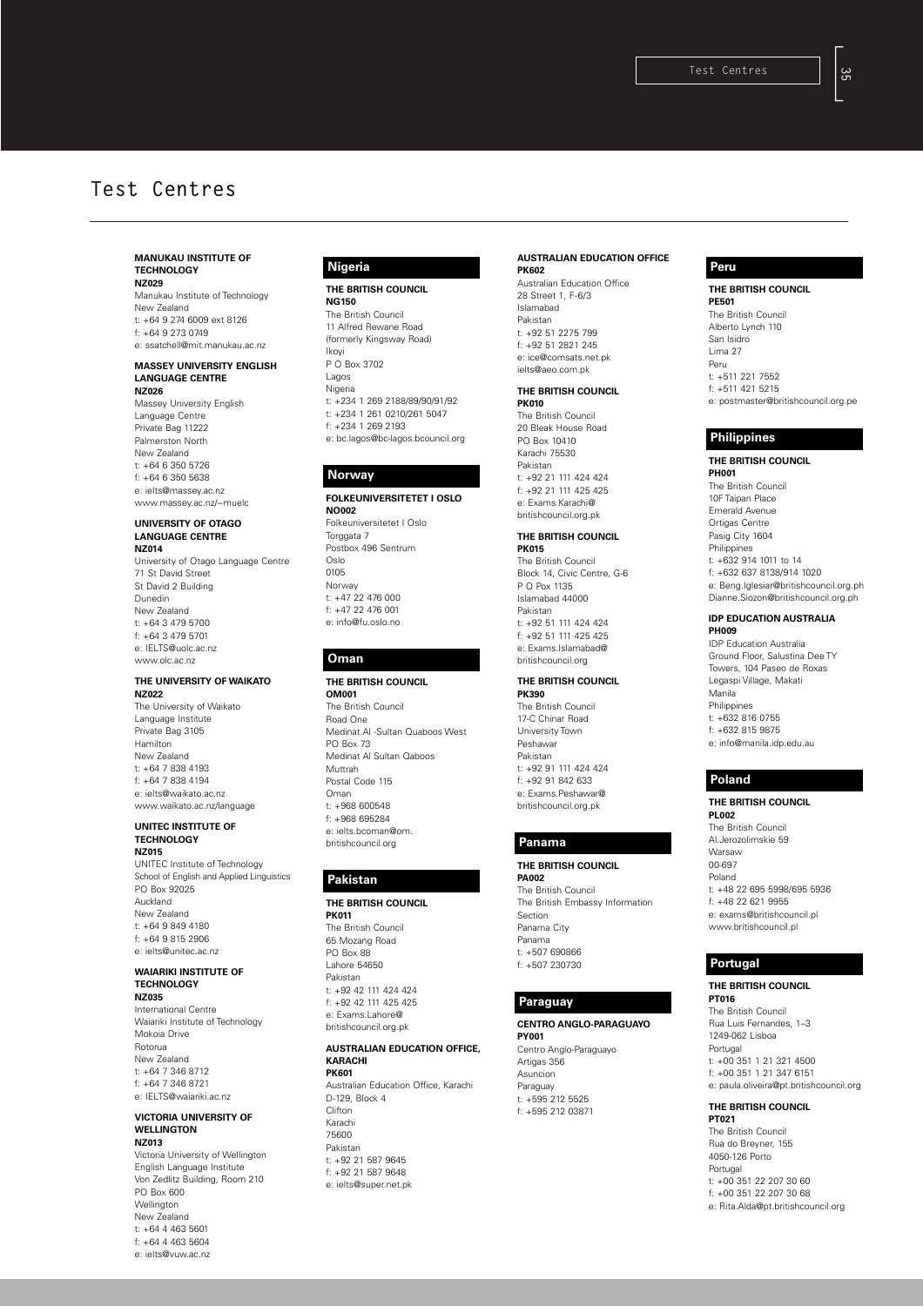#### **MANUKAU INSTITUTE OF TECHNOLOGY NZ029**

Manukau Institute of Technology New Zealand t: +64 9 274 6009 ext 8126 f: +64 9 273 0749

e: ssatchell@mit.manukau.ac.nz

#### **MASSEY UNIVERSITY ENGLISH LANGUAGE CENTRE NZ026**

Massey University English Language Centre Private Bag 11222 Palmerston North New Zealand t: +64 6 350 5726 f: +64 6 350 5638 e: ielts@massey.ac.nz www.massey.ac.nz/~muelc

#### **UNIVERSITY OF OTAGO LANGUAGE CENTRE NZ014**

University of Otago Language Centre 71 St David Street St David 2 Building Dunedin New Zealand t: +64 3 479 5700 f: +64 3 479 5701 e: IELTS@uolc.ac.nz www.olc.ac.nz

#### **THE UNIVERSITY OF WAIKATO NZ022**

The University of Waikato Language Institute Private Bag 3105 Hamilton New Zealand t: +64 7 838 4193 f: +64 7 838 4194 e: ielts@waikato.ac.nz www.waikato.ac.nz/language

#### **UNITEC INSTITUTE OF TECHNOLOGY NZ015**

UNITEC Institute of Technology School of English and Applied Linguistics PO Box 92025 Auckland New Zealand t: +64 9 849 4180 f: +64 9 815 2906 e: ielts@unitec.ac.nz

#### **WAIARIKI INSTITUTE OF TECHNOLOGY**

**NZ035** International Centre

Waiariki Institute of Technology Mokoia Drive Rotorua New Zealand t: +64 7 346 8712 f: +64 7 346 8721 e: IELTS@waiariki.ac.nz

#### **VICTORIA UNIVERSITY OF WELLINGTON NZ013**

Victoria University of Wellington English Language Institute Von Zedlitz Building, Room 210 PO Box 600 Wellington New Zealand t: +64 4 463 5601 f: +64 4 463 5604 e: ielts@vuw.ac.nz

### **Nigeria**

**THE BRITISH COUNCIL NG150** The British Council 11 Alfred Rewane Road

(formerly Kingsway Road) Ikoyi P O Box 3702 Lagos Nigeria t: +234 1 269 2188/89/90/91/92 t: +234 1 261 0210/261 5047 f: +234 1 269 2193 e: bc.lagos@bc-lagos.bcouncil.org

## **Norway**

#### **FOLKEUNIVERSITETET I OSLO NO002** Folkeuniversitetet I Oslo

Torggata 7 Postbox 496 Sentrum Oslo 0105 Norway t: +47 22 476 000 f: +47 22 476 001 e: info@fu.oslo.no

### **Oman**

### **THE BRITISH COUNCIL**

**OM001** The British Council Road One Medinat Al -Sultan Quaboos West PO Box 73 Medinat Al Sultan Qaboos Muttrah Postal Code 115 Oman t: +968 600548 f: +968 695284 e: ielts.bcoman@om. britishcouncil.org

### **Pakistan**

#### **THE BRITISH COUNCIL PK011** The British Council

65 Mozang Road PO Box 88 Lahore 54650 Pakistan t: +92 42 111 424 424 f: +92 42 111 425 425 e: Exams.Lahore@ britishcouncil.org.pk

e: ielts@super.net.pk

#### **AUSTRALIAN EDUCATION OFFICE, KARACHI**

**PK601** Australian Education Office, Karachi D-129, Block 4 Clifton Karachi 75600 Pakistan t: +92 21 587 9645 f: +92 21 587 9648

### **AUSTRALIAN EDUCATION OFFICE PK602**

Australian Education Office 28 Street 1, F-6/3 Islamabad Pakistan t: +92 51 2275 799 f: +92 51 2821 245 e: ice@comsats.net.pk ielts@aeo.com.pk

#### **THE BRITISH COUNCIL PK010**

The British Council 20 Bleak House Road PO Box 10410 Karachi 75530 Pakistan t: +92 21 111 424 424 f: +92 21 111 425 425 e: Exams.Karachi@ britishcouncil.org.pk

### **THE BRITISH COUNCIL**

**PK015** The British Council Block 14, Civic Centre, G-6 P O Pox 1135 Islamabad 44000 Pakistan t: +92 51 111 424 424 f: +92 51 111 425 425 e: Exams.Islamabad@ britishcouncil.org

## **THE BRITISH COUNCIL**

**PK390** The British Council 17-C Chinar Road University Town Peshawar Pakistan t: +92 91 111 424 424 f: +92 91 842 633 e: Exams.Peshawar@ britishcouncil.org.pk

### **Panama**

**THE BRITISH COUNCIL PA002** The British Council The British Embassy Information Section Panama City Panama t: +507 690866 f: +507 230730

### **Paraguay**

### **CENTRO ANGLO-PARAGUAYO**

**PY001** Centro Anglo-Paraguayo Artigas 356 Asuncion Paraguay  $t: +595$  212 5525 f: +595 212 03871

## **Peru**

### **THE BRITISH COUNCIL**

**PE501** The British Council Alberto Lynch 110 San Isidro Lima 27 Peru t: +511 221 7552 f: +511 421 5215 e: postmaster@britishcouncil.org.pe

### **Philippines**

#### **THE BRITISH COUNCIL PH001** The British Council 10F Taipan Place Emerald Avenue Ortigas Centre Pasig City 1604 Philippines t: +632 914 1011 to 14 f: +632 637 8138/914 1020 e: Beng.Iglesiar@britishcouncil.org.ph

Dianne.Siozon@britishcouncil.org.ph **IDP EDUCATION AUSTRALIA PH009** IDP Education Australia Ground Floor, Salustina Dee TY Towers, 104 Paseo de Roxas Legaspi Village, Makati Manila Philippines t: +632 816 0755 f: +632 815 9875 e: info@manila.idp.edu.au

### **Poland**

## **THE BRITISH COUNCIL**

**PL002** The British Council Al.Jerozolimskie 59 Warsaw 00-697 Poland t: +48 22 695 5998/695 5936 f: +48 22 621 9955 e: exams@britishcouncil.pl www.britishcouncil.pl

## **Portugal**

**THE BRITISH COUNCIL PT016** The British Council Rua Luis Fernandes, 1–3 1249-062 Lisboa Portugal t: +00 351 1 21 321 4500 f: +00 351 1 21 347 6151 e: paula.oliveira@pt.britishcouncil.org

#### **THE BRITISH COUNCIL PT021**

The British Council Rua do Breyner, 155 4050-126 Porto Portugal t: +00 351 22 207 30 60 f: +00 351 22 207 30 68 e: Rita.Alda@pt.britishcouncil.org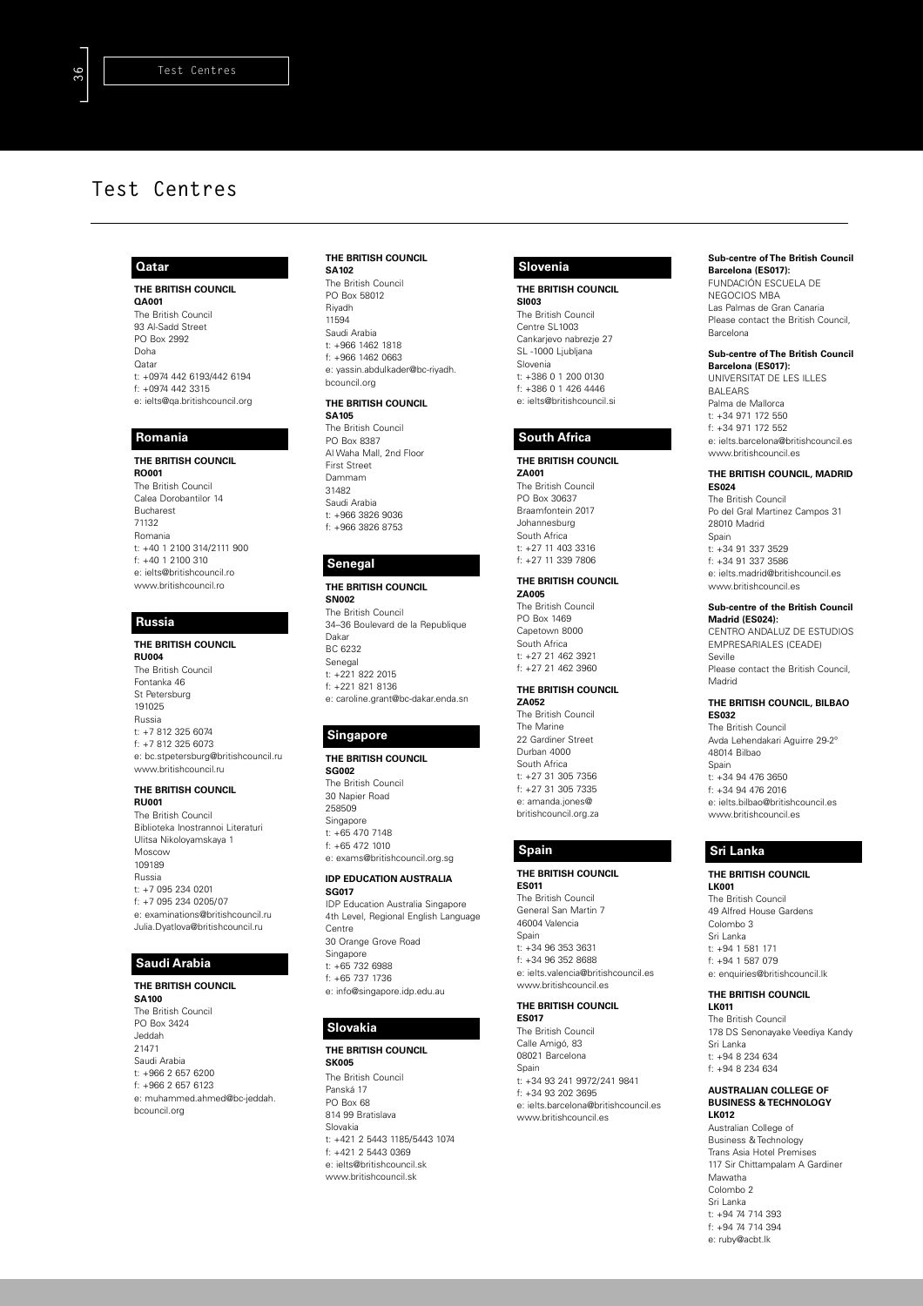### **Qatar**

**THE BRITISH COUNCIL QA001** The British Council 93 Al-Sadd Street PO Box 2992 Doha Qatar t: +0974 442 6193/442 6194 f: +0974 442 3315 e: ielts@qa.britishcouncil.org

### **Romania**

**THE BRITISH COUNCIL RO001** The British Council Calea Dorobantilor 14 Bucharest 71132 Romania t: +40 1 2100 314/2111 900 f: +40 1 2100 310 e: ielts@britishcouncil.ro www.britishcouncil.ro

# **Russia**

### **THE BRITISH COUNCIL**

**RU004** The British Council Fontanka 46 St Petersburg 191025 Russia t: +7 812 325 6074 f: +7 812 325 6073 e: bc.stpetersburg@britishcouncil.ru www.britishcouncil.ru

### **THE BRITISH COUNCIL**

**RU001** The British Council Biblioteka Inostrannoi Literaturi Ulitsa Nikoloyamskaya 1 Moscow 109189 Russia t: +7 095 234 0201 f: +7 095 234 0205/07 e: examinations@britishcouncil.ru Julia.Dyatlova@britishcouncil.ru

### **Saudi Arabia**

**THE BRITISH COUNCIL SA100** The British Council PO Box 3424 Jeddah 21471 Saudi Arabia t: +966 2 657 6200 f: +966 2 657 6123 e: muhammed.ahmed@bc-jeddah. bcouncil.org

### **THE BRITISH COUNCIL**

**SA102** The British Council PO Box 58012 Riyadh 11594 Saudi Arabia t: +966 1462 1818 f: +966 1462 0663 e: yassin.abdulkader@bc-riyadh. bcouncil.org

### **THE BRITISH COUNCIL**

**SA105** The British Council PO Box 8387 Al Waha Mall, 2nd Floor First Street Dammam 31482 Saudi Arabia t: +966 3826 9036 f: +966 3826 8753

#### **Senegal**

**THE BRITISH COUNCIL SN002** The British Council 34–36 Boulevard de la Republique Dakar BC 6232 Senegal t: +221 822 2015 f: +221 821 8136 e: caroline.grant@bc-dakar.enda.sn

### **Singapore**

## **THE BRITISH COUNCIL**

**SG002** The British Council 30 Napier Road 258509 Singapore t: +65 470 7148 f: +65 472 1010 e: exams@britishcouncil.org.sg

#### **IDP EDUCATION AUSTRALIA SG017**

IDP Education Australia Singapore 4th Level, Regional English Language Centre 30 Orange Grove Road Singapore t: +65 732 6988 f: +65 737 1736

e: info@singapore.idp.edu.au

### **Slovakia**

**THE BRITISH COUNCIL SK005**

The British Council Panská 17 PO Box 68 814 99 Bratislava Slovakia t: +421 2 5443 1185/5443 1074 f: +421 2 5443 0369 e: ielts@britishcouncil.sk www.britishcouncil.sk

### **Slovenia**

#### **THE BRITISH COUNCIL SI003**

The British Council Centre SL1003 Cankarjevo nabrezje 27 SL -1000 Ljubljana Slovenia t: +386 0 1 200 0130 f: +386 0 1 426 4446 e: ielts@britishcouncil.si

### **South Africa**

**THE BRITISH COUNCIL ZA001** The British Council PO Box 30637 Braamfontein 2017 Johannesburg South Africa t: +27 11 403 3316 f: +27 11 339 7806

#### **THE BRITISH COUNCIL**

**ZA005** The British Council PO Box 1469 Capetown 8000 South Africa t: +27 21 462 3921 f: +27 21 462 3960

#### **THE BRITISH COUNCIL ZA052**

The British Council The Marine 22 Gardiner Street Durban 4000 South Africa t: +27 31 305 7356 f: +27 31 305 7335 e: amanda.jones@ britishcouncil.org.za

**THE BRITISH COUNCIL ES011** The British Council General San Martin 7 46004 Valencia Spain t: +34 96 353 3631 f: +34 96 352 8688 e: ielts.valencia@britishcouncil.es www.britishcouncil.es

#### **THE BRITISH COUNCIL ES017**

The British Council Calle Amigó, 83 08021 Barcelona **Spair** t: +34 93 241 9972/241 9841 f: +34 93 202 3695 e: ielts.barcelona@britishcouncil.es www.britishcouncil.es

#### **Sub-centre of The British Council Barcelona (ES017):**

FUNDACIÓN ESCUELA DE NEGOCIOS MBA Las Palmas de Gran Canaria Please contact the British Council, Barcelona

# **Sub-centre of The British Council**

**Barcelona (ES017):** UNIVERSITAT DE LES ILLES BALEARS Palma de Mallorca t: +34 971 172 550 f: +34 971 172 552 e: ielts.barcelona@britishcouncil.es www.britishcouncil.es

#### **THE BRITISH COUNCIL, MADRID ES024**

The British Council Po del Gral Martinez Campos 31 28010 Madrid Spain t: +34 91 337 3529 f: +34 91 337 3586 e: ielts.madrid@britishcouncil.es www.britishcouncil.es

## **Sub-centre of the British Council**

**Madrid (ES024):** CENTRO ANDALUZ DE ESTUDIOS EMPRESARIALES (CEADE) Seville Please contact the British Council, Madrid

#### **THE BRITISH COUNCIL, BILBAO ES032**

The British Council Avda Lehendakari Aguirre 29-2º 48014 Bilbao Spain  $t: +34$  94 476 3650 f: +34 94 476 2016 e: ielts.bilbao@britishcouncil.es www.britishcouncil.es

### **Spain Sri Lanka**

#### **THE BRITISH COUNCIL LK001**

The British Council 49 Alfred House Gardens Colombo 3 Sri Lanka t: +94 1 581 171 f: +94 1 587 079 e: enquiries@britishcouncil.lk

#### **THE BRITISH COUNCIL LK011**

The British Council 178 DS Senonayake Veediya Kandy Sri Lanka t: +94 8 234 634 f: +94 8 234 634

#### **AUSTRALIAN COLLEGE OF BUSINESS & TECHNOLOGY LK012**

Australian College of Business & Technology Trans Asia Hotel Premises 117 Sir Chittampalam A Gardiner Mawatha Colombo 2 Sri Lanka t: +94 74 714 393 f: +94 74 714 394 e: ruby@acbt.lk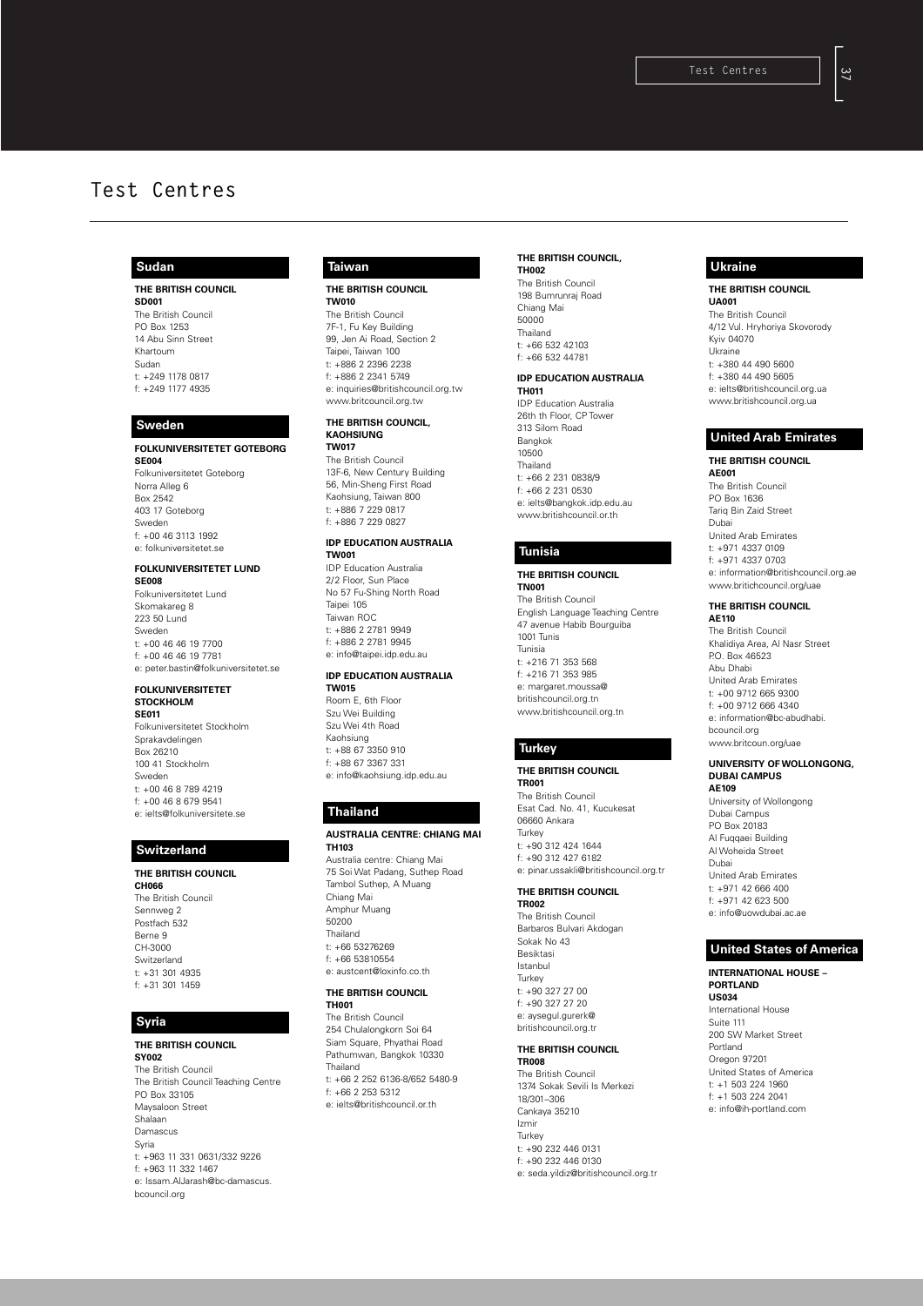### **Sudan**

**THE BRITISH COUNCIL SD001** The British Council PO Box 1253 14 Abu Sinn Street Khartoum Sudan t: +249 1178 0817 f: +249 1177 4935

#### **Sweden**

**FOLKUNIVERSITETET GOTEBORG SE004** Folkuniversitetet Goteborg Norra Alleg 6 Box 2542 403 17 Goteborg Sweden f: +00 46 3113 1992 e: folkuniversitetet.se

#### **FOLKUNIVERSITETET LUND**

**SE008** Folkuniversitetet Lund Skomakareg 8 223 50 Lund Sweden t: +00 46 46 19 7700 f: +00 46 46 19 7781 e: peter.bastin@folkuniversitetet.se

#### **FOLKUNIVERSITETET STOCKHOLM SE011**

Folkuniversitetet Stockholm Sprakavdelingen Box 26210 100 41 Stockholm Sweden t: +00 46 8 789 4219 f: +00 46 8 679 9541 e: ielts@folkuniversitete.se

### **Switzerland**

**THE BRITISH COUNCIL CH066** The British Council Sennweg 2 Postfach 532 Berne 9 CH-3000 Switzerland t: +31 301 4935 f: +31 301 1459

### **Syria**

### **THE BRITISH COUNCIL**

**SY002** The British Council The British Council Teaching Centre PO Box 33105 Maysaloon Street Shalaan Damascus Syria t: +963 11 331 0631/332 9226 f: +963 11 332 1467 e: Issam.AlJarash@bc-damascus. bcouncil.org

### **Taiwan**

**THE BRITISH COUNCIL**

**TW010** The British Council 7F-1, Fu Key Building 99, Jen Ai Road, Section 2 Taipei, Taiwan 100 t: +886 2 2396 2238 f: +886 2 2341 5749 e: inquiries@britishcouncil.org.tw www.britcouncil.org.tw

#### **THE BRITISH COUNCIL, KAOHSIUNG**

**TW017** The British Council 13F-6, New Century Building 56, Min-Sheng First Road Kaohsiung, Taiwan 800 t: +886 7 229 0817 f: +886 7 229 0827

## **IDP EDUCATION AUSTRALIA**

**TW001** IDP Education Australia 2/2 Floor, Sun Place No 57 Fu-Shing North Road Taipei 105 Taiwan ROC t: +886 2 2781 9949  $f: 4886 2 2781 9945$ e: info@taipei.idp.edu.au

### **IDP EDUCATION AUSTRALIA**

**TW015** Room E, 6th Floor Szu Wei Building Szu Wei 4th Road Kaohsiung t: +88 67 3350 910 f: +88 67 3367 331 e: info@kaohsiung.idp.edu.au

### **Thailand**

#### **AUSTRALIA CENTRE: CHIANG MAI TH103**

Australia centre: Chiang Mai 75 Soi Wat Padang, Suthep Road Tambol Suthep, A Muang Chiang Mai Amphur Muang 50200 Thailand t: +66 53276269 f: +66 53810554 e: austcent@loxinfo.co.th

### **THE BRITISH COUNCIL**

**TH001** The British Council 254 Chulalongkorn Soi 64 Siam Square, Phyathai Road Pathumwan, Bangkok 10330 Thailand t: +66 2 252 6136-8/652 5480-9 f: +66 2 253 5312 e: ielts@britishcouncil.or.th

## **THE BRITISH COUNCIL,**

**TH002** The British Council 198 Bumrunraj Road Chiang Mai 50000 Thailand t: +66 532 42103 f: +66 532 44781

#### **IDP EDUCATION AUSTRALIA TH011**

IDP Education Australia 26th th Floor, CP Tower 313 Silom Road Bangkok 10500 Thailand t: +66 2 231 0838/9 f: +66 2 231 0530 e: ielts@bangkok.idp.edu.au www.britishcouncil.or.th

### **Tunisia**

**THE BRITISH COUNCIL TN001** The British Council English Language Teaching Centre 47 avenue Habib Bourguiba 1001 Tunis Tunisia t: +216 71 353 568 f: +216 71 353 985 e: margaret.moussa@ britishcouncil.org.tn www.britishcouncil.org.tn

# **Turkey**

**THE BRITISH COUNCIL TR001**

The British Council Esat Cad. No. 41, Kucukesat 06660 Ankara Turkey t: +90 312 424 1644 f: +90 312 427 6182 e: pinar.ussakli@britishcouncil.org.tr

#### **THE BRITISH COUNCIL TR002**

The British Council Barbaros Bulvari Akdogan Sokak No 43 Besiktasi Istanbul **Turkey** t:  $+90$  327 27 00 f: +90 327 27 20 e: aysegul.gurerk@ britishcouncil.org.tr

### **THE BRITISH COUNCIL**

**TR008** The British Council 1374 Sokak Sevili Is Merkezi 18/301–306 Cankaya 35210 Izmir Turkey t: +90 232 446 0131 f: +90 232 446 0130 e: seda.yildiz@britishcouncil.org.tr

### **Ukraine**

### **THE BRITISH COUNCIL**

**UA001** The British Council 4/12 Vul. Hryhoriya Skovorody Kyiv 04070 Ukraine t: +380 44 490 5600 f: +380 44 490 5605 e: ielts@britishcouncil.org.ua www.britishcouncil.org.ua

# **United Arab Emirates**

**THE BRITISH COUNCIL AE001** The British Council PO Box 1636 Tariq Bin Zaid Street Dubai United Arab Emirates t: +971 4337 0109 f: +971 4337 0703 e: information@britishcouncil.org.ae www.britichcouncil.org/uae

## **THE BRITISH COUNCIL**

**AE110** The British Council Khalidiya Area, Al Nasr Street P.O. Box 46523 Abu Dhabi United Arab Emirates t: +00 9712 665 9300 f: +00 9712 666 4340 e: information@bc-abudhabi. bcouncil.org www.britcoun.org/uae

#### **UNIVERSITY OF WOLLONGONG, DUBAI CAMPUS AE109** University of Wollongong

Dubai Campus PO Box 20183 Al Fuqqaei Building Al Woheida Street Dubai United Arab Emirates t: +971 42 666 400 f: +971 42 623 500 e: info@uowdubai.ac.ae

### **United States of America**

**INTERNATIONAL HOUSE – PORTLAND US034** International House Suite 111 200 SW Market Street Portland Oregon 97201 United States of America t: +1 503 224 1960 f: +1 503 224 2041 e: info@ih-portland.com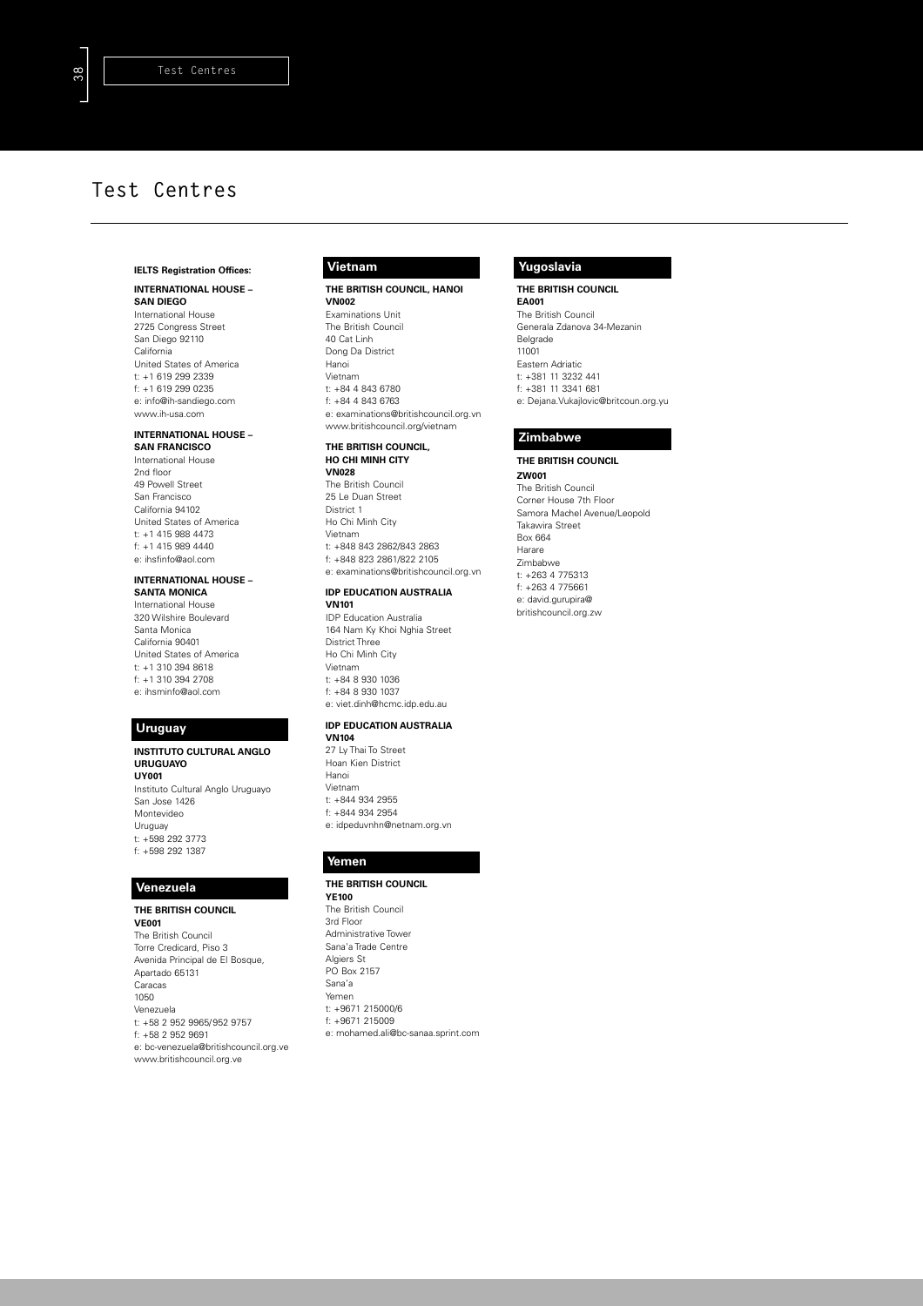### **IELTS Registration Offices:**

#### **INTERNATIONAL HOUSE – SAN DIEGO**

International House 2725 Congress Street San Diego 92110 California United States of America t: +1 619 299 2339 f: +1 619 299 0235 e: info@ih-sandiego.com www.ih-usa.com

#### **INTERNATIONAL HOUSE – SAN FRANCISCO**

International House 2nd floor 49 Powell Street San Francisco California 94102 United States of America t: +1 415 988 4473 f: +1 415 989 4440 e: ihsfinfo@aol.com

### **INTERNATIONAL HOUSE –**

**SANTA MONICA** International House 320 Wilshire Boulevard Santa Monica California 90401 United States of America t: +1 310 394 8618 f: +1 310 394 2708 e: ihsminfo@aol.com

# **Uruguay**

#### **INSTITUTO CULTURAL ANGLO URUGUAYO UY001** Instituto Cultural Anglo Uruguayo San Jose 1426 Montevideo Uruguay t: +598 292 3773 f: +598 292 1387

### **Venezuela**

**THE BRITISH COUNCIL VE001** The British Council Torre Credicard, Piso 3 Avenida Principal de El Bosque, Apartado 65131 Caracas 1050 Venezuela t: +58 2 952 9965/952 9757 f: +58 2 952 9691 e: bc-venezuela@britishcouncil.org.ve www.britishcouncil.org.ve

## **Vietnam**

#### **THE BRITISH COUNCIL, HANOI VN002**

Examinations Unit The British Council 40 Cat Linh Dong Da District Hanoi Vietnam t: +84 4 843 6780 f: +84 4 843 6763 e: examinations@britishcouncil.org.vn www.britishcouncil.org/vietnam

#### **THE BRITISH COUNCIL, HO CHI MINH CITY**

**VN028** The British Council 25 Le Duan Street District 1 Ho Chi Minh City Vietnam t: +848 843 2862/843 2863 f: +848 823 2861/822 2105 e: examinations@britishcouncil.org.vn

### **IDP EDUCATION AUSTRALIA**

**VN101** IDP Education Australia 164 Nam Ky Khoi Nghia Street District Three Ho Chi Minh City Vietnam t: +84 8 930 1036 f: +84 8 930 1037 e: viet.dinh@hcmc.idp.edu.au

### **IDP EDUCATION AUSTRALIA**

**VN104** 27 Ly Thai To Street Hoan Kien District Hanoi Vietnam t: +844 934 2955 f: +844 934 2954 e: idpeduvnhn@netnam.org.vn

### **Yemen**

### **THE BRITISH COUNCIL**

**YE100** The British Council 3rd Floor Administrative Tower Sana'a Trade Centre Algiers St PO Box 2157 Sana'a Yemen t: +9671 215000/6 f: +9671 215009 e: mohamed.ali@bc-sanaa.sprint.com

# **Yugoslavia**

**THE BRITISH COUNCIL EA001** The British Council Generala Zdanova 34-Mezanin Belgrade 11001 Eastern Adriatic t: +381 11 3232 441

f: +381 11 3341 681 e: Dejana.Vukajlovic@britcoun.org.yu

## **Zimbabwe**

#### **THE BRITISH COUNCIL ZW001** The British Council Corner House 7th Floor Samora Machel Avenue/Leopold Takawira Street Box 664 Harare Zimbabwe t: +263 4 775313 f: +263 4 775661 e: david.gurupira@

britishcouncil.org.zw